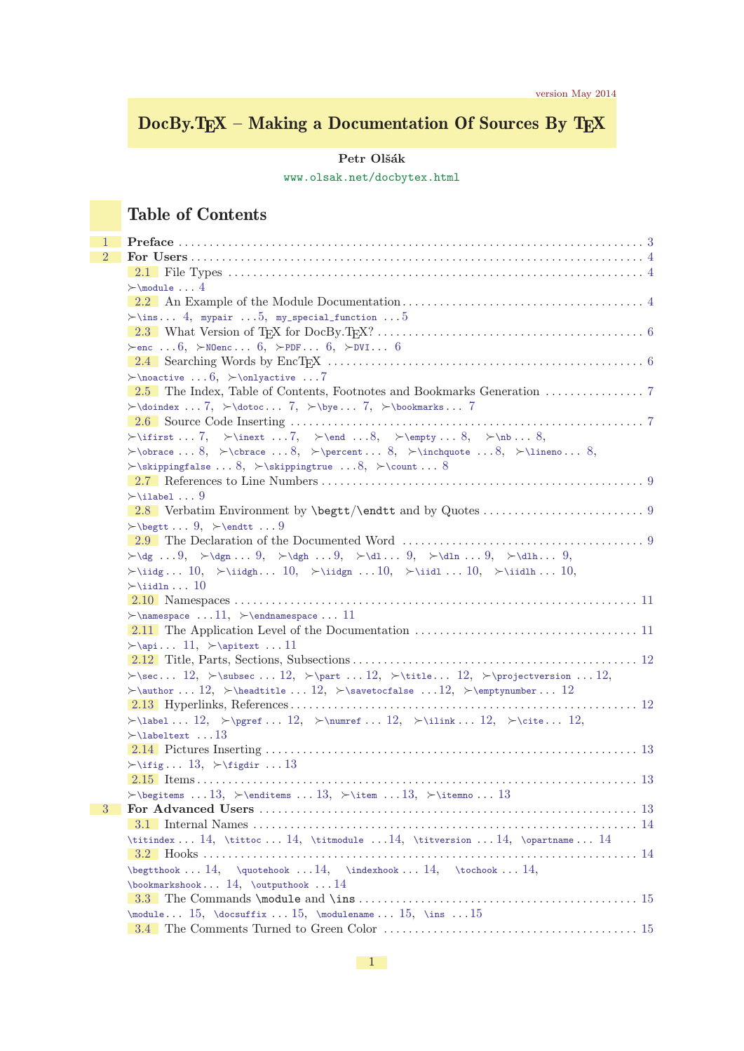# DocBy.TEX – Making a Documentation Of Sources By TEX

### ${\rm Petr}$ Olšák

[www.olsak.net/docbytex.html](http://www.olsak.net/docbytex.html)

# Table of Contents

| 1              |                                                                                                                                                                                                                                                                                                                                                                                                                                                         |  |
|----------------|---------------------------------------------------------------------------------------------------------------------------------------------------------------------------------------------------------------------------------------------------------------------------------------------------------------------------------------------------------------------------------------------------------------------------------------------------------|--|
| $\overline{2}$ |                                                                                                                                                                                                                                                                                                                                                                                                                                                         |  |
|                |                                                                                                                                                                                                                                                                                                                                                                                                                                                         |  |
|                | $\rightarrow$ \module  4                                                                                                                                                                                                                                                                                                                                                                                                                                |  |
|                |                                                                                                                                                                                                                                                                                                                                                                                                                                                         |  |
|                | $\succ$ \ins 4, mypair  5, my_special_function  5                                                                                                                                                                                                                                                                                                                                                                                                       |  |
|                |                                                                                                                                                                                                                                                                                                                                                                                                                                                         |  |
|                | $\succ$ enc  6, $\succ$ NOenc  6, $\succ$ PDF  6, $\succ$ DVI 6                                                                                                                                                                                                                                                                                                                                                                                         |  |
|                |                                                                                                                                                                                                                                                                                                                                                                                                                                                         |  |
|                | $\rightarrow$ \noactive  6, $\rightarrow$ \onlyactive  7                                                                                                                                                                                                                                                                                                                                                                                                |  |
|                |                                                                                                                                                                                                                                                                                                                                                                                                                                                         |  |
|                | $\rightarrow$ \doindex  7, $\rightarrow$ \dotoc 7, $\rightarrow$ \bye 7, $\rightarrow$ \bookmarks 7                                                                                                                                                                                                                                                                                                                                                     |  |
|                | $\label{eq:opt} $$\if first \ldots 7, \ \linear \ldots 7, \ \end \ldots 8, \ \emptyldots 8, \ \infty \ldots 8, $$$                                                                                                                                                                                                                                                                                                                                      |  |
|                | $\bullet \ldots 8, \simeq \cdot \ldots 8, \simeq \cdot \ldots 8, \simeq \cdot \ldots 8, \simeq \cdot \ldots 8,$                                                                                                                                                                                                                                                                                                                                         |  |
|                | $\rightarrow$ \skippingfalse  8, $\rightarrow$ \skippingtrue  8, $\rightarrow$ \count  8                                                                                                                                                                                                                                                                                                                                                                |  |
|                |                                                                                                                                                                                                                                                                                                                                                                                                                                                         |  |
|                | $\rightarrow$ \ilabel  9                                                                                                                                                                                                                                                                                                                                                                                                                                |  |
|                |                                                                                                                                                                                                                                                                                                                                                                                                                                                         |  |
|                | $\rightarrow$ \begtt  9, $\rightarrow$ \endtt  9                                                                                                                                                                                                                                                                                                                                                                                                        |  |
|                |                                                                                                                                                                                                                                                                                                                                                                                                                                                         |  |
|                | $\label{eq:3} $$\dg \ldots 9, \cdots 9, \cdots 9, \cdots 9, \cdots 9, \cdots 9, \cdots 9, \cdots 9, \cdots 9, \cdots 9, \cdots 9, \cdots 9, \cdots 9, \cdots 9, \cdots 9, \cdots 9, \cdots 9, \cdots 9, \cdots 9, \cdots 9, \cdots 9, \cdots 9, \cdots 9, \cdots 9, \cdots 9, \cdots 9, \cdots 9, \cdots 9, \cdots 9, \cdots 9, \cdots 9, \cdots 9, \cdots 9, \cdots 9, \cdots 9,$                                                                      |  |
|                | $\rightarrow$ idg 10, $\rightarrow$ idgh 10, $\rightarrow$ idd $\rightarrow$ 10, $\rightarrow$ idh 10, $\rightarrow$                                                                                                                                                                                                                                                                                                                                    |  |
|                | $\rightarrow$ \iidln 10                                                                                                                                                                                                                                                                                                                                                                                                                                 |  |
|                |                                                                                                                                                                                                                                                                                                                                                                                                                                                         |  |
|                | $\rightarrow$ \namespace  11, $\rightarrow$ \endnamespace  11                                                                                                                                                                                                                                                                                                                                                                                           |  |
|                |                                                                                                                                                                                                                                                                                                                                                                                                                                                         |  |
|                | $\rightarrow$ \api 11, $\rightarrow$ \apitext  11                                                                                                                                                                                                                                                                                                                                                                                                       |  |
|                |                                                                                                                                                                                                                                                                                                                                                                                                                                                         |  |
|                | $\sec 12, \simeq 12, \simeq 12, \simeq 12, \simeq 12, \simeq 12,$                                                                                                                                                                                                                                                                                                                                                                                       |  |
|                | $\lambda$ 12, $\headtitle \ldots 12, \savetocfalse \ldots 12, \snewproblemumber \ldots 12$                                                                                                                                                                                                                                                                                                                                                              |  |
|                | $\label{eq:1.1} \verb \label 12,  \textbf{12,  \textbf{2,  \textbf{2,  \textbf{2,  \textbf{2,  \textbf{2,  \textbf{2,  \textbf{2,  \textbf{2,  \textbf{2,  \textbf{2,  \textbf{2,  \textbf{2,  \textbf{2,  \textbf{2,  \textbf{2,  \textbf{2,  \textbf{2,  \textbf{2,  \textbf{2,  \textbf{2,  \textbf{2,  \textbf{2,  \textbf{2,  \textbf{2,  \textbf{2,  \textbf{2,  \textbf{2,  \textbf{2,  \textbf{2,  \textbf{2,  \textbf{2,  \textbf{2,  \textbf$ |  |
|                | $\rightarrow$ \labeltext 13                                                                                                                                                                                                                                                                                                                                                                                                                             |  |
|                |                                                                                                                                                                                                                                                                                                                                                                                                                                                         |  |
|                | $\rightarrow$ \ifig 13, $\rightarrow$ \figdir  13                                                                                                                                                                                                                                                                                                                                                                                                       |  |
|                |                                                                                                                                                                                                                                                                                                                                                                                                                                                         |  |
|                | $\rightarrow$ 13, $\end{times} \dots 13$ , $\\times 13$ , $\\times 13$                                                                                                                                                                                                                                                                                                                                                                                  |  |
| $\overline{3}$ |                                                                                                                                                                                                                                                                                                                                                                                                                                                         |  |
|                |                                                                                                                                                                                                                                                                                                                                                                                                                                                         |  |
|                | $\label{lem:main} \verb+\titindex 14, \verb+\tittoc 14, \verb+\titmodel 14, \verb+\triversion 14, \verb+\opartname 14.$                                                                                                                                                                                                                                                                                                                                 |  |
|                |                                                                                                                                                                                                                                                                                                                                                                                                                                                         |  |
|                | $\begin{bmatrix} 14, & \text{quotient} 14, & \text{underbook}  14, & \text{underbook}  14, \end{bmatrix}$                                                                                                                                                                                                                                                                                                                                               |  |
|                | $\boldsymbol{\lambda} \cdot \cdot \cdot 14, \boldsymbol{\lambda} \cdot \cdot \cdot 14$                                                                                                                                                                                                                                                                                                                                                                  |  |
|                |                                                                                                                                                                                                                                                                                                                                                                                                                                                         |  |
|                | $\verb+\module 15, \verb+\docsuffix 15, \verb+\modulename 15, \verb+\ins 15$                                                                                                                                                                                                                                                                                                                                                                            |  |
|                |                                                                                                                                                                                                                                                                                                                                                                                                                                                         |  |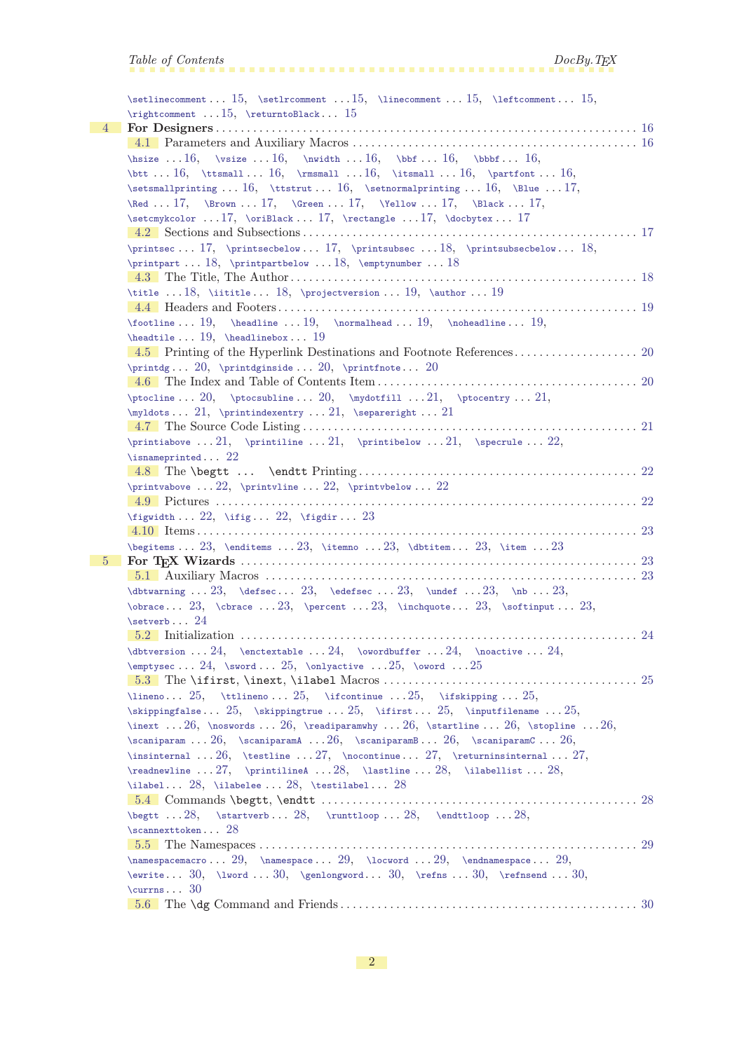|   | Table of Contents<br>DocBy. T <sub>F</sub>                                                                                                                                                                                                                                                                                                                                                                            |  |
|---|-----------------------------------------------------------------------------------------------------------------------------------------------------------------------------------------------------------------------------------------------------------------------------------------------------------------------------------------------------------------------------------------------------------------------|--|
|   |                                                                                                                                                                                                                                                                                                                                                                                                                       |  |
|   | \setlinecomment15, \setlrcomment15, \linecomment15, \leftcomment15,                                                                                                                                                                                                                                                                                                                                                   |  |
|   | \rightcomment  15, \returntoBlack 15                                                                                                                                                                                                                                                                                                                                                                                  |  |
| 4 |                                                                                                                                                                                                                                                                                                                                                                                                                       |  |
|   |                                                                                                                                                                                                                                                                                                                                                                                                                       |  |
|   | $\label{lem:main} $$\hspace  16, \vsize  16, \hwidetilde  16, \bbf.  16, \bbf.  16, \n}$                                                                                                                                                                                                                                                                                                                              |  |
|   | $\text{bit} \text{} 16, \times 16, \times 16, \times 16, \times 16, \times 16, \times 16, \times 16, \times 16, \times 16, \times 16, \times 16, \times 16, \times 16, \times 16, \times 16, \times 16, \times 16, \times 16, \times 16, \times 16, \times 16, \times 16, \times 16, \times 16, \times 16, \times 16, \times 16, \times 16, \times 16, \times 16, \times 16, \times 16, \times 16, \times 16, \times$ |  |
|   |                                                                                                                                                                                                                                                                                                                                                                                                                       |  |
|   | $\lambda$ 17, $\mathbb{C}$ 17, $\mathbb{C}$ 17, $\mathbb{C}$ 17, $\mathbb{C}$ 17,                                                                                                                                                                                                                                                                                                                                     |  |
|   |                                                                                                                                                                                                                                                                                                                                                                                                                       |  |
|   |                                                                                                                                                                                                                                                                                                                                                                                                                       |  |
|   | \printsec 17, \printsecbelow 17, \printsubsec 18, \printsubsecbelow 18,                                                                                                                                                                                                                                                                                                                                               |  |
|   | \printpart  18, \printpartbelow  18, \emptynumber  18                                                                                                                                                                                                                                                                                                                                                                 |  |
|   |                                                                                                                                                                                                                                                                                                                                                                                                                       |  |
|   | \title 18, \iititle 18, \projectversion  19, \author  19                                                                                                                                                                                                                                                                                                                                                              |  |
|   |                                                                                                                                                                                                                                                                                                                                                                                                                       |  |
|   | $\{footline \dots 19, \ \headline \dots 19, \ \hbox{nonrad,} \dots 19, \ \infty\}$                                                                                                                                                                                                                                                                                                                                    |  |
|   | \headtile $19$ , \headlinebox $19$                                                                                                                                                                                                                                                                                                                                                                                    |  |
|   |                                                                                                                                                                                                                                                                                                                                                                                                                       |  |
|   | \printdg $20$ , \printdginside $20$ , \printfnote $20$                                                                                                                                                                                                                                                                                                                                                                |  |
|   |                                                                                                                                                                                                                                                                                                                                                                                                                       |  |
|   | $\ptocline \ldots 20, \ptocsubline \ldots 20, \mydotfill \ldots 21, \ptocentry \ldots 21,$                                                                                                                                                                                                                                                                                                                            |  |
|   | \myldots 21, \printindexentry  21, \separeright  21                                                                                                                                                                                                                                                                                                                                                                   |  |
|   | $\lambda$ and $\lambda$ and $\lambda$ and $\lambda$ and $\lambda$ and $\lambda$ and $\lambda$ and $\lambda$ and $\lambda$ and $\lambda$ and $\lambda$ and $\lambda$                                                                                                                                                                                                                                                   |  |
|   | ററ                                                                                                                                                                                                                                                                                                                                                                                                                    |  |

```
21
         \printiabove ... 21\printiline ... 21\printibelow ... 21\specrule ... 22,
        \isnameprinted22
        4.8 The \begtt ... \endtt Printing . . . . . . . . . . . . . . . . . . . . . . . . . . . . . . . . . . . . . . . . . . . . . 22
        \printvabove . . . 22, \printvline . . . 22, \printvbelow . . . 22
         4.9 Pictures . . . . . . . . . . . . . . . . . . . . . . . . . . . . . . . . . . . . . . . . . . . . . . . . . . . . . . . . . . . . . . . . . . . . 22
        \rightarrow22, \rightarrow 22, \figdir...23
        4.10 Items . . . . . . . . . . . . . . . . . . . . . . . . . . . . . . . . . . . . . . . . . . . . . . . . . . . . . . . . . . . . . . . . . . . . . . . 23
        23,23, & 23, & 23, & 23, & 23, & 23, & 23, & 23, & 23, & 23, & 23, & 23, & 23, & 23, & 23, & 23, & 23, & 23, & 23, & 23, & 23, & 23, & 23, & 23, & 23, & 23, & 23, & 23, & 23, & 25 For TEX Wizards . . . . . . . . . . . . . . . . . . . . . . . . . . . . . . . . . . . . . . . . . . . . . . . . . . . . . . . . . . . . . . . . 23
        5.1 Auxiliary Macros . . . . . . . . . . . . . . . . . . . . . . . . . . . . . . . . . . . . . . . . . . . . . . . . . . . . . . . . . . . . 23
        \dbtwarning . . . 23, \defsec . . . 23, \edefsec . . . 23, \undef . . . 23, \nb . . . 23,
        \otimes23, \check{c}23, \operatorname{23}, \operatorname{23}, \operatorname{23}\setverb24
        5.2 Initialization . . . . . . . . . . . . . . . . . . . . . . . . . . . . . . . . . . . . . . . . . . . . . . . . . . . . . . . . . . . . . . . . 24
        \Delta24, \Delta24, \Delta . . . 24, \Delta . . . 24, \Delta . . . 24,
        \emptyset24, \sqrt{3}, 25}, \sqrt{25}, \sqrt{3}, \sqrt{25}5.3 The \ifirst, \inext, \ilabel Macros . . . . . . . . . . . . . . . . . . . . . . . . . . . . . . . . . . . . . . . . . 25
        \lineno25\ttlineno25,\ifcontinue\ifskipping . . . 25,
        \skippingfalse25\skippingtrue25, \iff \skippingfalse\inputfilename ... 25,
        \infty26\noswords\readiparamwhy\startline26,\stopline ...26,
        \sc26, \sc26, \sc . . 26, \sc . . 26, \sc . . 26,
        \insinternal . . . 26, \testline . . . 27, \nocontinue . . . 27, \returninsinternal . . . 27,
        \readnewline \ldots 27\printilineA 28\lastline \ldots 28\ilabellist \ldots 28,
        28, \tilde 28, \tilde 28, \text{testilabel} \ldots 285.4 Commands \begtt, \endtt . . . . . . . . . . . . . . . . . . . . . . . . . . . . . . . . . . . . . . . . . . . . . . . . . . . 28
        \begtt . . . 28, \startverb . . . 28, \runttloop . . . 28, \endttloop . . . 28,
        \scannexttoken . . . 28
        5.5 The Namespaces . . . . . . . . . . . . . . . . . . . . . . . . . . . . . . . . . . . . . . . . . . . . . . . . . . . . . . . . . . . . . 29
        \langle\namespacemacro29\namespace\locword\endnamespace29,
        3030, \ \text{1} \cdot . . 30, \ \text{1} \cdot . . 30, \ \text{1} \cdot . . 30, \ \text{1} \cdot . . 30, \ \text{1} \cdot . . 30, \ \text{1} \cdot . . 30, \ \text{1} \cdot . . 30, \ \text{1} \cdot . . . 30, \ \text{1} \cdot . . . 30, \ \text{1} \cdot . . . 30, \ \text{1} \cdot . . . 30, \ \text{1} \cdot . . . . 30, \ \text{1} \cdot . . . . 30, \ \text305.6 The \dg Command and Friends . . . . . . . . . . . . . . . . . . . . . . . . . . . . . . . . . . . . . . . . . . . . . . . . 30
```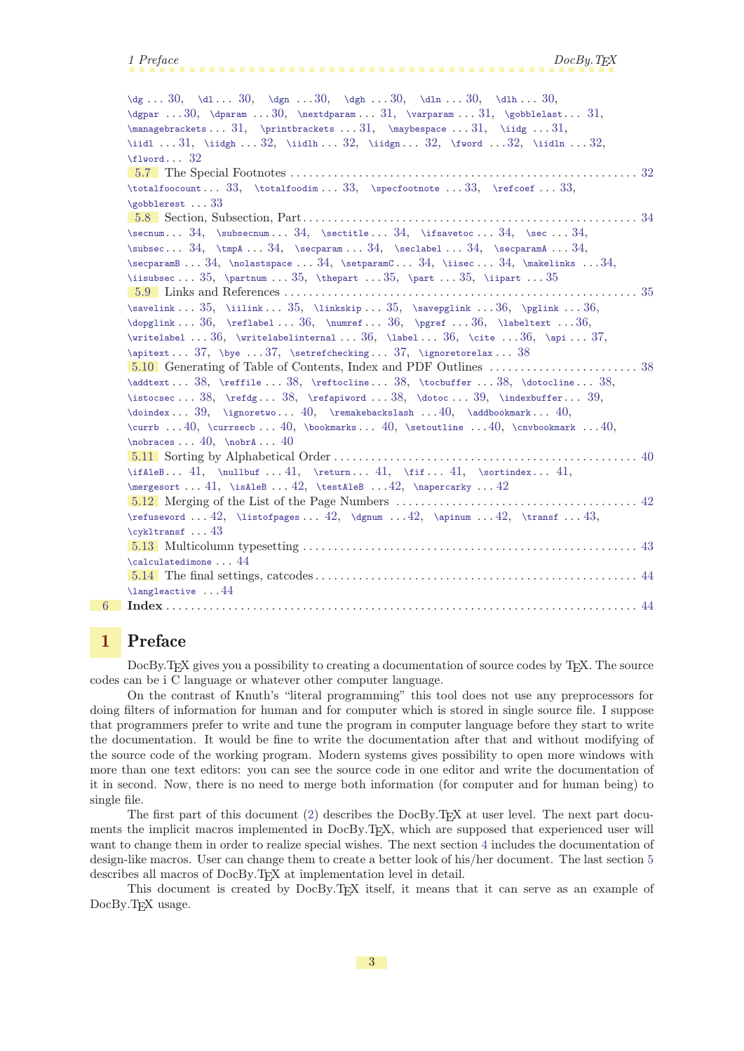<span id="page-2-1"></span> $\dg$  . . [30](#page-29-1),  $\ddot{2}$ ,  $\ddot{3}$ ,  $\ddot{2}$ ,  $\ddot{3}$ ,  $\ddot{2}$ ,  $\ddot{3}$ ,  $\ddot{2}$ ,  $\ddot{3}$ ,  $\ddot{3}$ ,  $\ddot{4}$  $\dagger$  . . . [30](#page-29-1),  $\dagger$  . . . 30,  $\text{uparam}$  . . . [31](#page-30-1),  $\qquad$  . . . 31,  $\qquad$  . . . 31,  $\verb+\managebrackets...31+, \verb+\managebrackets...31+, \verb+\managebrackets...31+$  $\verb+\managebrackets...31+, \verb+\managebrackets...31+, \verb+\managebrackets...31+$  $\verb+\managebrackets...31+, \verb+\managebrackets...31+, \verb+\managebrackets...31+$  $\verb+\managebrackets...31+, \verb+\managebrackets...31+, \verb+\managebrackets...31+$  $\verb+\managebrackets...31+, \verb+\managebrackets...31+, \verb+\managebrackets...31+$ [\iidl](#page-30-8) . . . [31,](#page-30-1) [\iidgh](#page-31-0) . . . [32,](#page-31-1) [\iidlh](#page-31-2) . . . 32, [\iidgn](#page-31-3) . . . [32](#page-31-1), [\iidln](#page-31-5) . . . 32, \iidln . . . 32,  $\texttt{1word...} 32$  $\texttt{1word...} 32$ [5.7](#page-31-7) The Special Footnotes . . . . . . . . . . . . . . . . . . . . . . . . . . . . . . . . . . . . . . . . . . . . . . . . . . . . . . . . [32](#page-31-1)  $\totalfootum ... 33, \totalfoodim ... 33, \spectootnote ... 33, \refcoef ... 33,$  $\totalfootum ... 33, \totalfoodim ... 33, \spectootnote ... 33, \refcoef ... 33,$  $\totalfootum ... 33, \totalfoodim ... 33, \spectootnote ... 33, \refcoef ... 33,$  $\totalfootum ... 33, \totalfoodim ... 33, \spectootnote ... 33, \refcoef ... 33,$  $\totalfootum ... 33, \totalfoodim ... 33, \spectootnote ... 33, \refcoef ... 33,$  $\totalfootum ... 33, \totalfoodim ... 33, \spectootnote ... 33, \refcoef ... 33,$  $\totalfootum ... 33, \totalfoodim ... 33, \spectootnote ... 33, \refcoef ... 33,$  $\totalfootum ... 33, \totalfoodim ... 33, \spectootnote ... 33, \refcoef ... 33,$  $\totalfootum ... 33, \totalfoodim ... 33, \spectootnote ... 33, \refcoef ... 33,$ [\gobblerest](#page-32-5) . . . [33](#page-32-1) [5.8](#page-33-0) Section, Subsection, Part. . . . . . . . . . . . . . . . . . . . . . . . . . . . . . . . . . . . . . . . . . . . . . . . . . . . . . [34](#page-33-1)  $\sec$ <del>mum... [34](#page-33-1), [\subsecnum](#page-33-3)... 34, [\sectitle](#page-33-4)... 34, [\ifsavetoc](#page-33-5)... [34,](#page-33-1) \sec... 34,</del>  $\substack{\text{subsec... } 34, \tempA ... 34, \secparam ... 34, \seclabel ... 34, \secparam. . 34,$  $\substack{\text{subsec... } 34, \tempA ... 34, \secparam ... 34, \seclabel ... 34, \secparam. . 34,$  $\substack{\text{subsec... } 34, \tempA ... 34, \secparam ... 34, \seclabel ... 34, \secparam. . 34,$  $\substack{\text{subsec... } 34, \tempA ... 34, \secparam ... 34, \seclabel ... 34, \secparam. . 34,$  $\substack{\text{subsec... } 34, \tempA ... 34, \secparam ... 34, \seclabel ... 34, \secparam. . 34,$  $\substack{\text{subsec... } 34, \tempA ... 34, \secparam ... 34, \seclabel ... 34, \secparam. . 34,$  $\substack{\text{subsec... } 34, \tempA ... 34, \secparam ... 34, \seclabel ... 34, \secparam. . 34,$  $\substack{\text{subsec... } 34, \tempA ... 34, \secparam ... 34, \seclabel ... 34, \secparam. . 34,$  $\substack{\text{subsec... } 34, \tempA ... 34, \secparam ... 34, \seclabel ... 34, \secparam. . 34,$  $\sec$  $34$ ,  $34$ ,  $34$ ,  $34$ ,  $34$ ,  $34$ ,  $34$ ,  $34$ [\iisubsec](#page-34-0) . . . [35,](#page-34-1) [\partnum](#page-34-2) . . . [35](#page-34-1), [\thepart](#page-34-3) . . . 35, [\part](#page-34-4) . . . 35, [\iipart](#page-34-5) . . . 35 [5.9](#page-34-6) Links and References . . . . . . . . . . . . . . . . . . . . . . . . . . . . . . . . . . . . . . . . . . . . . . . . . . . . . . . . . [35](#page-34-1) [\savelink](#page-34-7) . . . [35,](#page-34-1) [\iilink](#page-34-8) . . . [35](#page-34-1), [\linkskip](#page-34-9) . . . 35, [\savepglink](#page-35-0) . . . [36,](#page-35-1) [\pglink](#page-35-2) . . . [36](#page-35-1),  $\d{opglink ... 36, \reflabel... 36, \rumref ... 36, \rymref ... 36, \rambletext ... 36,$  $\d{opglink ... 36, \reflabel... 36, \rumref ... 36, \rymref ... 36, \rambletext ... 36,$  $\d{opglink ... 36, \reflabel... 36, \rumref ... 36, \rymref ... 36, \rambletext ... 36,$  $\d{opglink ... 36, \reflabel... 36, \rumref ... 36, \rymref ... 36, \rambletext ... 36,$  $\d{opglink ... 36, \reflabel... 36, \rumref ... 36, \rymref ... 36, \rambletext ... 36,$  $\d{opglink ... 36, \reflabel... 36, \rumref ... 36, \rymref ... 36, \rambletext ... 36,$  $\d{opglink ... 36, \reflabel... 36, \rumref ... 36, \rymref ... 36, \rambletext ... 36,$  $\forall$  [\writelabel](#page-35-8) . . . [36](#page-35-1), [\writelabelinternal](#page-35-9) . . . 36, [\label](#page-35-10) . . . [36,](#page-35-1) [\cite](#page-35-11) . . . 36, [\api](#page-36-0) . . . [37](#page-36-1), [\apitext](#page-36-2) . . . [37,](#page-36-1) [\bye](#page-36-3) . . . [37](#page-36-1), [\setrefchecking](#page-36-4) . . . [37](#page-36-1), [\ignoretorelax](#page-37-0) . . . [38](#page-37-1) [5.10](#page-37-2) Generating of Table of Contents, Index and PDF Outlines . . . . . . . . . . . . . . . . . . . . . . . . [38](#page-37-1)  $\addtext ... 38, \refiale ... 38, \reftocline ... 38, \tocbinfer ... 38, \dotoccline ... 38, \dots$  $\addtext ... 38, \refiale ... 38, \reftocline ... 38, \tocbinfer ... 38, \dotoccline ... 38, \dots$  $\addtext ... 38, \refiale ... 38, \reftocline ... 38, \tocbinfer ... 38, \dotoccline ... 38, \dots$  $\addtext ... 38, \refiale ... 38, \reftocline ... 38, \tocbinfer ... 38, \dotoccline ... 38, \dots$  $\addtext ... 38, \refiale ... 38, \reftocline ... 38, \tocbinfer ... 38, \dotoccline ... 38, \dots$  $\addtext ... 38, \refiale ... 38, \reftocline ... 38, \tocbinfer ... 38, \dotoccline ... 38, \dots$  $\addtext ... 38, \refiale ... 38, \reftocline ... 38, \tocbinfer ... 38, \dotoccline ... 38, \dots$  $\addtext ... 38, \refiale ... 38, \reftocline ... 38, \tocbinfer ... 38, \dotoccline ... 38, \dots$  $\istocsec \ldots 38, \refdg \ldots 38, \refapiword \ldots 39, \doteom. 39, \indextbuffer \ldots 39,$  $\istocsec \ldots 38, \refdg \ldots 38, \refapiword \ldots 39, \doteom. 39, \indextbuffer \ldots 39,$  $\istocsec \ldots 38, \refdg \ldots 38, \refapiword \ldots 39, \doteom. 39, \indextbuffer \ldots 39,$  $\istocsec \ldots 38, \refdg \ldots 38, \refapiword \ldots 39, \doteom. 39, \indextbuffer \ldots 39,$  $\istocsec \ldots 38, \refdg \ldots 38, \refapiword \ldots 39, \doteom. 39, \indextbuffer \ldots 39,$  $\istocsec \ldots 38, \refdg \ldots 38, \refapiword \ldots 39, \doteom. 39, \indextbuffer \ldots 39,$  $\istocsec \ldots 38, \refdg \ldots 38, \refapiword \ldots 39, \doteom. 39, \indextbuffer \ldots 39,$  $\istocsec \ldots 38, \refdg \ldots 38, \refapiword \ldots 39, \doteom. 39, \indextbuffer \ldots 39,$  $\istocsec \ldots 38, \refdg \ldots 38, \refapiword \ldots 39, \doteom. 39, \indextbuffer \ldots 39,$  $\istocsec \ldots 38, \refdg \ldots 38, \refapiword \ldots 39, \doteom. 39, \indextbuffer \ldots 39,$  $\istocsec \ldots 38, \refdg \ldots 38, \refapiword \ldots 39, \doteom. 39, \indextbuffer \ldots 39,$  $\istocsec \ldots 38, \refdg \ldots 38, \refapiword \ldots 39, \doteom. 39, \indextbuffer \ldots 39,$  $\dot{x} \ldots 39$ ,  $\ignoretwo \ldots 40$  $\ignoretwo \ldots 40$  $\ignoretwo \ldots 40$ ,  $\radbookmark \ldots 40$ ,  $\text{C}$ ... [40](#page-39-1), [\currsecb](#page-39-5)... 40, [\bookmarks](#page-39-6)... 40, [\setoutline](#page-39-7) ... [40,](#page-39-1) [\cnvbookmark](#page-39-8) ... 40,  $\infty$ races . . . [40,](#page-39-1)  $\infty$ A . . . [40](#page-39-1) [5.11](#page-39-11) Sorting by Alphabetical Order . . . . . . . . . . . . . . . . . . . . . . . . . . . . . . . . . . . . . . . . . . . . . . . . . [40](#page-39-1)  $\ifAleB \ldots 41, \mathnullbut \ldots 41, \quad \if. \ldots 41, \mathnoll. 41, \ldots 41, \ldots 41, \ldots$  $\ifAleB \ldots 41, \mathnullbut \ldots 41, \quad \if. \ldots 41, \mathnoll. 41, \ldots 41, \ldots 41, \ldots$  $\ifAleB \ldots 41, \mathnullbut \ldots 41, \quad \if. \ldots 41, \mathnoll. 41, \ldots 41, \ldots 41, \ldots$  $\ifAleB \ldots 41, \mathnullbut \ldots 41, \quad \if. \ldots 41, \mathnoll. 41, \ldots 41, \ldots 41, \ldots$  $\mergesort ... 41, \isAleB ... 42, \testAleB ... 42, \nanercarky ... 42$  $\mergesort ... 41, \isAleB ... 42, \testAleB ... 42, \nanercarky ... 42$  $\mergesort ... 41, \isAleB ... 42, \testAleB ... 42, \nanercarky ... 42$  $\mergesort ... 41, \isAleB ... 42, \testAleB ... 42, \nanercarky ... 42$  $\mergesort ... 41, \isAleB ... 42, \testAleB ... 42, \nanercarky ... 42$  $\mergesort ... 41, \isAleB ... 42, \testAleB ... 42, \nanercarky ... 42$  $\mergesort ... 41, \isAleB ... 42, \testAleB ... 42, \nanercarky ... 42$  $\mergesort ... 41, \isAleB ... 42, \testAleB ... 42, \nanercarky ... 42$  $\mergesort ... 41, \isAleB ... 42, \testAleB ... 42, \nanercarky ... 42$  $\mergesort ... 41, \isAleB ... 42, \testAleB ... 42, \nanercarky ... 42$ [5.12](#page-41-4) Merging of the List of the Page Numbers . . . . . . . . . . . . . . . . . . . . . . . . . . . . . . . . . . . . . . . [42](#page-41-1)  $\refuseword \ldots 42, \listofpages \ldots 42, \dgnum \ldots 42, \apinum \ldots 42, \transf \ldots 43,$  $\refuseword \ldots 42, \listofpages \ldots 42, \dgnum \ldots 42, \apinum \ldots 42, \transf \ldots 43,$  $\refuseword \ldots 42, \listofpages \ldots 42, \dgnum \ldots 42, \apinum \ldots 42, \transf \ldots 43,$  $\refuseword \ldots 42, \listofpages \ldots 42, \dgnum \ldots 42, \apinum \ldots 42, \transf \ldots 43,$  $\refuseword \ldots 42, \listofpages \ldots 42, \dgnum \ldots 42, \apinum \ldots 42, \transf \ldots 43,$  $\refuseword \ldots 42, \listofpages \ldots 42, \dgnum \ldots 42, \apinum \ldots 42, \transf \ldots 43,$  $\refuseword \ldots 42, \listofpages \ldots 42, \dgnum \ldots 42, \apinum \ldots 42, \transf \ldots 43,$  $\refuseword \ldots 42, \listofpages \ldots 42, \dgnum \ldots 42, \apinum \ldots 42, \transf \ldots 43,$  $\refuseword \ldots 42, \listofpages \ldots 42, \dgnum \ldots 42, \apinum \ldots 42, \transf \ldots 43,$  $\refuseword \ldots 42, \listofpages \ldots 42, \dgnum \ldots 42, \apinum \ldots 42, \transf \ldots 43,$  $\refuseword \ldots 42, \listofpages \ldots 42, \dgnum \ldots 42, \apinum \ldots 42, \transf \ldots 43,$  $\refuseword \ldots 42, \listofpages \ldots 42, \dgnum \ldots 42, \apinum \ldots 42, \transf \ldots 43,$  $\refuseword \ldots 42, \listofpages \ldots 42, \dgnum \ldots 42, \apinum \ldots 42, \transf \ldots 43,$  $\refuseword \ldots 42, \listofpages \ldots 42, \dgnum \ldots 42, \apinum \ldots 42, \transf \ldots 43,$  $\refuseword \ldots 42, \listofpages \ldots 42, \dgnum \ldots 42, \apinum \ldots 42, \transf \ldots 43,$  $\refuseword \ldots 42, \listofpages \ldots 42, \dgnum \ldots 42, \apinum \ldots 42, \transf \ldots 43,$ [\cykltransf](#page-42-2) . . . [43](#page-42-1) [5.13](#page-42-3) Multicolumn typesetting . . . . . . . . . . . . . . . . . . . . . . . . . . . . . . . . . . . . . . . . . . . . . . . . . . . . . . [43](#page-42-1) [\calculatedimone](#page-43-0) . . . [44](#page-43-1) [5.14](#page-43-2) The final settings, catcodes . . . . . . . . . . . . . . . . . . . . . . . . . . . . . . . . . . . . . . . . . . . . . . . . . . . . [44](#page-43-1) [\langleactive](#page-43-3) . . . [44](#page-43-1) [6](#page-43-4) Index . . . . . . . . . . . . . . . . . . . . . . . . . . . . . . . . . . . . . . . . . . . . . . . . . . . . . . . . . . . . . . . . . . . . . . . . . . . . [44](#page-43-1)

# <span id="page-2-0"></span>1 Preface

DocBy.TEX gives you a possibility to creating a documentation of source codes by TEX. The source codes can be i C language or whatever other computer language.

On the contrast of Knuth's "literal programming" this tool does not use any preprocessors for doing filters of information for human and for computer which is stored in single source file. I suppose that programmers prefer to write and tune the program in computer language before they start to write the documentation. It would be fine to write the documentation after that and without modifying of the source code of the working program. Modern systems gives possibility to open more windows with more than one text editors: you can see the source code in one editor and write the documentation of it in second. Now, there is no need to merge both information (for computer and for human being) to single file.

The first part of this document [\(2](#page-3-0)) describes the DocBy.TEX at user level. The next part documents the implicit macros implemented in DocBy.T<sub>E</sub>X, which are supposed that experienced user will want to change them in order to realize special wishes. The next section [4](#page-15-0) includes the documentation of design-like macros. User can change them to create a better look of his/her document. The last section [5](#page-22-8) describes all macros of DocBy.TEX at implementation level in detail.

This document is created by DocBy.T<sub>EX</sub> itself, it means that it can serve as an example of DocBy.T<sub>F</sub>X usage.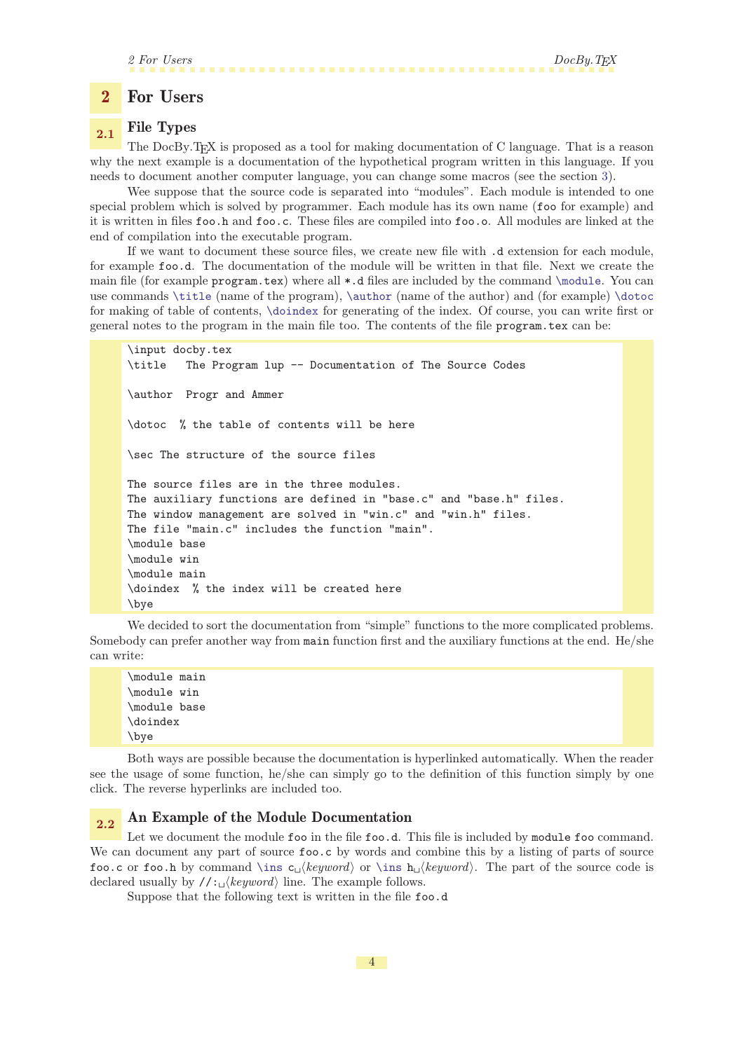# 2 For Users DocBy. TEX

### <span id="page-3-1"></span><span id="page-3-0"></span>2 For Users

# <span id="page-3-2"></span>2.1 File Types

The DocBy.TEX is proposed as a tool for making documentation of C language. That is a reason why the next example is a documentation of the hypothetical program written in this language. If you needs to document another computer language, you can change some macros (see the section [3\)](#page-12-10).

Wee suppose that the source code is separated into "modules". Each module is intended to one special problem which is solved by programmer. Each module has its own name (foo for example) and it is written in files foo.h and foo.c. These files are compiled into foo.o. All modules are linked at the end of compilation into the executable program.

If we want to document these source files, we create new file with .d extension for each module, for example foo.d. The documentation of the module will be written in that file. Next we create the main file (for example program.tex) where all \*.d files are included by the command [\module](#page-14-2). You can use commands [\title](#page-17-7) (name of the program), [\author](#page-18-2) (name of the author) and (for example) [\dotoc](#page-38-0) for making of table of contents, [\doindex](#page-38-3) for generating of the index. Of course, you can write first or general notes to the program in the main file too. The contents of the file program.tex can be:

```
\input docby.tex
\title The Program lup -- Documentation of The Source Codes
\author Progr and Ammer
\dotoc % the table of contents will be here
\sec The structure of the source files
The source files are in the three modules.
The auxiliary functions are defined in "base.c" and "base.h" files.
The window management are solved in "win.c" and "win.h" files.
The file "main.c" includes the function "main".
\module base
\module win
\module main
\doindex % the index will be created here
\bye
```
We decided to sort the documentation from "simple" functions to the more complicated problems. Somebody can prefer another way from main function first and the auxiliary functions at the end. He/she can write:

\module main \module win \module base \doindex \bye

Both ways are possible because the documentation is hyperlinked automatically. When the reader see the usage of some function, he/she can simply go to the definition of this function simply by one click. The reverse hyperlinks are included too.

# <span id="page-3-4"></span>2.2 An Example of the Module Documentation

Let we document the module foo in the file foo.d. This file is included by module foo command. We can document any part of source  $\texttt{foo.c}$  by words and combine this by a listing of parts of source foo.c or foo.h by command [\ins](#page-14-5) c<sub>u</sub> $\langle keyword \rangle$  or \ins h<sub>u</sub> $\langle keyword \rangle$ . The part of the source code is declared usually by  $//: \mathcal{E}(keyword)$  line. The example follows.

<span id="page-3-5"></span>Suppose that the following text is written in the file foo.d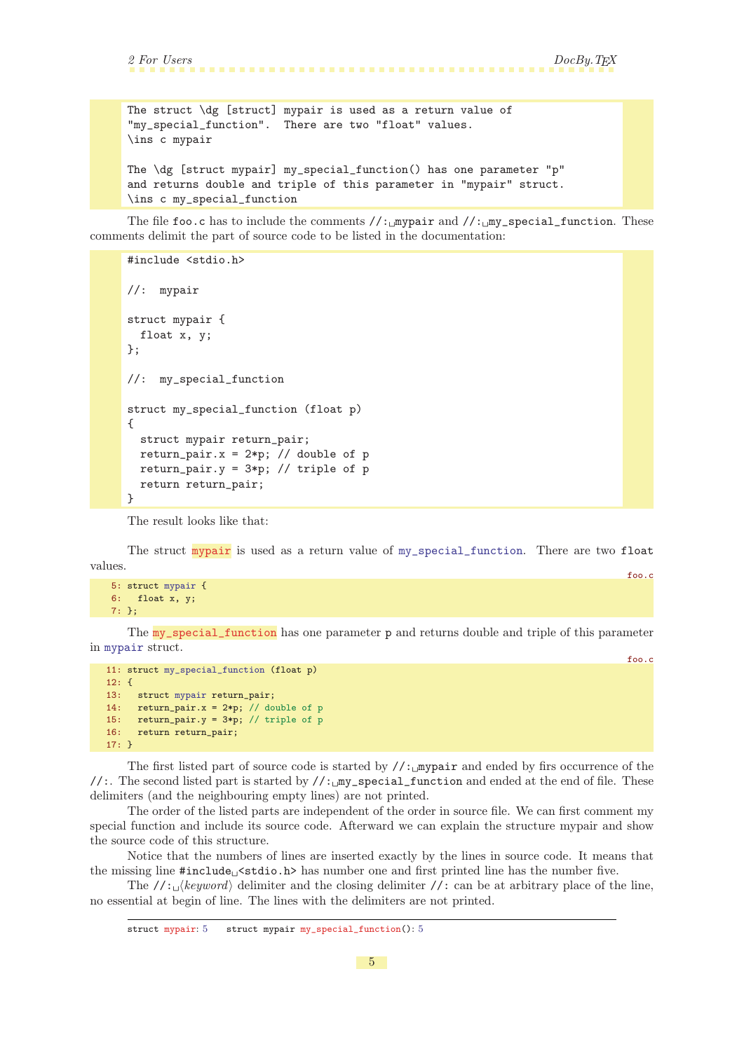foo.c

<span id="page-4-1"></span>The struct \dg [struct] mypair is used as a return value of "my\_special\_function". There are two "float" values. \ins c mypair The \dg [struct mypair] my\_special\_function() has one parameter "p" and returns double and triple of this parameter in "mypair" struct. \ins c my\_special\_function

The file foo.c has to include the comments  $//:$  mypair and  $//:$  my\_special\_function. These comments delimit the part of source code to be listed in the documentation:

```
#include <stdio.h>
//: mypair
struct mypair {
 float x, y;
};
//: my_special_function
struct my_special_function (float p)
{
 struct mypair return_pair;
 return_pair.x = 2*p; // double of p
 return_pair.y = 3*pi; // triple of p
 return return_pair;
}
```
<span id="page-4-0"></span>The result looks like that:

The struct mypair is used as a return value of [my\\_special\\_function](#page-4-2). There are two float values. foo.c

```
5: struct mypair {
6: float x, y;
7: };
```
The my\_special\_function has one parameter p and returns double and triple of this parameter in [mypair](#page-4-0) struct.

```
11: struct my_special_function (float p)
12: {
13: struct mypair return_pair;
14: return_pair.x = 2*p; // double of p
15: return\_pair.y = 3*p; // triple of p16: return return_pair;
17: }
```
The first listed part of source code is started by  $\frac{\partial}{\partial x}$  my pair and ended by firs occurrence of the //:. The second listed part is started by //:\_my\_special\_function and ended at the end of file. These delimiters (and the neighbouring empty lines) are not printed.

The order of the listed parts are independent of the order in source file. We can first comment my special function and include its source code. Afterward we can explain the structure mypair and show the source code of this structure.

Notice that the numbers of lines are inserted exactly by the lines in source code. It means that the missing line  $\text{\#include}} \text{tstate}$ . Stdio.h> has number one and first printed line has the number five.

The  $//: \Delta$ keyword delimiter and the closing delimiter //: can be at arbitrary place of the line, no essential at begin of line. The lines with the delimiters are not printed.

struct mypair: 5 struct mypair my\_special\_function(): 5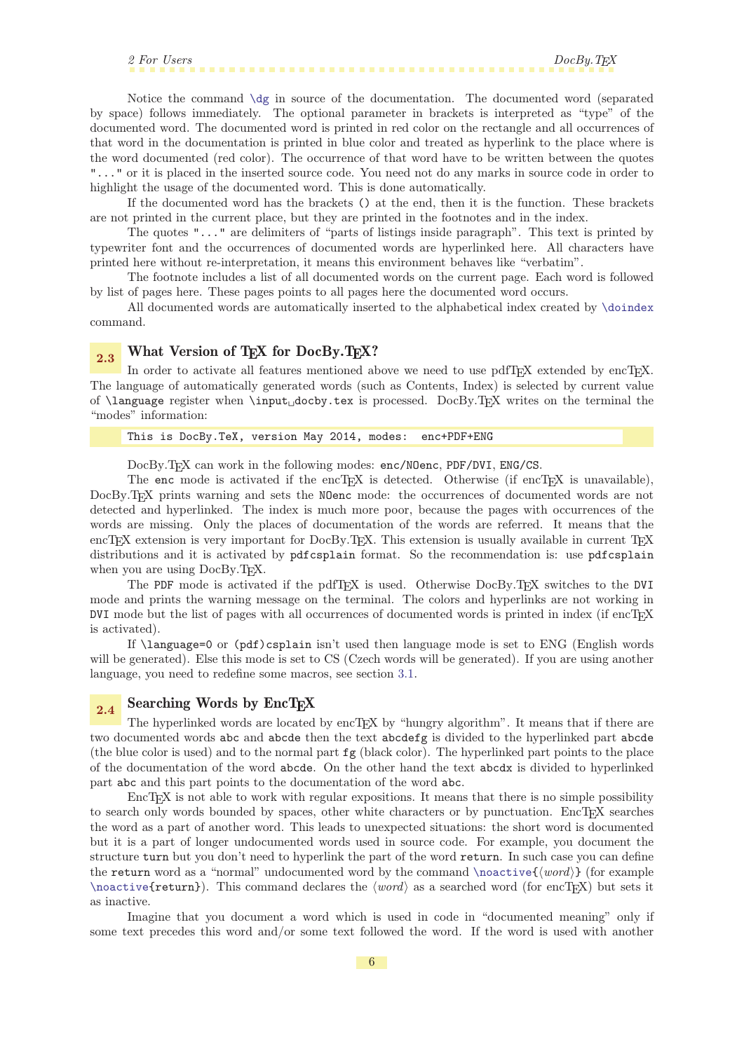<span id="page-5-1"></span>Notice the command [\dg](#page-29-8) in source of the documentation. The documented word (separated by space) follows immediately. The optional parameter in brackets is interpreted as "type" of the documented word. The documented word is printed in red color on the rectangle and all occurrences of that word in the documentation is printed in blue color and treated as hyperlink to the place where is the word documented (red color). The occurrence of that word have to be written between the quotes "..." or it is placed in the inserted source code. You need not do any marks in source code in order to highlight the usage of the documented word. This is done automatically.

If the documented word has the brackets () at the end, then it is the function. These brackets are not printed in the current place, but they are printed in the footnotes and in the index.

The quotes "..." are delimiters of "parts of listings inside paragraph". This text is printed by typewriter font and the occurrences of documented words are hyperlinked here. All characters have printed here without re-interpretation, it means this environment behaves like "verbatim".

The footnote includes a list of all documented words on the current page. Each word is followed by list of pages here. These pages points to all pages here the documented word occurs.

All documented words are automatically inserted to the alphabetical index created by [\doindex](#page-38-3) command.

<span id="page-5-0"></span>2.3 What Version of TEX for DocBy.TEX?

In order to activate all features mentioned above we need to use pdfT<sub>EX</sub> extended by encT<sub>EX</sub>. The language of automatically generated words (such as Contents, Index) is selected by current value of  $\langle$ language register when  $\langle$ input<sub>u</sub>docby.tex is processed. DocBy.TEX writes on the terminal the "modes" information:

This is DocBy.TeX, version May 2014, modes: enc+PDF+ENG

<span id="page-5-5"></span><span id="page-5-3"></span><span id="page-5-2"></span>DocBy.TEX can work in the following modes: enc/NOenc, PDF/DVI, ENG/CS.

The enc mode is activated if the encT<sub>E</sub>X is detected. Otherwise (if encT<sub>E</sub>X is unavailable), DocBy.TEX prints warning and sets the NOenc mode: the occurrences of documented words are not detected and hyperlinked. The index is much more poor, because the pages with occurrences of the words are missing. Only the places of documentation of the words are referred. It means that the encTEX extension is very important for DocBy.TEX. This extension is usually available in current TEX distributions and it is activated by pdfcsplain format. So the recommendation is: use pdfcsplain when you are using DocBy.T<sub>EX</sub>.

<span id="page-5-4"></span>The PDF mode is activated if the pdfT<sub>E</sub>X is used. Otherwise DocBy.T<sub>E</sub>X switches to the DVI mode and prints the warning message on the terminal. The colors and hyperlinks are not working in DVI mode but the list of pages with all occurrences of documented words is printed in index (if encTEX is activated).

If \language=0 or (pdf)csplain isn't used then language mode is set to ENG (English words will be generated). Else this mode is set to CS (Czech words will be generated). If you are using another language, you need to redefine some macros, see section [3.1](#page-13-0).

# <span id="page-5-6"></span> $_{2.4}$  Searching Words by EncTEX

The hyperlinked words are located by encT<sub>EX</sub> by "hungry algorithm". It means that if there are two documented words abc and abcde then the text abcdefg is divided to the hyperlinked part abcde (the blue color is used) and to the normal part fg (black color). The hyperlinked part points to the place of the documentation of the word abcde. On the other hand the text abcdx is divided to hyperlinked part abc and this part points to the documentation of the word abc.

EncT<sub>EX</sub> is not able to work with regular expositions. It means that there is no simple possibility to search only words bounded by spaces, other white characters or by punctuation. EncTEX searches the word as a part of another word. This leads to unexpected situations: the short word is documented but it is a part of longer undocumented words used in source code. For example, you document the structure turn but you don't need to hyperlink the part of the word return. In such case you can define the return word as a "normal" undocumented word by the command [\noactive{](#page-23-6) $\{word\}$ } (for example  $\Omega$  [\noactive](#page-23-6){return}). This command declares the  $\langle word \rangle$  as a searched word (for encTEX) but sets it as inactive.

<span id="page-5-7"></span>Imagine that you document a word which is used in code in "documented meaning" only if some text precedes this word and/or some text followed the word. If the word is used with another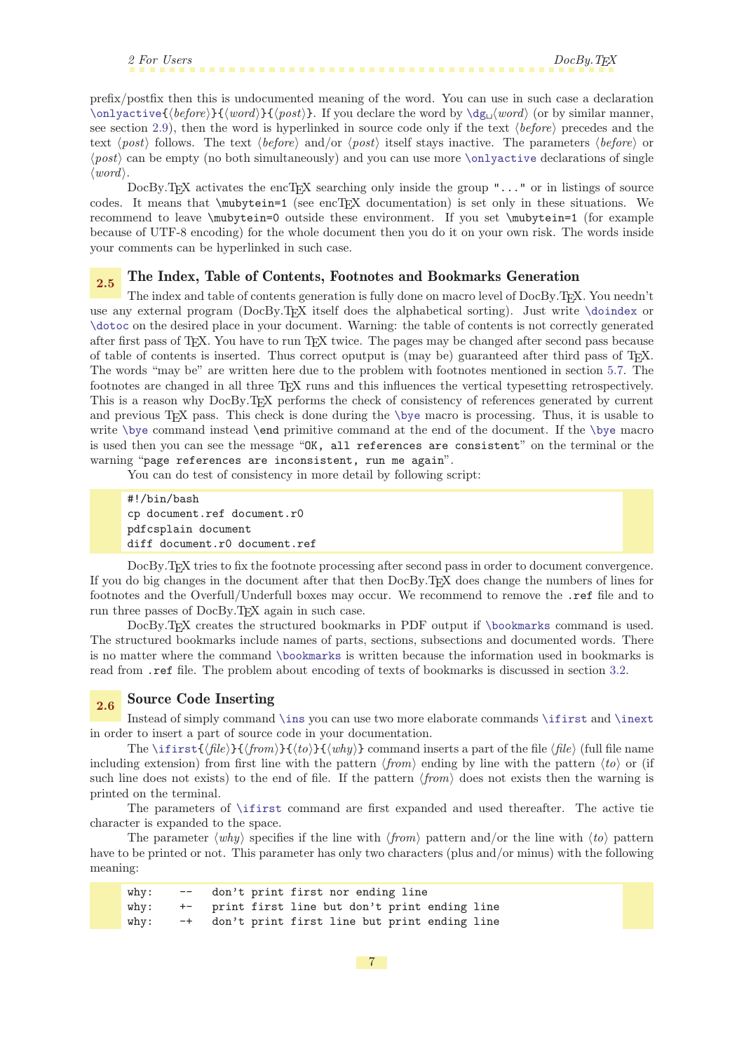<span id="page-6-1"></span><span id="page-6-0"></span>prefix/postfix then this is undocumented meaning of the word. You can use in such case a declaration  $\onumber \{\langle before \rangle\}$ {\word\}{\post\}. If you declare the word by  $\deg_u(word)$  (or by similar manner, see section [2.9\)](#page-8-6), then the word is hyperlinked in source code only if the text  $\langle before \rangle$  precedes and the text  $\langle post \rangle$  follows. The text  $\langle before \rangle$  and/or  $\langle post \rangle$  itself stays inactive. The parameters  $\langle before \rangle$  or  $\langle post \rangle$  can be empty (no both simultaneously) and you can use more [\onlyactive](#page-24-2) declarations of single  $\langle word \rangle$ .

DocBy.T<sub>EX</sub> activates the encT<sub>EX</sub> searching only inside the group " $\dots$ " or in listings of source codes. It means that \mubytein=1 (see encTEX documentation) is set only in these situations. We recommend to leave \mubytein=0 outside these environment. If you set \mubytein=1 (for example because of UTF-8 encoding) for the whole document then you do it on your own risk. The words inside your comments can be hyperlinked in such case.

### <span id="page-6-2"></span>2.5 The Index, Table of Contents, Footnotes and Bookmarks Generation

<span id="page-6-4"></span>The index and table of contents generation is fully done on macro level of DocBy.T<sub>E</sub>X. You needn't use any external program (DocBy.TEX itself does the alphabetical sorting). Just write [\doindex](#page-38-3) or [\dotoc](#page-38-0) on the desired place in your document. Warning: the table of contents is not correctly generated after first pass of TEX. You have to run TEX twice. The pages may be changed after second pass because of table of contents is inserted. Thus correct oputput is (may be) guaranteed after third pass of TEX. The words "may be" are written here due to the problem with footnotes mentioned in section [5.7.](#page-31-7) The footnotes are changed in all three TEX runs and this influences the vertical typesetting retrospectively. This is a reason why DocBy.TEX performs the check of consistency of references generated by current and previous T<sub>E</sub>X pass. This check is done during the [\bye](#page-36-3) macro is processing. Thus, it is usable to write [\bye](#page-36-3) command instead \end primitive command at the end of the document. If the [\bye](#page-36-3) macro is used then you can see the message "OK, all references are consistent" on the terminal or the warning "page references are inconsistent, run me again".

<span id="page-6-5"></span><span id="page-6-3"></span>You can do test of consistency in more detail by following script:

<span id="page-6-6"></span>#!/bin/bash cp document.ref document.r0 pdfcsplain document diff document.r0 document.ref

DocBy.TEX tries to fix the footnote processing after second pass in order to document convergence. If you do big changes in the document after that then DocBy.TEX does change the numbers of lines for footnotes and the Overfull/Underfull boxes may occur. We recommend to remove the .ref file and to run three passes of DocBy.TEX again in such case.

DocBy.TEX creates the structured bookmarks in PDF output if [\bookmarks](#page-39-6) command is used. The structured bookmarks include names of parts, sections, subsections and documented words. There is no matter where the command [\bookmarks](#page-39-6) is written because the information used in bookmarks is read from .ref file. The problem about encoding of texts of bookmarks is discussed in section [3.2.](#page-13-7)

### <span id="page-6-9"></span><span id="page-6-8"></span><span id="page-6-7"></span>2.6 Source Code Inserting

Instead of simply command [\ins](#page-14-5) you can use two more elaborate commands [\ifirst](#page-24-11) and [\inext](#page-25-0) in order to insert a part of source code in your documentation.

The [\ifirst](#page-24-11){ $\{file\}{\{from}\}{\{\langle to\rangle\}\{\langle why\rangle\}$  command inserts a part of the file  $\{file\}$  (full file name including extension) from first line with the pattern  $\langle from \rangle$  ending by line with the pattern  $\langle to \rangle$  or (if such line does not exists) to the end of file. If the pattern  $\langle from \rangle$  does not exists then the warning is printed on the terminal.

The parameters of [\ifirst](#page-24-11) command are first expanded and used thereafter. The active tie character is expanded to the space.

The parameter  $\langle why \rangle$  specifies if the line with  $\langle from \rangle$  pattern and/or the line with  $\langle to \rangle$  pattern have to be printed or not. This parameter has only two characters (plus and/or minus) with the following meaning:

| $w$ h $v:$ | $--$ | don't print first nor ending line |  |  |                                              |  |
|------------|------|-----------------------------------|--|--|----------------------------------------------|--|
| $w$ hy:    | $+-$ |                                   |  |  | print first line but don't print ending line |  |
| why:       | $-+$ |                                   |  |  | don't print first line but print ending line |  |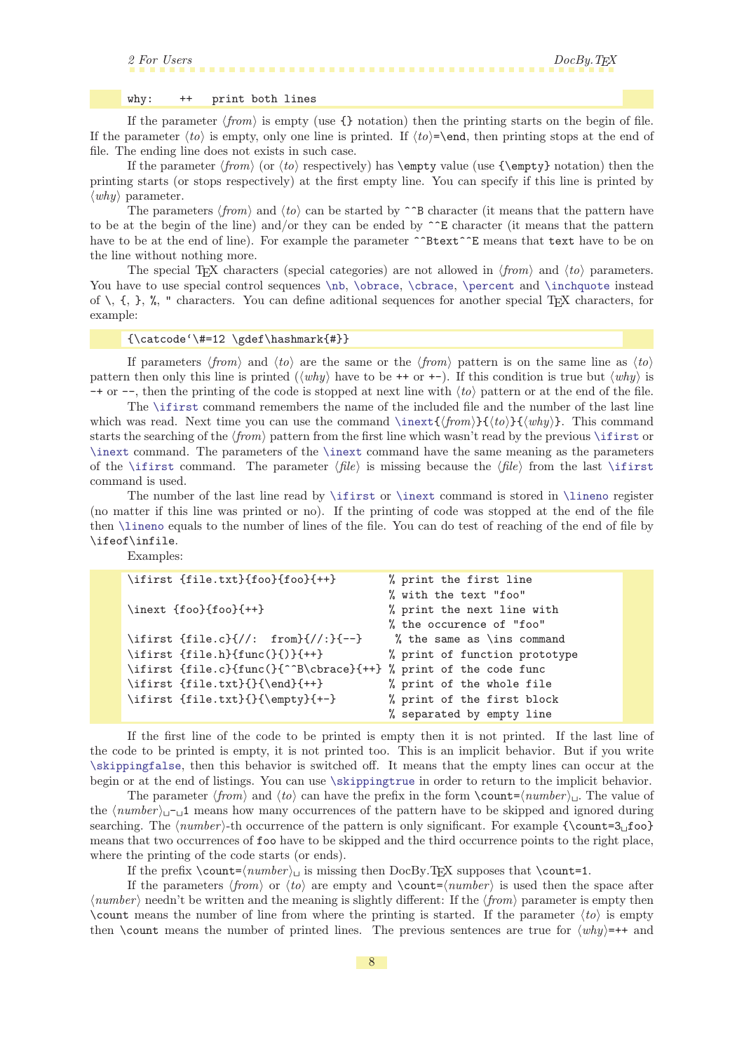### <span id="page-7-2"></span><span id="page-7-0"></span>why: ++ print both lines

<span id="page-7-1"></span>If the parameter  $\langle from \rangle$  is empty (use {} notation) then the printing starts on the begin of file. If the parameter  $\langle \text{to} \rangle$  is empty, only one line is printed. If  $\langle \text{to} \rangle$ =\end, then printing stops at the end of file. The ending line does not exists in such case.

If the parameter  $\langle from \rangle$  (or  $\langle to \rangle$  respectively) has  $\emptyset$  value (use  $\langle fremy \rangle$  notation) then the printing starts (or stops respectively) at the first empty line. You can specify if this line is printed by  $\langle why \rangle$  parameter.

The parameters  $\langle from \rangle$  and  $\langle to \rangle$  can be started by  $\hat{\phantom{a}}$  B character (it means that the pattern have to be at the begin of the line) and/or they can be ended by  $\hat{E}$  character (it means that the pattern have to be at the end of line). For example the parameter  $\hat{\ }$ Btext $\hat{\ }$ E means that text have to be on the line without nothing more.

The special T<sub>EX</sub> characters (special categories) are not allowed in  $\langle from \rangle$  and  $\langle to \rangle$  parameters. You have to use special control sequences  $\nb$ ,  $\otimes$ ,  $\therefore$   $\therefore$   $\therefore$   $\therefore$   $\therefore$   $\therefore$   $\therefore$   $\therefore$   $\therefore$   $\therefore$   $\therefore$   $\therefore$   $\therefore$   $\therefore$   $\therefore$   $\therefore$   $\therefore$   $\therefore$   $\therefore$   $\therefore$   $\therefore$   $\therefore$   $\therefore$   $\therefore$   $\therefore$   $\therefore$   $\therefore$   $\therefore$ of  $\langle, \{, \}, \rangle$ , " characters. You can define aditional sequences for another special T<sub>EX</sub> characters, for example:

### <span id="page-7-7"></span><span id="page-7-6"></span><span id="page-7-5"></span><span id="page-7-4"></span><span id="page-7-3"></span> ${\catcode'}$  +=12 \gdef\hashmark{#}}

If parameters  $\langle from \rangle$  and  $\langle to \rangle$  are the same or the  $\langle from \rangle$  pattern is on the same line as  $\langle to \rangle$ pattern then only this line is printed  $(\langle why \rangle)$  have to be ++ or +-). If this condition is true but  $\langle why \rangle$  is  $-+$  or  $-$ , then the printing of the code is stopped at next line with  $\langle to \rangle$  pattern or at the end of the file.

The [\ifirst](#page-24-11) command remembers the name of the included file and the number of the last line which was read. Next time you can use the command  $\in{\{from\}}{\{\to\}}({why})$ . This command starts the searching of the  $\langle from \rangle$  pattern from the first line which wasn't read by the previous  $\iint$ ifirst or [\inext](#page-25-0) command. The parameters of the [\inext](#page-25-0) command have the same meaning as the parameters of the [\ifirst](#page-24-11) command. The parameter  $\langle file \rangle$  is missing because the  $\langle file \rangle$  from the last \ifirst command is used.

The number of the last line read by [\ifirst](#page-24-11) or [\inext](#page-25-0) command is stored in [\lineno](#page-24-5) register (no matter if this line was printed or no). If the printing of code was stopped at the end of the file then [\lineno](#page-24-5) equals to the number of lines of the file. You can do test of reaching of the end of file by \ifeof\infile.

<span id="page-7-8"></span>Examples:

| \ifirst {file.txt}{foo}{foo}{++}                                 | % print the first line         |
|------------------------------------------------------------------|--------------------------------|
|                                                                  | % with the text "foo"          |
| $\in$ {foo}{foo}{++}                                             | % print the next line with     |
|                                                                  | % the occurence of "foo"       |
| \ifirst {file.c}{//: from}{//:}{--}                              | % the same as $\infty$ command |
| $\iff \{file.h\} \{func(\} \} \{++\}$                            | % print of function prototype  |
| \ifirst {file.c}{func(}{^^B\cbrace}{++} % print of the code func |                                |
| $\ifist \{file.txt\} {\end{}++}$                                 | % print of the whole file      |
| \ifirst {file.txt}{}{\empty}{+-}                                 | % print of the first block     |
|                                                                  | % separated by empty line      |

<span id="page-7-9"></span>If the first line of the code to be printed is empty then it is not printed. If the last line of the code to be printed is empty, it is not printed too. This is an implicit behavior. But if you write [\skippingfalse](#page-24-9), then this behavior is switched off. It means that the empty lines can occur at the begin or at the end of listings. You can use [\skippingtrue](#page-24-10) in order to return to the implicit behavior.

The parameter  $\langle from \rangle$  and  $\langle to \rangle$  can have the prefix in the form  $\count = \langle number \rangle$ . The value of the  $\langle number\rangle_{\sqcup}\neg_{\sqcup}1$  means how many occurrences of the pattern have to be skipped and ignored during searching. The  $\langle number \rangle$ -th occurrence of the pattern is only significant. For example  $\{\{\text{count=3} \text{ of } n\}$ means that two occurrences of foo have to be skipped and the third occurrence points to the right place, where the printing of the code starts (or ends).

<span id="page-7-11"></span><span id="page-7-10"></span>If the prefix  $\count = \number \in \{number\}_{1}$  is missing then DocBy.TEX supposes that  $\count=1$ .

If the parameters  $\langle from \rangle$  or  $\langle to \rangle$  are empty and  $\text{count}=\langle number \rangle$  is used then the space after  $\langle number \rangle$  needn't be written and the meaning is slightly different: If the  $\langle from \rangle$  parameter is empty then \count means the number of line from where the printing is started. If the parameter  $\langle \{t_0\} \rangle$  is empty then \count means the number of printed lines. The previous sentences are true for  $\langle why \rangle = ++$  and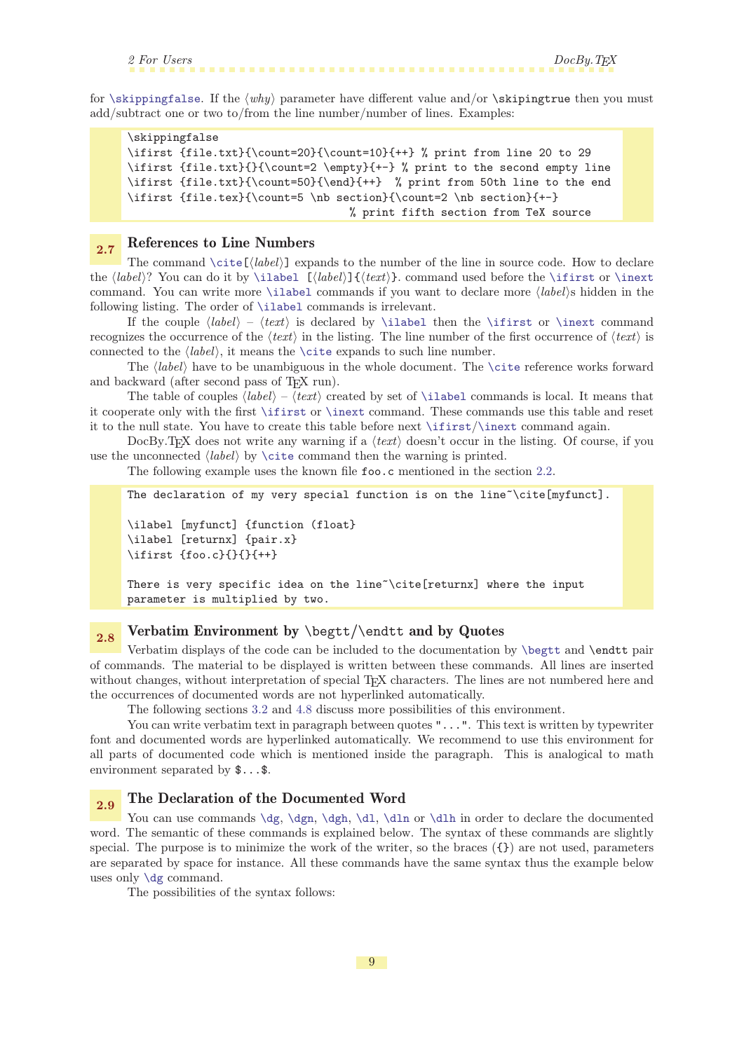<span id="page-8-1"></span>for [\skippingfalse](#page-24-9). If the  $\langle why \rangle$  parameter have different value and/or \skipingtrue then you must add/subtract one or two to/from the line number/number of lines. Examples:

```
\skippingfalse
\ifirst {file.txt}{\count=20}{\count=10}{++} % print from line 20 to 29
\ifirst {file.txt}{}{\count=2 \empty}{+-} % print to the second empty line
\ifirst {file.txt}{\count=50}{\end}{++} % print from 50th line to the end
\ifirst {file.tex}{\count=5 \nb section}{\count=2 \nb section}{+-}
                                  % print fifth section from TeX source
```
# <span id="page-8-0"></span>2.7 References to Line Numbers

The command  $\setminus$ cite $[\langle label \rangle]$  expands to the number of the line in source code. How to declare the  $\langle label \rangle$ ? You can do it by [\ilabel](#page-27-4)  $[\langle label \rangle] {\langle text \rangle}$ . command used before the [\ifirst](#page-24-11) or [\inext](#page-25-0) command. You can write more [\ilabel](#page-27-4) commands if you want to declare more  $\langle label \rangle$ s hidden in the following listing. The order of [\ilabel](#page-27-4) commands is irrelevant.

If the couple  $\langle label \rangle - \langle text \rangle$  is declared by [\ilabel](#page-27-4) then the [\ifirst](#page-24-11) or [\inext](#page-25-0) command recognizes the occurrence of the  $\langle text \rangle$  in the listing. The line number of the first occurrence of  $\langle text \rangle$  is connected to the  $\langle label \rangle$ , it means the [\cite](#page-35-11) expands to such line number.

The  $\langle label \rangle$  have to be unambiguous in the whole document. The [\cite](#page-35-11) reference works forward and backward (after second pass of T<sub>E</sub>X run).

The table of couples  $\langle label \rangle - \langle text \rangle$  created by set of [\ilabel](#page-27-4) commands is local. It means that it cooperate only with the first [\ifirst](#page-24-11) or [\inext](#page-25-0) command. These commands use this table and reset it to the null state. You have to create this table before next [\ifirst](#page-24-11)/[\inext](#page-25-0) command again.

DocBy.TEX does not write any warning if a  $\langle text \rangle$  doesn't occur in the listing. Of course, if you use the unconnected  $\langle label \rangle$  by  $\text{time}$  command then the warning is printed.

The following example uses the known file foo.c mentioned in the section [2.2](#page-3-4).

```
The declaration of my very special function is on the line~\cite[myfunct].
\ilabel [myfunct] {function (float}
\ilabel [returnx] {pair.x}
\ifirst {foo.c}{}{}{++}
There is very specific idea on the line~\cite[returnx] where the input
parameter is multiplied by two.
```
# <span id="page-8-3"></span> $2.8$  Verbatim Environment by \begtt/\endtt and by Quotes

Verbatim displays of the code can be included to the documentation by [\begtt](#page-27-8) and \endtt pair of commands. The material to be displayed is written between these commands. All lines are inserted without changes, without interpretation of special T<sub>EX</sub> characters. The lines are not numbered here and the occurrences of documented words are not hyperlinked automatically.

<span id="page-8-5"></span><span id="page-8-4"></span>The following sections [3.2](#page-13-7) and [4.8](#page-21-3) discuss more possibilities of this environment.

You can write verbatim text in paragraph between quotes "...". This text is written by typewriter font and documented words are hyperlinked automatically. We recommend to use this environment for all parts of documented code which is mentioned inside the paragraph. This is analogical to math environment separated by \$...\$.

# <span id="page-8-6"></span>2.9 The Declaration of the Documented Word

You can use commands [\dg](#page-29-8), [\dgn](#page-29-10), [\dgh](#page-29-11), [\dl](#page-29-9), [\dln](#page-29-12) or [\dlh](#page-29-13) in order to declare the documented word. The semantic of these commands is explained below. The syntax of these commands are slightly special. The purpose is to minimize the work of the writer, so the braces  $(\{\})$  are not used, parameters are separated by space for instance. All these commands have the same syntax thus the example below uses only [\dg](#page-29-8) command.

<span id="page-8-12"></span><span id="page-8-11"></span><span id="page-8-10"></span><span id="page-8-9"></span><span id="page-8-8"></span><span id="page-8-7"></span>The possibilities of the syntax follows: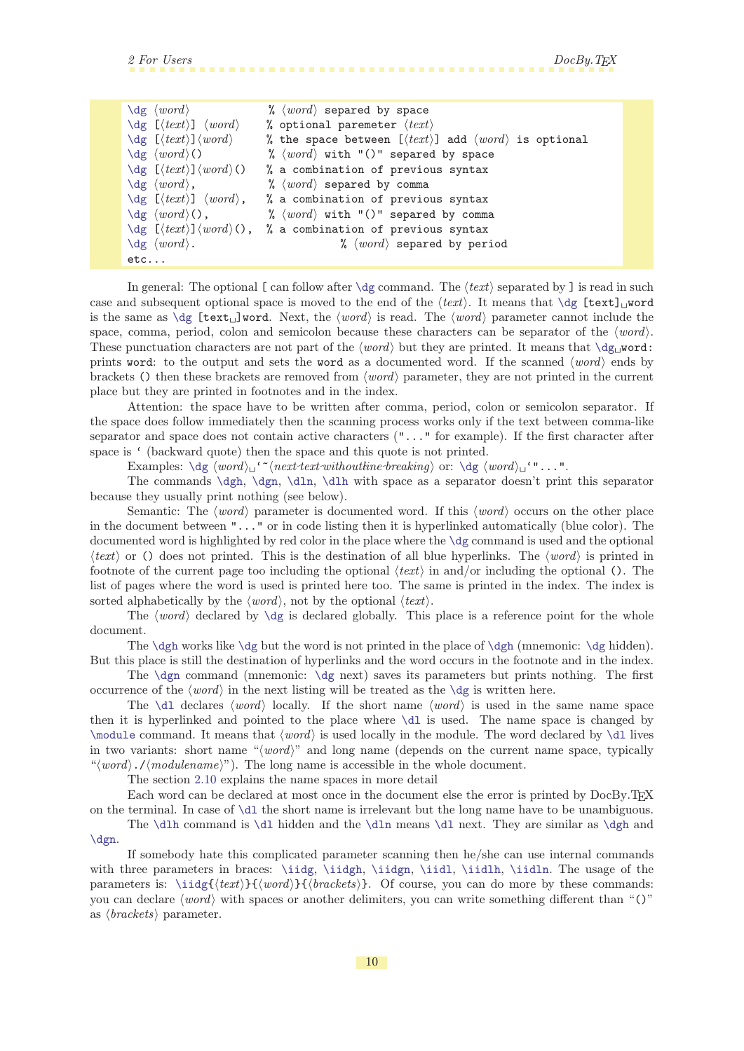<span id="page-9-1"></span>

| $\deg \ (word)$                                              | % $\langle word \rangle$ separed by space                                           |
|--------------------------------------------------------------|-------------------------------------------------------------------------------------|
| $\deg$ [ $\langle text \rangle$ ] $\langle word \rangle$     | % optional paremeter $\langle text \rangle$                                         |
| $\deg$ [ $\langle text \rangle$ ] $\langle word \rangle$     | % the space between $[\langle text \rangle]$ add $\langle word \rangle$ is optional |
| $\deg \ (word)$ ()                                           | % $\langle word \rangle$ with "()" separed by space                                 |
| $\deg$ $[(text)\} \langle word \rangle()$                    | % a combination of previous syntax                                                  |
| $\deg \; \langle word \rangle$ ,                             | % $\langle word \rangle$ separed by comma                                           |
| $\deg$ [ $\langle text \rangle$ ] $\langle word \rangle$ ,   | % a combination of previous syntax                                                  |
| $\deg (word)($ ,                                             | % $\langle word \rangle$ with "()" separed by comma                                 |
| $\deg$ [ $\langle text \rangle$ ] $\langle word \rangle()$ , | % a combination of previous syntax                                                  |
| $\deg$ $\langle word \rangle$ .                              | % $\langle word \rangle$ separed by period                                          |
| $etc.$                                                       |                                                                                     |

In general: The optional [ can follow after  $\deg$  command. The  $\langle text \rangle$  separated by ] is read in such case and subsequent optional space is moved to the end of the  $\langle text \rangle$ . It means that  $\{ \text{dest} \}$  word is the same as  $\deg$  [text<sub>1</sub>]word. Next, the  $\langle word \rangle$  is read. The  $\langle word \rangle$  parameter cannot include the space, comma, period, colon and semicolon because these characters can be separator of the  $\langle word \rangle$ . These punctuation characters are not part of the  $\langle word \rangle$  but they are printed. It means that  $\deg_U$ word: prints word: to the output and sets the word as a documented word. If the scanned  $\langle word \rangle$  ends by brackets () then these brackets are removed from  $\langle word \rangle$  parameter, they are not printed in the current place but they are printed in footnotes and in the index.

Attention: the space have to be written after comma, period, colon or semicolon separator. If the space does follow immediately then the scanning process works only if the text between comma-like separator and space does not contain active characters ("..." for example). If the first character after space is  $\prime$  (backward quote) then the space and this quote is not printed.

Examples:  $\deg (word)_{\iota}$ ' " $\langle next text \nwith outline \nthe \n probability \n\quad \n\deg (word)_{\iota}$ '"...".

The commands [\dgh](#page-29-11), [\dgn](#page-29-10), [\dln](#page-29-12), [\dlh](#page-29-13) with space as a separator doesn't print this separator because they usually print nothing (see below).

Semantic: The  $\langle word \rangle$  parameter is documented word. If this  $\langle word \rangle$  occurs on the other place in the document between "..." or in code listing then it is hyperlinked automatically (blue color). The documented word is highlighted by red color in the place where the [\dg](#page-29-8) command is used and the optional  $\langle text \rangle$  or () does not printed. This is the destination of all blue hyperlinks. The  $\langle word \rangle$  is printed in footnote of the current page too including the optional  $\langle text \rangle$  in and/or including the optional (). The list of pages where the word is used is printed here too. The same is printed in the index. The index is sorted alphabetically by the  $\langle word \rangle$ , not by the optional  $\langle text \rangle$ .

The  $\{word\}$  declared by  $\dg$  is declared globally. This place is a reference point for the whole document.

The [\dgh](#page-29-11) works like [\dg](#page-29-8) but the word is not printed in the place of \dgh (mnemonic: \dg hidden). But this place is still the destination of hyperlinks and the word occurs in the footnote and in the index.

The  $\d$ gn command (mnemonic:  $\deg$  next) saves its parameters but prints nothing. The first occurrence of the  $\langle word \rangle$  in the next listing will be treated as the  $\dg$  is written here.

The [\dl](#page-29-9) declares  $\langle word \rangle$  locally. If the short name  $\langle word \rangle$  is used in the same name space then it is hyperlinked and pointed to the place where [\dl](#page-29-9) is used. The name space is changed by [\module](#page-14-2) command. It means that  $\langle word \rangle$  is used locally in the module. The word declared by [\dl](#page-29-9) lives in two variants: short name " $\langle word \rangle$ " and long name (depends on the current name space, typically " $\langle word \rangle$ ./ $\langle modulename \rangle$ "). The long name is accessible in the whole document.

<span id="page-9-6"></span><span id="page-9-5"></span><span id="page-9-4"></span><span id="page-9-3"></span><span id="page-9-2"></span><span id="page-9-0"></span>The section [2.10](#page-10-0) explains the name spaces in more detail

Each word can be declared at most once in the document else the error is printed by DocBy.TEX on the terminal. In case of [\dl](#page-29-9) the short name is irrelevant but the long name have to be unambiguous.

The [\dlh](#page-29-13) command is [\dl](#page-29-9) hidden and the [\dln](#page-29-12) means [\dl](#page-29-9) next. They are similar as [\dgh](#page-29-11) and [\dgn](#page-29-10).

If somebody hate this complicated parameter scanning then he/she can use internal commands with three parameters in braces: [\iidg](#page-30-7), [\iidgh](#page-31-0), [\iidgn](#page-31-3), [\iidl](#page-30-8), [\iidlh](#page-31-2), [\iidln](#page-31-5). The usage of the parameters is:  $\iint g({text}{rath})$  (*brackets*). Of course, you can do more by these commands: you can declare  $\langle word \rangle$  with spaces or another delimiters, you can write something different than "()" as  $\langle brackets \rangle$  parameter.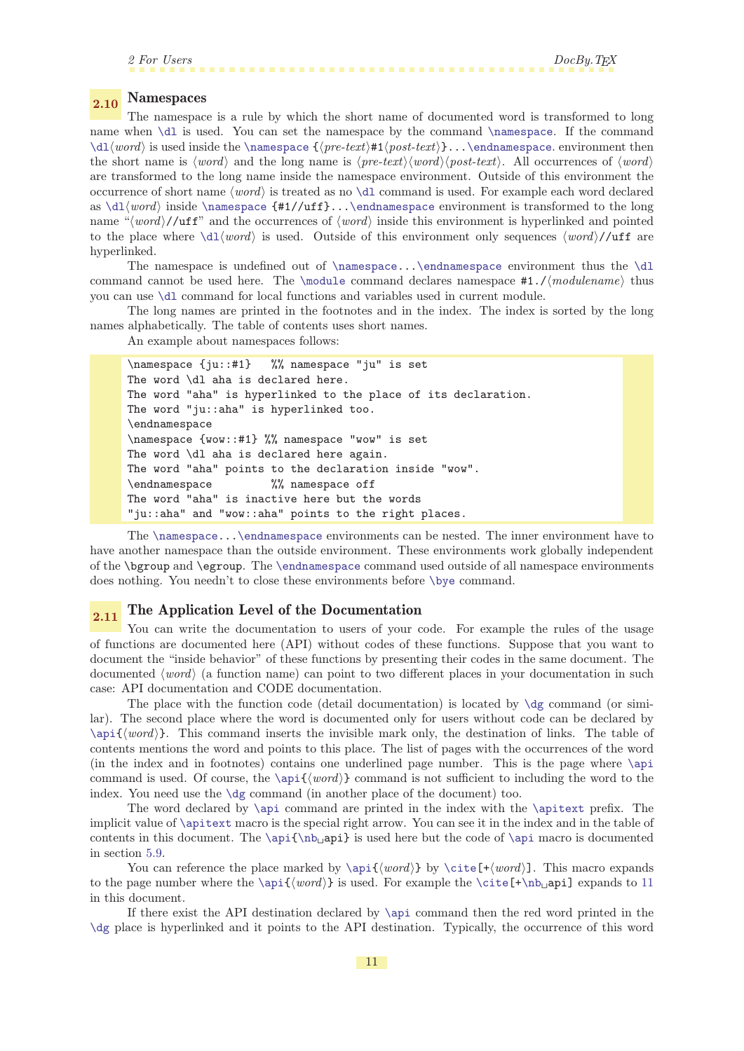# <span id="page-10-3"></span><span id="page-10-2"></span><span id="page-10-1"></span><span id="page-10-0"></span>2.10 Namespaces

The namespace is a rule by which the short name of documented word is transformed to long name when [\dl](#page-29-9) is used. You can set the namespace by the command [\namespace](#page-28-3). If the command  $\d{1(word)}$  is used inside the [\namespace](#page-28-3) { $\preceq$  { $\preceq$  \texti#1 $\post-text$ }...[\endnamespace](#page-28-5). environment then the short name is  $\langle word \rangle$  and the long name is  $\langle pre-text \rangle \langle word \rangle \langle post-text \rangle$ . All occurrences of  $\langle word \rangle$ are transformed to the long name inside the namespace environment. Outside of this environment the occurrence of short name  $\langle word \rangle$  is treated as no  $\langle \text{d}$  command is used. For example each word declared as  $\d1word$  inside [\namespace](#page-28-3) {#1//uff}..[.\endnamespace](#page-28-5) environment is transformed to the long name " $\langle word \rangle$ /uff" and the occurrences of  $\langle word \rangle$  inside this environment is hyperlinked and pointed to the place where  $\ddot{u}$  is used. Outside of this environment only sequences  $\langle word \rangle$ /uff are hyperlinked.

The namespace is undefined out of [\namespace](#page-28-3)...[\endnamespace](#page-28-5) environment thus the [\dl](#page-29-9) command cannot be used here. The [\module](#page-14-2) command declares namespace  $#1.$ / $\mod$ ulename} thus you can use [\dl](#page-29-9) command for local functions and variables used in current module.

The long names are printed in the footnotes and in the index. The index is sorted by the long names alphabetically. The table of contents uses short names.

An example about namespaces follows:

```
\namespace {ju::#1} %% namespace "ju" is set
The word \dl aha is declared here.
The word "aha" is hyperlinked to the place of its declaration.
The word "ju::aha" is hyperlinked too.
\endnamespace
\namespace {wow::#1} %% namespace "wow" is set
The word \dl aha is declared here again.
The word "aha" points to the declaration inside "wow".
\endnamespace %% namespace off
The word "aha" is inactive here but the words
"ju::aha" and "wow::aha" points to the right places.
```
The [\namespace.](#page-28-3).[.\endnamespace](#page-28-5) environments can be nested. The inner environment have to have another namespace than the outside environment. These environments work globally independent of the \bgroup and \egroup. The [\endnamespace](#page-28-5) command used outside of all namespace environments does nothing. You needn't to close these environments before [\bye](#page-36-3) command.

# <span id="page-10-4"></span> $2.11$  The Application Level of the Documentation

You can write the documentation to users of your code. For example the rules of the usage of functions are documented here (API) without codes of these functions. Suppose that you want to document the "inside behavior" of these functions by presenting their codes in the same document. The documented  $\langle word \rangle$  (a function name) can point to two different places in your documentation in such case: API documentation and CODE documentation.

<span id="page-10-5"></span>The place with the function code (detail documentation) is located by  $\dg$  command (or similar). The second place where the word is documented only for users without code can be declared by  $\apash \alpha\$ . This command inserts the invisible mark only, the destination of links. The table of contents mentions the word and points to this place. The list of pages with the occurrences of the word (in the index and in footnotes) contains one underlined page number. This is the page where [\api](#page-36-0) command is used. Of course, the  $\qquad$  command is not sufficient to including the word to the index. You need use the [\dg](#page-29-8) command (in another place of the document) too.

<span id="page-10-6"></span>The word declared by [\api](#page-36-0) command are printed in the index with the [\apitext](#page-36-2) prefix. The implicit value of [\apitext](#page-36-2) macro is the special right arrow. You can see it in the index and in the table of contents in this document. The  $\ap{i\ho_api}$  is used here but the code of  $\ap{i\phi_api}$ in section [5.9.](#page-34-6)

You can reference the place marked by  $\apaket{\text{word}}$  by  $\cite[+/word)]$  $\cite[+/word)]$ . This macro expands to the page number where the  $\apaket{word}$  is used. For example the  $\cite[+\hbar]api]$  $\cite[+\hbar]api]$  expands to [11](#page-10-5) in this document.

If there exist the API destination declared by [\api](#page-36-0) command then the red word printed in the [\dg](#page-29-8) place is hyperlinked and it points to the API destination. Typically, the occurrence of this word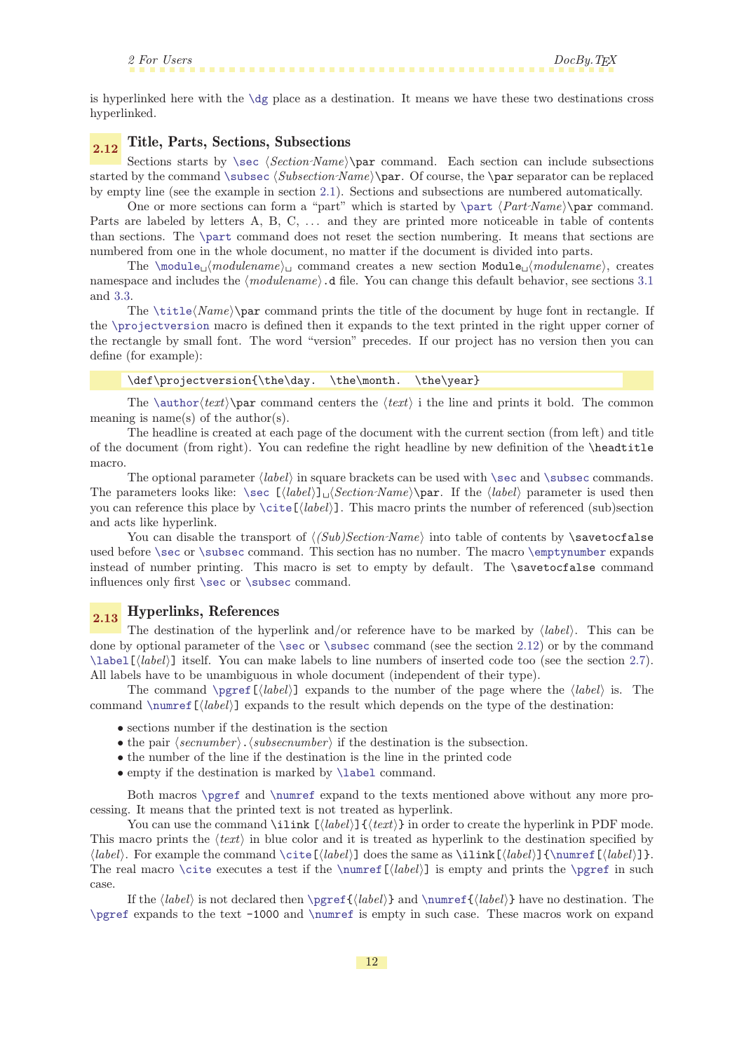<span id="page-11-10"></span><span id="page-11-9"></span><span id="page-11-8"></span><span id="page-11-4"></span><span id="page-11-3"></span><span id="page-11-2"></span>

<span id="page-11-1"></span>is hyperlinked here with the [\dg](#page-29-8) place as a destination. It means we have these two destinations cross hyperlinked.

# <span id="page-11-0"></span>2.12 Title, Parts, Sections, Subsections

Sections starts by  $\sec \left(Section~Name\right)$  $\sec \left(Section~Name\right)$  command. Each section can include subsections started by the command [\subsec](#page-33-7)  $\{Subsection \cdot Name\}\parrow$ . Of course, the \par separator can be replaced by empty line (see the example in section [2.1\)](#page-3-2). Sections and subsections are numbered automatically.

One or more sections can form a "part" which is started by  $\part$   $\Part\Name\parrow$ Parts are labeled by letters A, B, C, ... and they are printed more noticeable in table of contents than sections. The [\part](#page-34-4) command does not reset the section numbering. It means that sections are numbered from one in the whole document, no matter if the document is divided into parts.

The  $\mod_{e_{\text{model}}}$  command creates a new section  $\mod_{e_{\text{model}}}$ , creates namespace and includes the  $\langle modulence \rangle$ .d file. You can change this default behavior, see sections [3.1](#page-13-0) and [3.3](#page-14-0).

The  $\title\Name\para\partial\phi\$  $\title\Name\para\partial\phi\$  command prints the title of the document by huge font in rectangle. If the [\projectversion](#page-18-0) macro is defined then it expands to the text printed in the right upper corner of the rectangle by small font. The word "version" precedes. If our project has no version then you can define (for example):

<span id="page-11-7"></span><span id="page-11-6"></span><span id="page-11-5"></span>\def\projectversion{\the\day. \the\month. \the\year}

The [\author](#page-18-2){text}\par command centers the  $\text{ }$  i the line and prints it bold. The common meaning is name(s) of the author(s).

The headline is created at each page of the document with the current section (from left) and title of the document (from right). You can redefine the right headline by new definition of the \headtitle macro.

The optional parameter  $\langle label \rangle$  in square brackets can be used with  $\sec$  and  $\substack{\text{subsec} \text{commands.}}$ The parameters looks like:  $\sec \left( \frac{\langle \delta \rangle}{\sqrt{\langle \delta \rangle}} \right)$  $\sec \left( \frac{\langle \delta \rangle}{\sqrt{\langle \delta \rangle}} \right)$  har. If the  $\langle \delta \rangle$  parameter is used then you can reference this place by  $\cite[label]$  $\cite[label]$ . This macro prints the number of referenced (sub)section and acts like hyperlink.

You can disable the transport of  $\langle (Sub)Section Name \rangle$  into table of contents by \savetocfalse used before [\sec](#page-33-6) or [\subsec](#page-33-7) command. This section has no number. The macro [\emptynumber](#page-17-5) expands instead of number printing. This macro is set to empty by default. The \savetocfalse command influences only first [\sec](#page-33-6) or [\subsec](#page-33-7) command.

# <span id="page-11-11"></span>2.13 Hyperlinks, References

<span id="page-11-12"></span>The destination of the hyperlink and/or reference have to be marked by  $\langle label \rangle$ . This can be done by optional parameter of the [\sec](#page-33-6) or [\subsec](#page-33-7) command (see the section [2.12\)](#page-11-0) or by the command  $\label{li:li:llabell}$  $\label{li:li:llabell}$  itself. You can make labels to line numbers of inserted code too (see the section [2.7\)](#page-8-0). All labels have to be unambiguous in whole document (independent of their type).

The command  $\perp$ gref $[\langle label \rangle]$  expands to the number of the page where the  $\langle label \rangle$  is. The command  $\mathcal{\Lambda}$  expands to the result which depends on the type of the destination:

- <span id="page-11-14"></span><span id="page-11-13"></span> $\bullet$  sections number if the destination is the section
- the pair  $\langle secnumber \rangle$ .  $\langle subsecnumber \rangle$  if the destination is the subsection.
- the number of the line if the destination is the line in the printed code
- <span id="page-11-16"></span><span id="page-11-15"></span>• empty if the destination is marked by **[\label](#page-35-10) command**.

Both macros [\pgref](#page-35-6) and [\numref](#page-35-5) expand to the texts mentioned above without any more processing. It means that the printed text is not treated as hyperlink.

You can use the command \ilink  $[\langle \text{label} \rangle]$  { $\langle \text{text} \rangle$ } in order to create the hyperlink in PDF mode. This macro prints the  $\langle text \rangle$  in blue color and it is treated as hyperlink to the destination specified by  $\langle label \rangle$ . For example the command  $\cite[*label*)]$  $\cite[*label*)]$  does the same as  $\tilde{\langle label \rangle}$ [{\numref\[](#page-35-5) $\langle label \rangle$ ]}. The real macro [\cite](#page-35-11) executes a test if the [\numref](#page-35-5)  $(\text{label})$  is empty and prints the [\pgref](#page-35-6) in such case.

If the  $\langle label \rangle$  is not declared then  $\perp_{\langle label}$  and  $\text{}{\langle label}$  have no destination. The [\pgref](#page-35-6) expands to the text -1000 and [\numref](#page-35-5) is empty in such case. These macros work on expand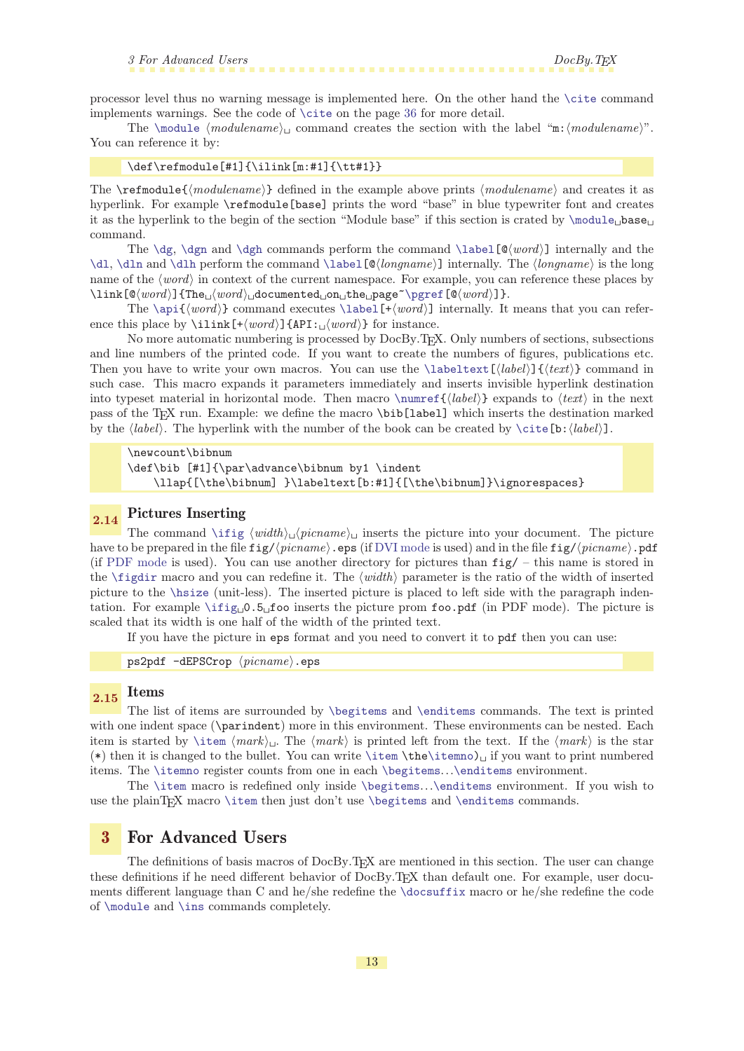<span id="page-12-1"></span>processor level thus no warning message is implemented here. On the other hand the [\cite](#page-35-11) command implements warnings. See the code of [\cite](#page-35-11) on the page [36](#page-35-11) for more detail.

The  $\mod$  (modulename) command creates the section with the label "m: $\mod$ ulename)". You can reference it by:

### $\def\ref{+1}{\iint[m:#1]}{\ttt#1}$

The  $\mathcal{M}$  and  $\mathcal{M}$  and  $\mathcal{M}$  defined in the example above prints  $\langle \text{modulename} \rangle$  and creates it as hyperlink. For example \refmodule[base] prints the word "base" in blue typewriter font and creates it as the hyperlink to the begin of the section "Module base" if this section is crated by  $\mod l_{\text{base}}$ command.

The [\dg](#page-29-8), [\dgn](#page-29-10) and [\dgh](#page-29-11) commands perform the command \label  $[\mathbb{Q}(word)]$  internally and the [\dl](#page-29-9), [\dln](#page-29-12) and [\dlh](#page-29-13) perform the command [\label](#page-35-10)[ $\&longname$ ] internally. The  $\langle longname \rangle$  is the long name of the  $\langle word \rangle$  in context of the current namespace. For example, you can reference these places by  $\langle \text{link}[\mathbb{Q}(word)\]\{\text{The}\n_1(word)\n_0\text{documented}\n_0\text{n}\n_1\text{the}\n_1\text{page}\n_0\text{green}[\mathbb{Q}(word)\n_0\text{green}]\n_1\text{green}$ 

The [\api](#page-36-0){ $\{word\}$ } command executes [\label](#page-35-10)[+ $\{word\}$ ] internally. It means that you can reference this place by  $\tilde{\mathcal{F}}(word)$  {API:  $\langle word \rangle$ } for instance.

No more automatic numbering is processed by DocBy.TEX. Only numbers of sections, subsections and line numbers of the printed code. If you want to create the numbers of figures, publications etc. Then you have to write your own macros. You can use the [\labeltext\[](#page-35-7) $\langle \delta v \rangle$ ]  $\langle \delta v \rangle$ } command in such case. This macro expands it parameters immediately and inserts invisible hyperlink destination into typeset material in horizontal mode. Then macro  $\umref({label})$  expands to  $\text{ }$  in the next pass of the TEX run. Example: we define the macro \bib[label] which inserts the destination marked by the  $\langle label \rangle$ . The hyperlink with the number of the book can be created by  $\citeb:}_{\label{color:1} \{label\}$  $\citeb:}_{\label{color:1} \{label\}$ ].

<span id="page-12-3"></span><span id="page-12-0"></span>\newcount\bibnum \def\bib [#1]{\par\advance\bibnum by1 \indent \llap{[\the\bibnum] }\labeltext[b:#1]{[\the\bibnum]}\ignorespaces}

### <span id="page-12-2"></span>2.14 Pictures Inserting

The command  $\int$ ifig  $\langle width \rangle$ <sub>1</sub> (*picname*)<sub>11</sub> inserts the picture into your document. The picture have to be prepared in the file  $fig//picname\rangle$ .eps (if [DVI mode](#page-5-5) is used) and in the file  $fig//picname\rangle$ .pdf (if [PDF mode](#page-5-4) is used). You can use another directory for pictures than  $fig/ - this$  name is stored in the  $\text{rigdir}$  macro and you can redefine it. The  $\text{width}$  parameter is the ratio of the width of inserted picture to the [\hsize](#page-15-3) (unit-less). The inserted picture is placed to left side with the paragraph indentation. For example  $\iint g_D 0.5$  foo inserts the picture prom foo.pdf (in PDF mode). The picture is scaled that its width is one half of the width of the printed text.

<span id="page-12-4"></span>If you have the picture in eps format and you need to convert it to pdf then you can use:

<span id="page-12-9"></span><span id="page-12-8"></span><span id="page-12-7"></span><span id="page-12-6"></span>ps2pdf  $-dEPSCrop \ (picname) .eps$ 

### <span id="page-12-5"></span> $_{2.15}$  Items

The list of items are surrounded by [\begitems](#page-22-3) and [\enditems](#page-22-4) commands. The text is printed with one indent space ( $\partial$ marindent) more in this environment. These environments can be nested. Each item is started by [\item](#page-22-7)  $\langle mark \rangle$ . The  $\langle mark \rangle$  is printed left from the text. If the  $\langle mark \rangle$  is the star (\*) then it is changed to the bullet. You can write  $\theta$  the  $\theta$  if you want to print numbered items. The [\itemno](#page-22-5) register counts from one in each [\begitems](#page-22-3)...[\enditems](#page-22-4) environment.

The [\item](#page-22-7) macro is redefined only inside [\begitems](#page-22-3)...[\enditems](#page-22-4) environment. If you wish to use the plainTFX macro [\item](#page-22-7) then just don't use [\begitems](#page-22-3) and [\enditems](#page-22-4) commands.

### <span id="page-12-10"></span>3 For Advanced Users

The definitions of basis macros of DocBy.TEX are mentioned in this section. The user can change these definitions if he need different behavior of DocBy.TEX than default one. For example, user documents different language than C and he/she redefine the [\docsuffix](#page-14-3) macro or he/she redefine the code of [\module](#page-14-2) and [\ins](#page-14-5) commands completely.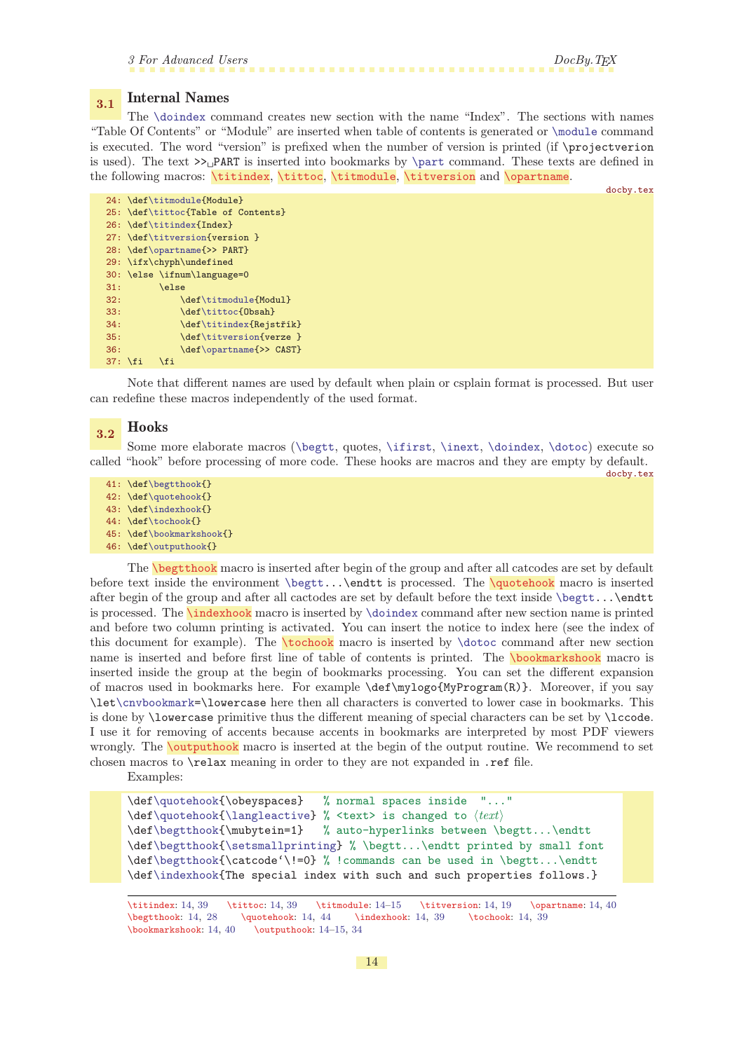<span id="page-13-12"></span><span id="page-13-9"></span><span id="page-13-6"></span>docby.tex

# <span id="page-13-1"></span><span id="page-13-0"></span>3.1 Internal Names

The [\doindex](#page-38-3) command creates new section with the name "Index". The sections with names "Table Of Contents" or "Module" are inserted when table of contents is generated or [\module](#page-14-2) command is executed. The word "version" is prefixed when the number of version is printed (if \projectverion is used). The text  $\geq$  PART is inserted into bookmarks by [\part](#page-34-4) command. These texts are defined in the following macros: \titindex, \tittoc, \titmodule, \titversion and \opartname.

```
docby.tex
24: \def\titmodule{Module}
25: \def\tittoc{Table of Contents}
26: \def\titindex{Index}
27: \def\titversion{version }
28: \def\opartname{>> PART}
29: \ifx\chyph\undefined
30: \else \ifnum\language=0
31: \else
32: \def\tim{Modul}f\tittoc{Obsah}
f\titindex{Rejstřík}<br>35: \def\titversion{verze }
            f\titversion{verze }
f\opartname{>> CAST}
37: \fi \fi \fi
```
Note that different names are used by default when plain or csplain format is processed. But user can redefine these macros independently of the used format.

### <span id="page-13-7"></span> $\overline{3.2}$  Hooks

Some more elaborate macros ([\begtt](#page-27-8), quotes, [\ifirst](#page-24-11), [\inext](#page-25-0), [\doindex](#page-38-3), [\dotoc](#page-38-0)) execute so called "hook" before processing of more code. These hooks are macros and they are empty by default.

- 41: \def[\begtthook](#page-13-8){}
- 42: \def[\quotehook](#page-13-9){}
- 43: \def[\indexhook](#page-13-10){}
- 44: \def[\tochook{](#page-13-11)}
- 45: \def[\bookmarkshook](#page-13-12){}
- <span id="page-13-11"></span><span id="page-13-10"></span><span id="page-13-8"></span>46: \def[\outputhook](#page-13-13){}

The \begtthook macro is inserted after begin of the group and after all catcodes are set by default before text inside the environment [\begtt](#page-27-8)...\endtt is processed. The \quotehook macro is inserted after begin of the group and after all cactodes are set by default before the text inside [\begtt](#page-27-8)...\endtt is processed. The \indexhook macro is inserted by [\doindex](#page-38-3) command after new section name is printed and before two column printing is activated. You can insert the notice to index here (see the index of this document for example). The \tochook macro is inserted by [\dotoc](#page-38-0) command after new section name is inserted and before first line of table of contents is printed. The **bookmarkshook** macro is inserted inside the group at the begin of bookmarks processing. You can set the different expansion of macros used in bookmarks here. For example \def\mylogo{MyProgram(R)}. Moreover, if you say \let[\cnvbookmark=](#page-39-8)\lowercase here then all characters is converted to lower case in bookmarks. This is done by \lowercase primitive thus the different meaning of special characters can be set by \lccode. I use it for removing of accents because accents in bookmarks are interpreted by most PDF viewers wrongly. The **\outputhook** macro is inserted at the begin of the output routine. We recommend to set chosen macros to \relax meaning in order to they are not expanded in .ref file.

<span id="page-13-13"></span>Examples:

```
\def\quotehook{\obeyspaces} % normal spaces inside "..."
\def\quotehook{\langle\text{leactive}\] % <text> is changed to \text{let}\\def\begtthook{\mubytein=1} % auto-hyperlinks between \begtt...\endtt
\def\begtthook{\setsmallprinting} % \begtt...\endtt printed by small font
\def\begtthook{\catcode'\!=0} % !commands can be used in \begtt...\endtt
\def\indexhook{The special index with such and such properties follows.}
```
<sup>\</sup>titindex: 14, [39](#page-38-1) \tittoc: 14, [39](#page-38-1) \titmodule: 14–[15](#page-14-1) \titversion: 14, [19](#page-18-1) \opartname: 14, [40](#page-39-1) \begtthook: 14, [28](#page-27-1) \quotehook: 14, [44](#page-43-1) \indexhook: 14, [39](#page-38-1) \tochook: 14, [39](#page-38-1) \bookmarkshook: 14, [40](#page-39-1) \outputhook: 14–[15](#page-14-1), [34](#page-33-1)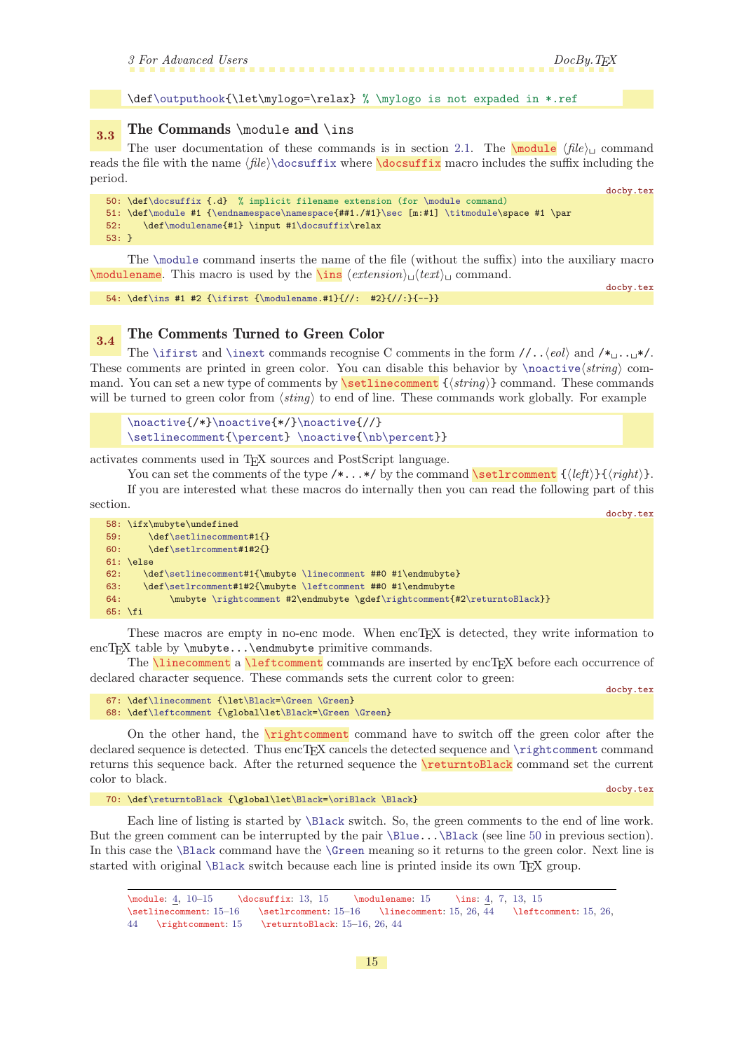<span id="page-14-3"></span><span id="page-14-2"></span>docby.tex

docby.tex

\def[\outputhook](#page-13-13){\let\mylogo=\relax} % \mylogo is not expaded in \*.ref

# <span id="page-14-1"></span><span id="page-14-0"></span> $3.3$  The Commands \module and \ins

The user documentation of these commands is in section [2.1](#page-3-2). The  $\mathcal{L}$  file)<sub>Li</sub> command reads the file with the name  $\langle file \rangle$  docsuffix where **docsuffix** macro includes the suffix including the period.

```
50: \def\docsuffix {.d} % implicit filename extension (for \module command)
51: \def\module #1 {\endnamespace\namespace{##1./#1}\sec [m:#1] \titmodule\space #1 \par
52: \def\modulename{#1} \input #1\docsuffix\relax
53: }
```
<span id="page-14-4"></span>The [\module](#page-14-2) command inserts the name of the file (without the suffix) into the auxiliary macro \modulename. This macro is used by the  $\infty$  (extension)  $\det(text)$  command.

54:  $\def\in #1 #2 {\liftist {\modulename.*1}{//: #2}{//:}-} \def\in #1 #2 {\liftist {\modulename.*1}{//: #2}{//:}-} \def\in #1 #2 {\liftist {\modulename.*1}{//: #2}{//:}-}-$ 

### <span id="page-14-6"></span>3.4 The Comments Turned to Green Color

The [\ifirst](#page-24-11) and [\inext](#page-25-0) commands recognise C comments in the form  $//..\langle e0\rangle$  and  $/*_{..}$ These comments are printed in green color. You can disable this behavior by  $\n\cdot \frac{\langle string \rangle}{\langle g \rangle}$ mand. You can set a new type of comments by **\setlinecomment**  $\{\langle string \rangle\}$  command. These commands will be turned to green color from  $\langle$ *sting* $\rangle$  to end of line. These commands work globally. For example

```
\noactive{/*}\noactive{*/}\noactive{//}
\setlinecomment\percent\noactive{\nb\percent}}
```
activates comments used in TEX sources and PostScript language.

You can set the comments of the type  $/*...*/$  by the command  $\setminus$  setlrcomment  ${\left\{\langle\mathit{left}\right\rangle\right\}}{\left\langle\mathit{right}\right\rangle}.$ 

If you are interested what these macros do internally then you can read the following part of this section.

```
58: \ifx\mubyte\undefined
59: \def\setlinecomment#1{}
60: \def\setlrcomment#1#2{}
61: \else
62: \def\setlinecomment#1{\mubyte \linecomment ##0 #1\endmubyte}
63: \def\setlrcomment#1#2{\mubyte \leftcomment ##0 #1\endmubyte
64: \mubyte \rightcomment #2\endmubyte \gdef\rightcomment{#2\returntoBlack}}
65: \fi
```
These macros are empty in no-enc mode. When encT<sub>E</sub>X is detected, they write information to encTEX table by \mubyte...\endmubyte primitive commands.

<span id="page-14-9"></span>The *linecomment* a *leftcomment* commands are inserted by encT<sub>E</sub>X before each occurrence of declared character sequence. These commands sets the current color to green:

docby.tex

<span id="page-14-8"></span>docby.tex

```
67: \def\linecomment {\let\Black=\Green \Green}
68: \def\leftcomment {\global\let\Black=\Green \Green}
```
On the other hand, the  $\rightarrow$  rightcomment command have to switch off the green color after the declared sequence is detected. Thus encTFX cancels the detected sequence and [\rightcomment](#page-14-11) command returns this sequence back. After the returned sequence the \returntoBlack command set the current color to black.

70: \def[\returntoBlack](#page-14-12) {\global\le[t\Black=](#page-16-6)[\oriBlack](#page-16-8) [\Black}](#page-16-6)

<span id="page-14-12"></span>docby.tex

Each line of listing is started by [\Black](#page-16-6) switch. So, the green comments to the end of line work. But the green comment can be interrupted by the pair [\Blue.](#page-16-0).[.\Black](#page-16-6) (see line [50](#page-14-13) in previous section). In this case the [\Black](#page-16-6) command have the [\Green](#page-16-4) meaning so it returns to the green color. Next line is started with original [\Black](#page-16-6) switch because each line is printed inside its own T<sub>F</sub>X group.

```
413,7, 13, 15
\setlinecomment: 15–16 \setlrcomment: 15–16 \linecomment: 15, 26, 44 \leftcomment: 15, 26,
44 \rightcomment: 15 \returntoBlack: 15–16, 26, 44
```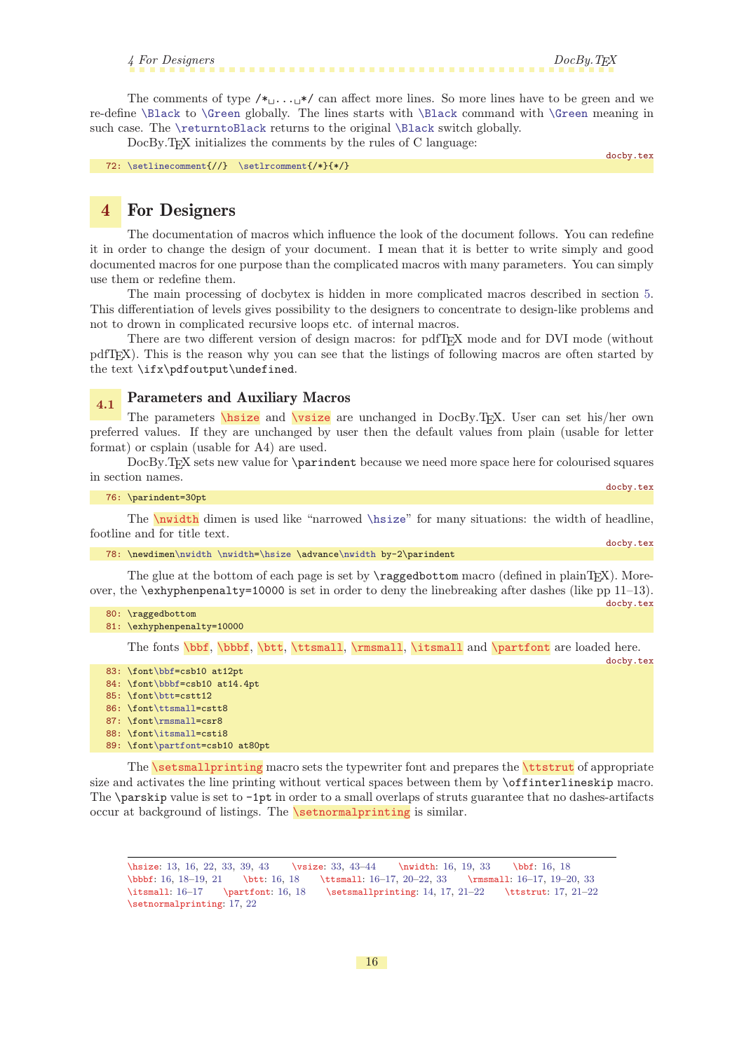4 For Designers DocBy.TEX

<span id="page-15-1"></span>The comments of type  $/\star_{\sqcup} \ldots \downarrow \star$  can affect more lines. So more lines have to be green and we re-define [\Black](#page-16-6) to [\Green](#page-16-4) globally. The lines starts with [\Black](#page-16-6) command with [\Green](#page-16-4) meaning in such case. The [\returntoBlack](#page-14-12) returns to the original [\Black](#page-16-6) switch globally.

DocBy.T<sub>EX</sub> initializes the comments by the rules of C language:

docby.tex

docby.tex

<span id="page-15-14"></span><span id="page-15-12"></span><span id="page-15-11"></span>docby.tex

72: [\setlinecomment](#page-14-7){//} [\setlrcomment{](#page-14-8)/\*}{\*/}

# <span id="page-15-0"></span>4 For Designers

The documentation of macros which influence the look of the document follows. You can redefine it in order to change the design of your document. I mean that it is better to write simply and good documented macros for one purpose than the complicated macros with many parameters. You can simply use them or redefine them.

The main processing of docbytex is hidden in more complicated macros described in section [5.](#page-22-8) This differentiation of levels gives possibility to the designers to concentrate to design-like problems and not to drown in complicated recursive loops etc. of internal macros.

There are two different version of design macros: for pdfTEX mode and for DVI mode (without pdfTEX). This is the reason why you can see that the listings of following macros are often started by the text \ifx\pdfoutput\undefined.

# <span id="page-15-4"></span><span id="page-15-3"></span><span id="page-15-2"></span>4.1 Parameters and Auxiliary Macros

The parameters **\hsize** and **\vsize** are unchanged in DocBy.T<sub>E</sub>X. User can set his/her own preferred values. If they are unchanged by user then the default values from plain (usable for letter format) or csplain (usable for A4) are used.

DocBy.TEX sets new value for \parindent because we need more space here for colourised squares in section names. docby.tex

<span id="page-15-5"></span>

| 76: \parindent=30pt |  |
|---------------------|--|
|                     |  |

The \nwidth dimen is used like "narrowed [\hsize](#page-15-3)" for many situations: the width of headline, footline and for title text. docby.tex

78: \newdimen[\nwidth](#page-15-5) [\nwidth=](#page-15-5)[\hsize](#page-15-3) \advanc[e\nwidth](#page-15-5) by-2\parindent

The glue at the bottom of each page is set by \raggedbottom macro (defined in plainTEX). Moreover, the \exhyphenpenalty=10000 is set in order to deny the linebreaking after dashes (like pp 11–13).

```
80: \raggedbottom
```
81: \exhyphenpenalty=10000

<span id="page-15-10"></span><span id="page-15-9"></span><span id="page-15-8"></span><span id="page-15-7"></span><span id="page-15-6"></span>The fonts \bbf, \bbbf, \btt, \ttsmall, \rmsmall, \itsmall and \partfont are loaded here.

```
83: \font\bbf=csb10 at12pt
```
- 84: \fon[t\bbbf](#page-15-7)=csb10 at14.4pt
- 85: \fon[t\btt=](#page-15-8)cstt12
- 86: \fon[t\ttsmall=](#page-15-9)cstt8
- 87: \fon[t\rmsmall=](#page-15-10)csr8
- 88: \fon[t\itsmall=](#page-15-11)csti8
- <span id="page-15-13"></span>89: \fon[t\partfont](#page-15-12)=csb10 at80pt

The **\setsmallprinting** macro sets the typewriter font and prepares the **\ttstrut** of appropriate size and activates the line printing without vertical spaces between them by \offinterlineskip macro. The  $\partial$  ratio value is set to  $-\text{1pt}$  in order to a small overlaps of struts guarantee that no dashes-artifacts occur at background of listings. The  $\setminus$ setnormalprinting is similar.

<span id="page-15-15"></span>\hsize: [13,](#page-12-1) 16, [22](#page-21-1), [33](#page-32-1), [39,](#page-38-1) [43](#page-42-1) \vsize: [33](#page-32-1), [43](#page-42-1)[–44](#page-43-1) \nwidth: 16, [19,](#page-18-1) [33](#page-32-1) \bbf: 16, [18](#page-17-1) \bbbf: 16, [18](#page-17-1)–[19,](#page-18-1) [21](#page-20-1) \btt: 16, [18](#page-17-1) \ttsmall: 16[–17,](#page-16-1) [20](#page-19-1)[–22,](#page-21-1) [33](#page-32-1) \rmsmall: 16[–17,](#page-16-1) [19](#page-18-1)[–20,](#page-19-1) [33](#page-32-1) \itsmall: 16–[17](#page-16-1) \partfont: 16, [18](#page-17-1) \setsmallprinting: [14,](#page-13-1) 17, [21](#page-20-1)[–22](#page-21-1) \ttstrut: [17,](#page-16-1) 21–22 \setnormalprinting: [17,](#page-16-1) [22](#page-21-1)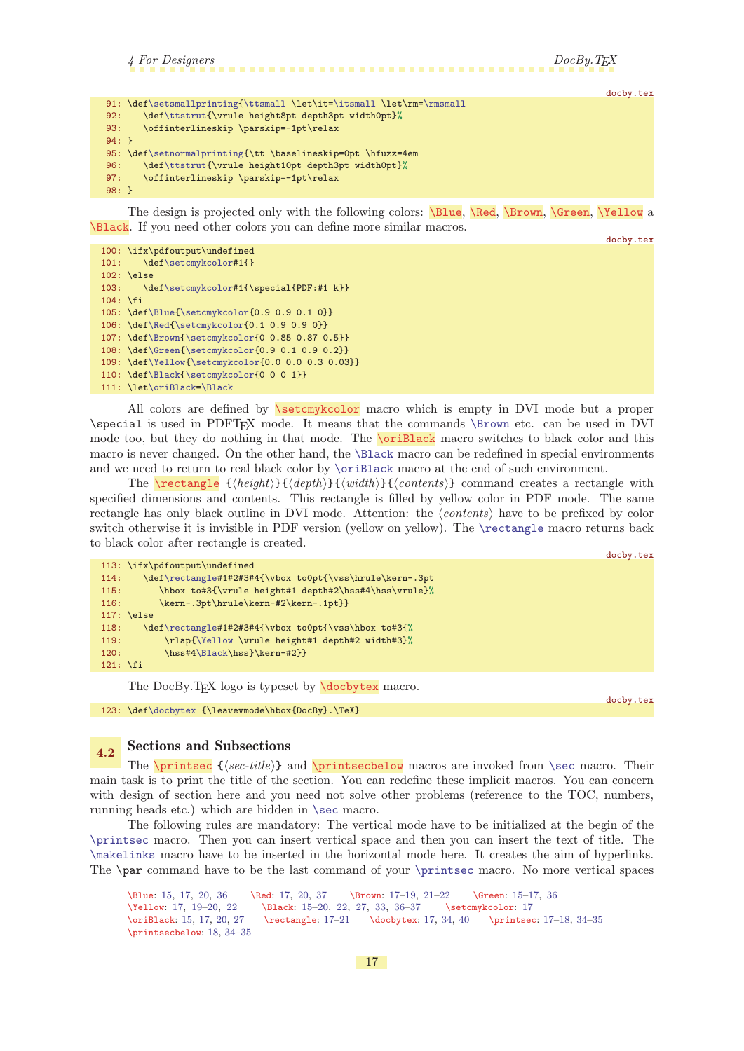```
4 For Designers DocBy.TEX
                                                                       docby.tex
\setsmallprinting{\ttsmall=\itsmall\rmsmall
\ttstrut{\vrule height8pt depth3pt width0pt}%
93: \offinterlineskip \parskip=-1pt\relax
94: }
95: \def\setnormalprinting{\tt \baselineskip=0pt \hfuzz=4em
96: \def\ttstrut{\vrule height10pt depth3pt width0pt}%
97: \offinterlineskip \parskip=-1pt\relax
98: }
```
<span id="page-16-6"></span>The design is projected only with the following colors: \Blue, \Red, \Brown, \Green, \Yellow a \Black. If you need other colors you can define more similar macros.

<span id="page-16-5"></span><span id="page-16-4"></span><span id="page-16-3"></span><span id="page-16-2"></span><span id="page-16-0"></span>docby.tex

```
100: \ifx\pdfoutput\undefined
\setcmykcolor#1{}
102: \else
\setcmykcolor#1{\special{PDF:#1 k}}
104: \fi
105: \def\Blue{\setcmykcolor{0.9 0.9 0.1 0}}
106: \def\Red{\setcmykcolor{0.1 0.9 0.9 0}}
107: \def\Brown{\setcmykcolor{0 0.85 0.87 0.5}}
108: \def\Green{\setcmykcolor{0.9 0.1 0.9 0.2}}
109: \def\Yellow{\setcmykcolor{0.0 0.0 0.3 0.03}}
\Black{\setcmykcolor{0 0 0 1}}
111: \let\oriBlack=\Black
```
<span id="page-16-8"></span><span id="page-16-7"></span>All colors are defined by **\setcmykcolor** macro which is empty in DVI mode but a proper \special is used in PDFTEX mode. It means that the commands [\Brown](#page-16-3) etc. can be used in DVI mode too, but they do nothing in that mode. The  $\overline{\text{or}iBlack}}$  macro switches to black color and this macro is never changed. On the other hand, the [\Black](#page-16-6) macro can be redefined in special environments and we need to return to real black color by [\oriBlack](#page-16-8) macro at the end of such environment.

<span id="page-16-9"></span>The **\rectangle**  $\{\langle height\rangle\}{\langle depth\rangle\}$ {\*uidth*}}{\*contents*}} command creates a rectangle with specified dimensions and contents. This rectangle is filled by yellow color in PDF mode. The same rectangle has only black outline in DVI mode. Attention: the  $\langle contents \rangle$  have to be prefixed by color switch otherwise it is invisible in PDF version (yellow on yellow). The [\rectangle](#page-16-9) macro returns back to black color after rectangle is created.

```
docby.tex
113: \ifx\pdfoutput\undefined
\rectangle#1#2#3#4{\vbox to0pt{\vss\hrule\kern-.3pt
115: \hbox to#3{\vrule height#1 depth#2\hss#4\hss\vrule}%
116: \kern-.3pt\hrule\kern-#2\kern-.1pt}}
117: \else
118: \def\rectangle#1#2#3#4{\vbox to0pt{\vss\hbox to#3{%
119: \rlap{\Yellow \vrule height#1 depth#2 width#3}%
\Black\hss}\kern-#2}}
121: \fi
```
<span id="page-16-13"></span><span id="page-16-10"></span>The DocBy.TEX logo is typeset by **\docbytex** macro.

docby.tex 123: \def[\docbytex](#page-16-10) {\leavevmode\hbox{DocBy}.\TeX}

# <span id="page-16-12"></span><span id="page-16-11"></span>4.2 Sections and Subsections

The  $\prime$  { $\langle$ sec-title}} and  $\prime$ printsecbelow macros are invoked from  $\setminus$ sec macro. Their main task is to print the title of the section. You can redefine these implicit macros. You can concern with design of section here and you need not solve other problems (reference to the TOC, numbers, running heads etc.) which are hidden in [\sec](#page-33-6) macro.

The following rules are mandatory: The vertical mode have to be initialized at the begin of the [\printsec](#page-16-12) macro. Then you can insert vertical space and then you can insert the text of title. The [\makelinks](#page-33-16) macro have to be inserted in the horizontal mode here. It creates the aim of hyperlinks. The \par command have to be the last command of your [\printsec](#page-16-12) macro. No more vertical spaces

```
\Blue: 15, 17, 20, 36 \Red: 17, 20, 37 \Brown: 17–19, 21–22 \Green: 15–17, 36
20,22152733,36-37 \setcmykcolor: 17
\oriBlack: 15, 17, 20, 27 \rectangle: 17–21 \docbytex: 17, 34, 40 \printsec: 17–18, 34–35
\printsecbelow: 18, 34–35
```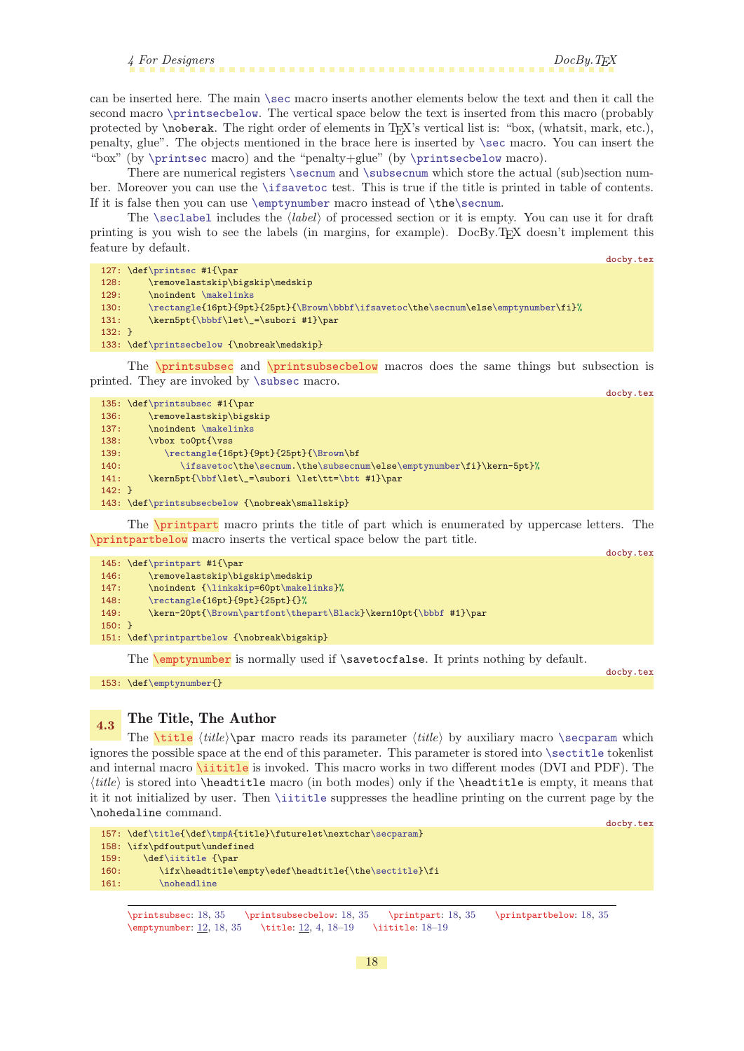4 For Designers DocBy.TEX

<span id="page-17-1"></span>can be inserted here. The main [\sec](#page-33-6) macro inserts another elements below the text and then it call the second macro [\printsecbelow](#page-16-13). The vertical space below the text is inserted from this macro (probably protected by \noberak. The right order of elements in TEX's vertical list is: "box, (whatsit, mark, etc.), penalty, glue". The objects mentioned in the brace here is inserted by [\sec](#page-33-6) macro. You can insert the "box" (by [\printsec](#page-16-12) macro) and the "penalty+glue" (by [\printsecbelow](#page-16-13) macro).

There are numerical registers [\secnum](#page-33-2) and [\subsecnum](#page-33-3) which store the actual (sub)section number. Moreover you can use the [\ifsavetoc](#page-33-5) test. This is true if the title is printed in table of contents. If it is false then you can use [\emptynumber](#page-17-5) macro instead of \th[e\secnum](#page-33-2).

The [\seclabel](#page-33-10) includes the  $\langle label \rangle$  of processed section or it is empty. You can use it for draft printing is you wish to see the labels (in margins, for example). DocBy.TEX doesn't implement this feature by default.

docby.tex

```
128: \removelastskip\bigskip\medskip
```

```
\makelinks
```
127: \def[\printsec](#page-16-12) #1{\par

```
\rectangle{\Brown\bbbf\ifsavetoce\secnum\e\emptynumber\fi}%
```

```
\bbbf\let\_=\subori #1}\par
```

```
132: }
```

```
133: \def\printsecbelow {\nobreak\medskip}
```
The  $\prime$  printsubsec and  $\prime$  printsubsecbelow macros does the same things but subsection is printed. They are invoked by [\subsec](#page-33-7) macro. docby.tex

|          | 135: $\def\printsubsec #1{\par5}$                                    |
|----------|----------------------------------------------------------------------|
| 136:     | \removelastskip\bigskip                                              |
| 137:     | \noindent \makelinks                                                 |
| 138:     | \vbox to0pt{\vss                                                     |
| 139:     | \rectangle{16pt}{9pt}{25pt}{\Brown\bf                                |
| 140:     | \ifsavetoc\the\secnum.\the\subsecnum\else\emptynumber\fi}\kern-5pt}% |
| 141:     | \kern5pt{\bbf\let\_=\subori \let\tt=\btt #1}\par                     |
| $142:$ } |                                                                      |
|          | 143: \def\printsubsecbelow {\nobreak\smallskip}                      |

<span id="page-17-4"></span><span id="page-17-3"></span>The \printpart macro prints the title of part which is enumerated by uppercase letters. The \printpartbelow macro inserts the vertical space below the part title.

|          | 145: $def\print#1{\parbox{145}$                                  |  |
|----------|------------------------------------------------------------------|--|
|          |                                                                  |  |
| 146:     | \removelastskip\bigskip\medskip                                  |  |
| 147:     | \noindent {\linkskip=60pt\makelinks}%                            |  |
| 148:     | \rectangle{16pt}{9pt}{25pt}{}%                                   |  |
| 149:     | \kern-20pt{\Brown\partfont\thepart\Black}\kern10pt{\bbbf #1}\par |  |
| $150:$ } |                                                                  |  |
|          |                                                                  |  |
|          | 151: \def\printpartbelow {\nobreak\bigskip}                      |  |
|          |                                                                  |  |

<span id="page-17-5"></span>The **[\emptynumber](#page-11-10)** is normally used if **\savetocfalse**. It prints nothing by default.

153: \def[\emptynumber{](#page-17-5)}

docby.tex

 $d$ ochy tex

# <span id="page-17-7"></span><span id="page-17-6"></span>4.3 The Title, The Author

<span id="page-17-8"></span>The **[\title](#page-11-5)** \title\\par macro reads its parameter  $\langle title \rangle$  by auxiliary macro [\secparam](#page-33-9) which ignores the possible space at the end of this parameter. This parameter is stored into [\sectitle](#page-33-4) tokenlist and internal macro **\iititle** is invoked. This macro works in two different modes (DVI and PDF). The  $\langle title \rangle$  is stored into \headtitle macro (in both modes) only if the \headtitle is empty, it means that it it not initialized by user. Then [\iititle](#page-17-8) suppresses the headline printing on the current page by the \nohedaline command.

```
docby.tex
\titlef\tmpA{\secparam}
158: \ifx\pdfoutput\undefined
\iititle {\par
\sectitle}\fi
161: \noheadline
```
\printsubsec: 18, [35](#page-34-1) \printsubsecbelow: 18, [35](#page-34-1) \printpart: 18, [35](#page-34-1) \printpartbelow: 18, [35](#page-34-1) \emptynumber: [12](#page-11-1), 18, [35](#page-34-1) \title: [12,](#page-11-1) [4](#page-3-1), 18–[19](#page-18-1) \iititle: 18[–19](#page-18-1)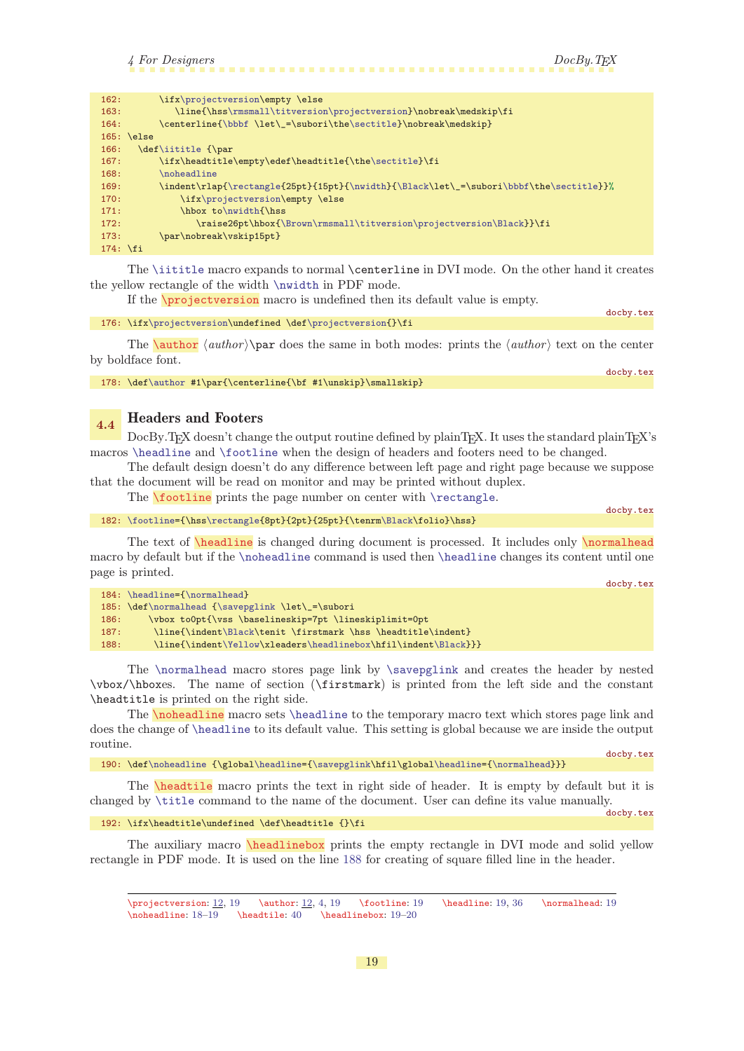<span id="page-18-1"></span>

| 162:       | \ifx\projectversion\empty \else                                                        |
|------------|----------------------------------------------------------------------------------------|
| 163:       | \line{\hss\rmsmall\titversion\projectversion}\nobreak\medskip\fi                       |
| 164:       | \centerline{\bbbf \let\_=\subori\the\sectitle}\nobreak\medskip}                        |
|            | $165: \text{else}$                                                                     |
| 166:       | \def\iititle {\par                                                                     |
| 167:       | \ifx\headtitle\empty\edef\headtitle{\the\sectitle}\fi                                  |
| 168:       | \noheadline                                                                            |
| 169:       | \indent\rlap{\rectangle{25pt}{15pt}{\nwidth}{\Black\let\_=\subori\bbbf\the\sectitle}}% |
| 170:       | \ifx\projectversion\empty \else                                                        |
| 171:       | \hbox to\nwidth{\hss                                                                   |
| 172:       | \raise26pt\hbox{\Brown\rmsmall\titversion\projectversion\Black}}\fi                    |
| 173:       | \par\nobreak\vskip15pt}                                                                |
| $174:$ \fi |                                                                                        |

The [\iititle](#page-17-8) macro expands to normal \centerline in DVI mode. On the other hand it creates the yellow rectangle of the width [\nwidth](#page-15-5) in PDF mode.

<span id="page-18-2"></span><span id="page-18-0"></span>If the [\projectversion](#page-11-6) macro is undefined then its default value is empty.

176: \ifx[\projectversion](#page-18-0)\undefined \def\projectversion{}\fi

The **[\author](#page-11-7)**  $\langle \text{author} \rangle$  **\par** does the same in both modes: prints the  $\langle \text{author} \rangle$  text on the center by boldface font.

178: \def[\author](#page-18-2) #1\par{\centerline{\bf #1\unskip}\smallskip}

### <span id="page-18-3"></span>4.4 Headers and Footers

DocBy.TEX doesn't change the output routine defined by plainTEX. It uses the standard plainTEX's macros [\headline](#page-18-5) and [\footline](#page-18-4) when the design of headers and footers need to be changed.

The default design doesn't do any difference between left page and right page because we suppose that the document will be read on monitor and may be printed without duplex.

<span id="page-18-5"></span><span id="page-18-4"></span>The **\footline** prints the page number on center with **[\rectangle](#page-16-9).** 

 $182: \footnotesize \label{Cpt} $$182: \footnotesize \n 182: \footnotesize \n 182: \footnotesize \n 182: \footnotesize \n 182: \footnotesize \n 182: \footnotesize \n 182: \footnotesize \n 182: \footnotesize \n 182: \footnotesize \n 182: \footnotesize \n 182: \footnotesize \n 182: \footnotesize \n 182: \footnotesize \n 182: \footnotesize \n 182: \footnotesize \n 182: \footnotesize \n 182: \footnotesize \n 1$ 

The text of **\headline** is changed during document is processed. It includes only **\normalhead** macro by default but if the [\noheadline](#page-18-7) command is used then [\headline](#page-18-5) changes its content until one page is printed.

|      |                                                                | docby.tex |
|------|----------------------------------------------------------------|-----------|
|      | 184: \headline={\normalhead}                                   |           |
|      | 185: \def\normalhead {\savepglink \let\_=\subori               |           |
| 186: | \vbox to0pt{\vss \baselineskip=7pt \lineskiplimit=0pt          |           |
| 187: | \line{\indent\Black\tenit \firstmark \hss \headtitle\indent}   |           |
| 188: | \line{\indent\Yellow\xleaders\headlinebox\hfil\indent\Black}}} |           |

<span id="page-18-10"></span>The [\normalhead](#page-18-6) macro stores page link by [\savepglink](#page-35-0) and creates the header by nested \vbox/\hboxes. The name of section (\firstmark) is printed from the left side and the constant \headtitle is printed on the right side.

<span id="page-18-7"></span>The \noheadline macro sets [\headline](#page-18-5) to the temporary macro text which stores page link and does the change of [\headline](#page-18-5) to its default value. This setting is global because we are inside the output routine. docby.tex

190: \def[\noheadline](#page-18-7) {\global[\headline=](#page-18-5)[{\savepglink\](#page-35-0)hfil\globa[l\headline=](#page-18-5)[{\normalhead}](#page-18-6)}}

<span id="page-18-8"></span>The **\headtile** macro prints the text in right side of header. It is empty by default but it is changed by [\title](#page-17-7) command to the name of the document. User can define its value manually. docby.tex

192: \ifx\headtitle\undefined \def\headtitle {}\fi

The auxiliary macro **\headlinebox** prints the empty rectangle in DVI mode and solid yellow rectangle in PDF mode. It is used on the line [188](#page-18-10) for creating of square filled line in the header.

<span id="page-18-9"></span> $\text{V}$  \projectversion: [12,](#page-11-1) 19 \eauthor: 12, [4](#page-3-1), 19 \footline: 19 \headline: 19, [36](#page-35-1) \normalhead: 19  $\n\ho\alpha\,18-19$  $\n\ho\alpha\,18-19$  $\n\ho\alpha\,18-19$   $\headtile: 40$  $\headtile: 40$   $headlinebox: 19-20$ 

docby.tex

<span id="page-18-6"></span>docby.tex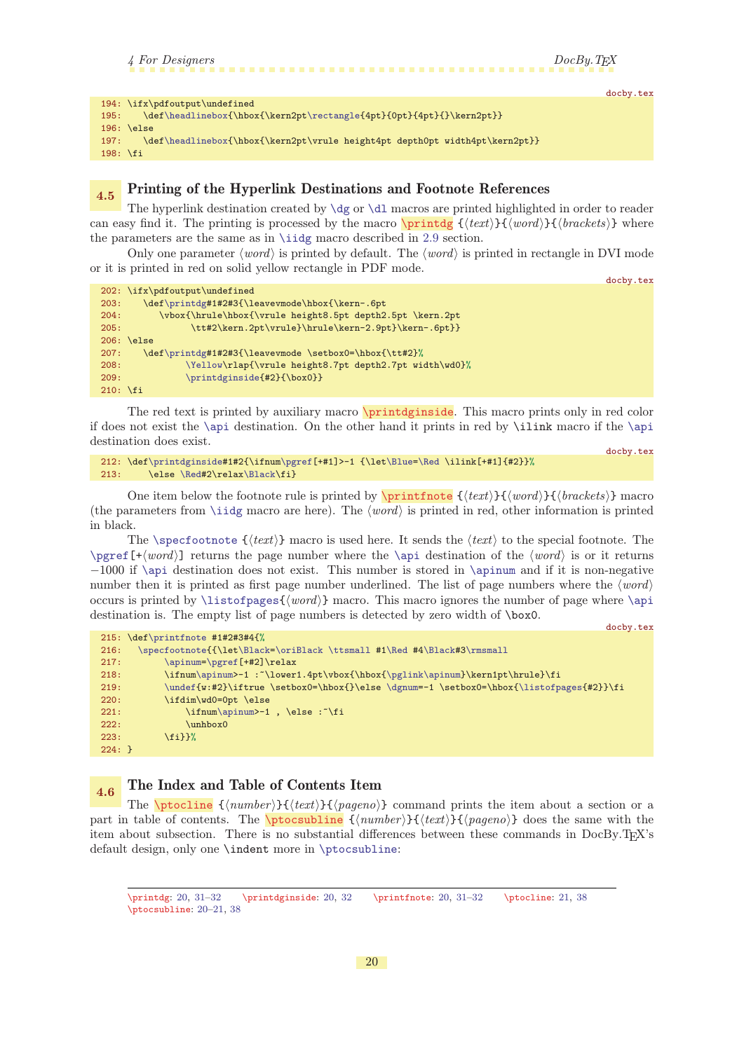<span id="page-19-2"></span>

<span id="page-19-1"></span>

|                                                                                     | docby.tex |
|-------------------------------------------------------------------------------------|-----------|
| $194: \ifx\pdfoutput\undefined$                                                     |           |
| \def\headlinebox{\hbox{\kern2pt\rectangle{4pt}{0pt}{4pt}{}\kern2pt}}<br>195:        |           |
| $196: \text{le}$                                                                    |           |
| \def\headlinebox{\hbox{\kern2pt\vrule height4pt depth0pt width4pt\kern2pt}}<br>197: |           |
| $198: \{fi$                                                                         |           |

# <span id="page-19-0"></span>4.5 Printing of the Hyperlink Destinations and Footnote References

The hyperlink destination created by  $\dg$  or  $\d1$  macros are printed highlighted in order to reader can easy find it. The printing is processed by the macro  $\partial \{text}\{\{word\}}({\text{set}})$ the parameters are the same as in [\iidg](#page-30-7) macro described in [2.9](#page-8-6) section.

Only one parameter  $\langle word \rangle$  is printed by default. The  $\langle word \rangle$  is printed in rectangle in DVI mode or it is printed in red on solid yellow rectangle in PDF mode.

|                   |                                                           | docby.tex |
|-------------------|-----------------------------------------------------------|-----------|
|                   | $202: \ifx\pdfoutput\undefined$                           |           |
| 203:              | \def\printdg#1#2#3{\leavevmode\hbox{\kern-.6pt            |           |
| 204:              | \vbox{\hrule\hbox{\vrule height8.5pt depth2.5pt \kern.2pt |           |
| 205:              | \tt#2\kern.2pt\vrule}\hrule\kern-2.9pt}\kern-.6pt}}       |           |
|                   | $206: \text{le}$                                          |           |
| 207:              | \def\printdg#1#2#3{\leavevmode \setbox0=\hbox{\tt#2}%     |           |
| 208:              | \Yellow\rlap{\vrule height8.7pt depth2.7pt width\wd0}%    |           |
| 209:              | \printdginside{#2}{\box0}}                                |           |
| $210: \forall$ fi |                                                           |           |

The red text is printed by auxiliary macro **\printdginside**. This macro prints only in red color if does not exist the [\api](#page-36-0) destination. On the other hand it prints in red by \ilink macro if the [\api](#page-36-0) destination does exist. docby.tex

```
212: \def\printdginside#1#2{\ifnum\pgref[+#1]>-1 {\let\Blue=\Red \ilink[+#1]{#2}}%
\Redx\Black\fi}
```
One item below the footnote rule is printed by  $\prime$  (printfnote  $\{\text{text}\}\{\text{word}\}\{\text{brackets}\}\$  macro (the parameters from [\iidg](#page-30-7) macro are here). The  $\langle word \rangle$  is printed in red, other information is printed in black.

The [\specfootnote](#page-32-3)  $\{\langle text \rangle\}$  macro is used here. It sends the  $\langle text \rangle$  to the special footnote. The  $\perp$   $[\pm \omega]$  returns the page number where the  $\alpha$  destination of the  $\omega$  is or it returns −1000 if [\api](#page-36-0) destination does not exist. This number is stored in [\apinum](#page-41-8) and if it is non-negative number then it is printed as first page number underlined. The list of page numbers where the  $\langle word \rangle$ occurs is printed by  $\listofpages{\word}$  $\listofpages{\word}$  macro. This macro ignores the number of page where  $\api$ destination is. The empty list of page numbers is detected by zero width of \box0.

<span id="page-19-4"></span>docby.tex

```
215: \def\printfnote #1#2#3#4{%
216: \specfootnote{{\let\Black=\oriBlack \ttsmall #1\Red #4\Black#3\rmsmall
\apinum=\pgref[+#2]\relax
218: \ifnum\apinum>-1 :~\lower1.4pt\vbox{\hbox{\pglink\apinum}\kern1pt\hrule}\fi
219: \lvert \quad \texttt{2}\texttt{2} \texttt{2} \texttt{2} \texttt{2} \texttt{2} \texttt{2} \texttt{2} \texttt{2} \texttt{2} \texttt{2} \texttt{2} \texttt{2} \texttt{2} \texttt{2} \texttt{2} \texttt{2} \texttt{2} \texttt{2} \texttt{2} \texttt{2} \texttt{2} \texttt{2} \texttt{2} \texttt{2} \texttt{2} \texttt{2} \texttt{2} \texttt{2} \texttt{2} \texttt{2} \texttt{2} \texttt{2} \texttt{2} \texttt{2} \text220: \ifdim\wd0=0pt \else
221: \int \in \mathrm{apinum} -1, \text{else : }222: \unhbox0
223: \fi}}%
224: }
```
# <span id="page-19-6"></span><span id="page-19-5"></span>4.6 The Index and Table of Contents Item

The  $\beta$  {(number)}{(text)}{(pageno)} command prints the item about a section or a part in table of contents. The  $\beta_{\text{turb}}({\text{number}}){\cdot}({\text{text}}{\cdot}){\cdot}$  does the same with the item about subsection. There is no substantial differences between these commands in DocBy.TFX's default design, only one \indent more in [\ptocsubline](#page-19-7):

<span id="page-19-7"></span>\printdg: 20, [31](#page-30-1)–[32](#page-31-1) \printdginside: 20, [32](#page-31-1) \printfnote: 20, [31–](#page-30-1)[32](#page-31-1) \ptocline: [21,](#page-20-1) [38](#page-37-1) \ptocsubline: 20–[21](#page-20-1), [38](#page-37-1)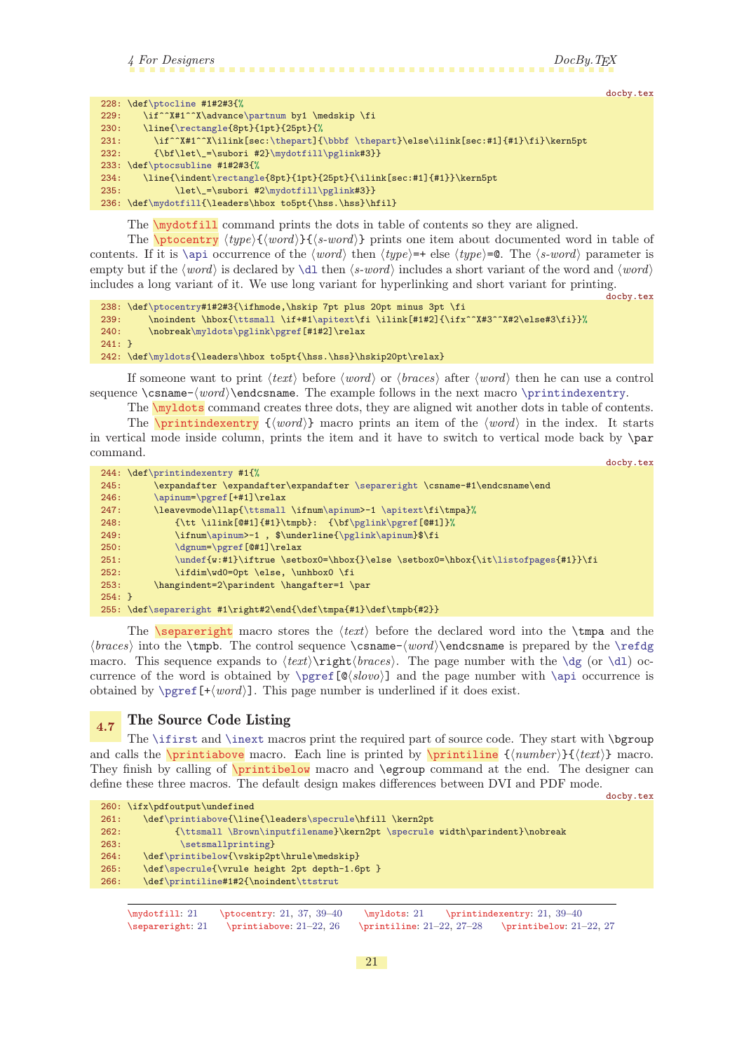<span id="page-20-1"></span>4 For Designers DocBy.TEX

docby.tex

docby.tex

```
228: \def\ptocline #1#2#3{%
\partnum by1 \medskip \fi
\rectangle{8pt}{1pt}{25pt}{%
:\thepart\bbbf\thepart}\else\ilink[sec:#1]{#1}\fi}\kern5pt
232: {\bf\let\_=\subori #2}\mydotfill\pglink#3}}
233: \def\ptocsubline #1#2#3{%
234: \line{\indent\rectangle{8pt}{1pt}{25pt}{\ilink[sec:#1]{#1}}\kern5pt
\mydotfill\pglink#3}}
\mydotfill{\leaders\hbox to5pt{\hss.\hss}\hfil}
```
<span id="page-20-2"></span><span id="page-20-0"></span>The \mydotfill command prints the dots in table of contents so they are aligned.

The **\ptocentry**  $\langle type{\{\text{word}\}}{\{\text{s-word}\}}\rangle$  prints one item about documented word in table of contents. If it is [\api](#page-36-0) occurrence of the  $\langle word \rangle$  then  $\langle type \rangle = \text{else } \langle type \rangle = \text{0}$ . The  $\langle s\text{-}word \rangle$  parameter is empty but if the  $\langle word \rangle$  is declared by [\dl](#page-29-9) then  $\langle s\text{-}word \rangle$  includes a short variant of the word and  $\langle word \rangle$ includes a long variant of it. We use long variant for hyperlinking and short variant for printing.

```
\ptocentry#1#2#3{\ifhmode,\hskip 7pt plus 20pt minus 3pt \fi<br>239: \noindent \hbox{\ttsmall \if+#1\apitext\fi \ilink[#1#2]{\ifx
           239: \noindent \hbox{\ttsmall \if+#1\apitext\fi \ilink[#1#2]{\ifx^^X#3^^X#2\else#3\fi}}%
240: \nobreak\myldots\pglink\pgref[#1#2]\relax
241: }
\myldots{\leaders\hbox to5pt{\hss.\hss}\hskip20pt\relax}
```
If someone want to print  $\langle text \rangle$  before  $\langle word \rangle$  or  $\langle braces \rangle$  after  $\langle word \rangle$  then he can use a control sequence  $\cos n$  =  $\word\end{math}$  endcsname. The example follows in the next macro  $\print{normal}$ .

<span id="page-20-4"></span><span id="page-20-3"></span>The **\myldots** command creates three dots, they are aligned wit another dots in table of contents. The **\printindexentry**  $\{ \langle word \rangle \}$  macro prints an item of the  $\langle word \rangle$  in the index. It starts in vertical mode inside column, prints the item and it have to switch to vertical mode back by \par command. docby.tex

```
244: \def\printindexentry #1{%
245: \expandafter \expandafter\expandafter \separeright \csname-#1\endcsname\end
\apinum=\pgref[+#1]\relax
\ttsmall\apinum\apitext\fi\tmpa}%
248: {\tt \ilink[@#1]{#1}\tmpb}: {\bf\pglink\pgref[@#1]}%
m\apinum>-1 , {\pglink\apinum}\dgnum\pgref[@#1]\relax
\undef\listofpages{#1}}\fi
252: \ifdim\wd0=0pt \else, \unhbox0 \fi
253: \hangindent=2\parindent \hangafter=1 \par
254: }
\separeright #1\right#2\end{\def\tmpa{#1}\def\tmpb{#2}}
```
<span id="page-20-5"></span>The **\separeright** macro stores the  $\text{text}$  before the declared word into the **\tmpa** and the  $\langle$  into the \tmpb. The control sequence \csname- $\langle$  \tendcsname is prepared by the [\refdg](#page-37-9) macro. This sequence expands to  $\text{infinite}\,$  (braces). The page number with the  $\dg$  (or  $\ddot{\text{d}}$ ) occurrence of the word is obtained by  $\pgref[\mathcal{s}lovo]$  $\pgref[\mathcal{s}lovo]$  and the page number with  $\api$  occurrence is obtained by  $\perp$  ( $\neq$   $\lfloor + \langle word \rangle$ ). This page number is underlined if it does exist.

# <span id="page-20-7"></span><span id="page-20-6"></span>4.7 The Source Code Listing

The [\ifirst](#page-24-11) and [\inext](#page-25-0) macros print the required part of source code. They start with \bgroup and calls the **\printiabove** macro. Each line is printed by **\printiline**  $\{\langle number \rangle\}\{\langle text \rangle\}$  macro. They finish by calling of **\printibelow** macro and **\egroup** command at the end. The designer can define these three macros. The default design makes differences between DVI and PDF mode.

<span id="page-20-8"></span>docby.tex

```
260: \ifx\pdfoutput\undefined
261: \def\printiabove{\line{\leaders\specrule\hfill \kern2pt
262: {\ttsmall \Brown\inputfilename}\kern2pt \specrule width\parindent}\nobreak
\setsmallprinting}
\printibelow{\vskip2pt\hrule\medskip}
\specrule{\vrule height 2pt depth-1.6pt }
266: \def\printiline#1#2{\noindent\ttstrut
```
\mydotfill: 21 \ptocentry: 21, [37,](#page-36-1) [39](#page-38-1)-[40](#page-39-1) \myldots: 21 \printindexentry: 21, 39-40 \separeright: 21 \printiabove: 21–[22](#page-21-1), [26](#page-25-1) \printiline: 21[–22,](#page-21-1) [27–](#page-26-1)[28](#page-27-1) \printibelow: 21–[22](#page-21-1), [27](#page-26-1)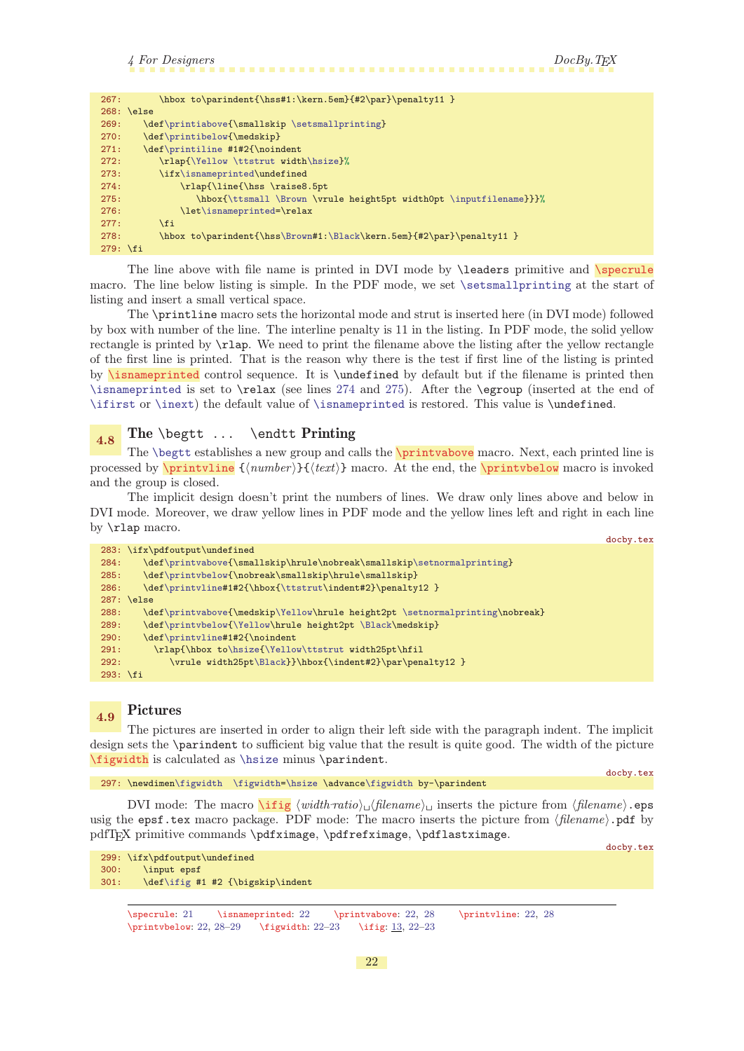<span id="page-21-6"></span>docby.tex

<span id="page-21-10"></span><span id="page-21-1"></span>

| 267:       | \hbox to\parindent{\hss#1:\kern.5em}{#2\par}\penalty11 }             |
|------------|----------------------------------------------------------------------|
|            | $268: \text{le}$                                                     |
| 269:       | \def\printiabove{\smallskip \setsmallprinting}                       |
| 270:       | \def\printibelow{\medskip}                                           |
| 271:       | \def\printiline #1#2{\noindent                                       |
| 272:       | \rlap{\Yellow \ttstrut width\hsize}%                                 |
| 273:       | \ifx\isnameprinted\undefined                                         |
| 274:       | \rlap{\line{\hss \raise8.5pt                                         |
| 275:       | \hbox{\ttsmall \Brown \vrule height5pt width0pt \inputfilename}}}%   |
| 276:       | \let\isnameprinted=\relax                                            |
| 277:       | \fi                                                                  |
| 278:       | \hbox to\parindent{\hss\Brown#1:\Black\kern.5em}{#2\par}\penalty11 } |
| $279:$ \fi |                                                                      |

<span id="page-21-11"></span><span id="page-21-0"></span>The line above with file name is printed in DVI mode by  $\leq$  beaders primitive and  $\searrow$ macro. The line below listing is simple. In the PDF mode, we set [\setsmallprinting](#page-15-13) at the start of listing and insert a small vertical space.

<span id="page-21-2"></span>The \printline macro sets the horizontal mode and strut is inserted here (in DVI mode) followed by box with number of the line. The interline penalty is 11 in the listing. In PDF mode, the solid yellow rectangle is printed by \rlap. We need to print the filename above the listing after the yellow rectangle of the first line is printed. That is the reason why there is the test if first line of the listing is printed by **\isnameprinted** control sequence. It is **\undefined** by default but if the filename is printed then [\isnameprinted](#page-21-2) is set to \relax (see lines [274](#page-21-10) and [275](#page-21-11)). After the \egroup (inserted at the end of [\ifirst](#page-24-11) or [\inext](#page-25-0)) the default value of [\isnameprinted](#page-21-2) is restored. This value is \undefined.

# <span id="page-21-5"></span><span id="page-21-4"></span><span id="page-21-3"></span>4.8 The **\begtt** ... \endtt Printing

The [\begtt](#page-27-8) establishes a new group and calls the \printvabove macro. Next, each printed line is processed by  $\prime$  intuitine  ${\{number\}} {\{text\}}$  macro. At the end, the  $\prime$  printvbelow macro is invoked and the group is closed.

The implicit design doesn't print the numbers of lines. We draw only lines above and below in DVI mode. Moreover, we draw yellow lines in PDF mode and the yellow lines left and right in each line by \rlap macro.

```
docby.tex
283: \ifx\pdfoutput\undefined
\printvabove\setnormalprinting}
\printvbelow{\nobreak\smallskip\hrule\smallskip}
\printvline\ttstrut\indent#2}\penalty12 }
287: \else
\printvabovep\Yellow\setnormalprinting\nobreak}
\printvbelow\Yellow\Black\medskip}
\printvline#1#2{\noindent
291: \rlap{\hbox to\hsize{\Yellow\ttstrut width25pt\hfil
292: \forall x \in \mathbb{Z}\backslash \mathbb{Z}\Black}}\hbox{\indent#2}\par\penalty12 }
293: \fi
```
# <span id="page-21-7"></span>4.9 Pictures

<span id="page-21-8"></span>The pictures are inserted in order to align their left side with the paragraph indent. The implicit design sets the \parindent to sufficient big value that the result is quite good. The width of the picture \figwidth is calculated as [\hsize](#page-15-3) minus \parindent.

```
297: \newdimen\figwidth \figwidth=\hsize \advance\figwidth by-\parindent
```
DVI mode: The macro  $\int$ ifig  $\langle width\textit{ratio}\rangle_{\text{u}}$  (filename)<sub>u</sub> inserts the picture from  $\langle filename\rangle$ .eps usig the epsf.tex macro package. PDF mode: The macro inserts the picture from  $\langle filename\rangle$ .pdf by pdfT<sub>EX</sub> primitive commands \pdfximage, \pdfrefximage, \pdflastximage.

<span id="page-21-9"></span>docby.tex 299: \ifx\pdfoutput\undefined 300: \input epsf 301: \def[\ifig](#page-21-9) #1 #2 {\bigskip\indent

```
\specrule: 21 \isnameprinted: 22 \printvabove: 22, 28 \printvline: 22, 28
282313, 22-23
```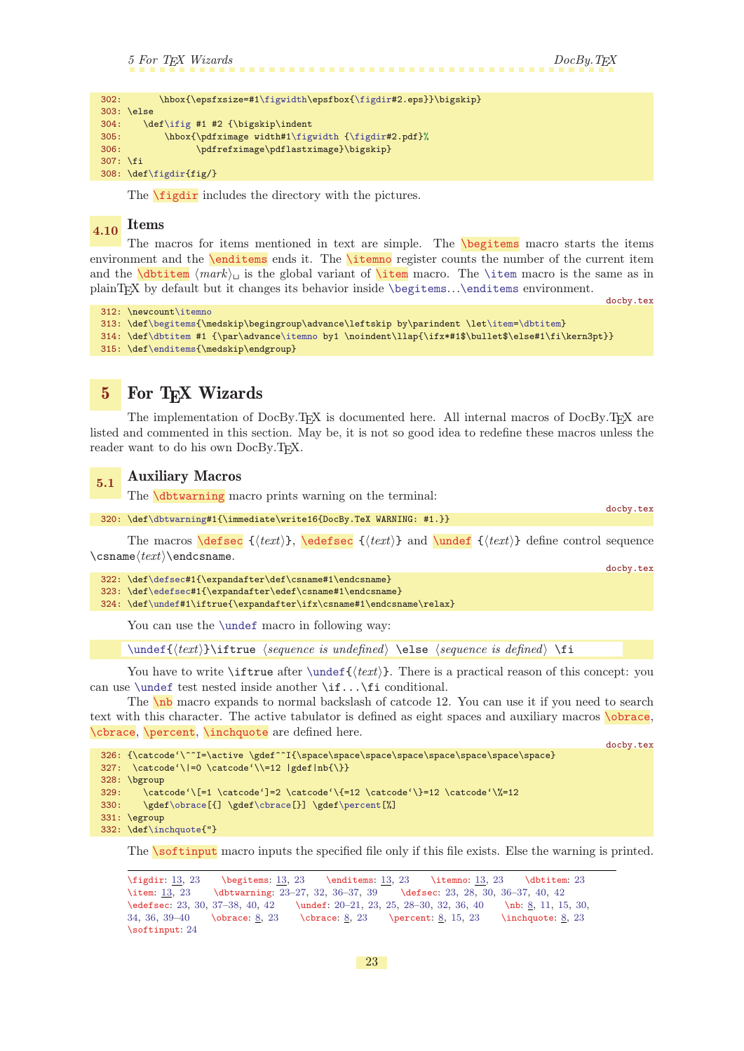```
5 For TEX Wizards DocBy.TEX
```
<span id="page-22-3"></span>

<span id="page-22-13"></span>docby.tex

<span id="page-22-15"></span>docby.tex

```
\figwidth\\figdir#2.eps}}\bigskip}
303: \else
\ifig #1 #2 {\bigskip\indent
305: \hbox{\pdfximage width#1\figwidth {\figdir#2.pdf}%
306: \pdfrefximage\pdflastximage}\bigskip}
307: \fi
308: \def\figdir{fig/}
```
<span id="page-22-7"></span><span id="page-22-5"></span><span id="page-22-4"></span><span id="page-22-0"></span>The **[\figdir](#page-12-4)** includes the directory with the pictures.

### <span id="page-22-2"></span> $_{4.10}$  Items

The macros for items mentioned in text are simple. The **[\begitems](#page-12-6)** macro starts the items environment and the **[\enditems](#page-12-7)** ends it. The **[\itemno](#page-12-9)** register counts the number of the current item and the  $\delta$  is the global variant of  $\iota$  macro. The [\item](#page-22-7) macro is the same as in plainTEX by default but it changes its behavior inside [\begitems](#page-22-3)...[\enditems](#page-22-4) environment.

```
docby.tex
312: \newcount\itemno
\begitems{\item=\dbtitem}
314: \def\dbtitem #1 {\par\advance\itemno by1 \noindent\llap{\ifx*#1$\bullet$\else#1\fi\kern3pt}}
315: \def\enditems{\medskip\endgroup}
```
<span id="page-22-8"></span>

### 5 For T<sub>F</sub>X Wizards

The implementation of DocBy.TEX is documented here. All internal macros of DocBy.TEX are listed and commented in this section. May be, it is not so good idea to redefine these macros unless the reader want to do his own DocBy.TEX.

# <span id="page-22-9"></span>5.1 Auxiliary Macros

<span id="page-22-12"></span><span id="page-22-11"></span><span id="page-22-10"></span>The **\dbtwarning** macro prints warning on the terminal:

```
320: \def\dbtwarning#1{\immediate\write16{DocBy.TeX WARNING: #1.}}
```
The macros  $\text{Set}(text)$ ,  $\text{Set}(text)$  and  $\text{Set}(text)$  define control sequence  $\cosname/text\rangle$ 

|  |                                                                       | docby.tex |
|--|-----------------------------------------------------------------------|-----------|
|  | 322: \def\defsec#1{\expandafter\def\csname#1\endcsname}               |           |
|  | 323: \def\edefsec#1{\expandafter\edef\csname#1\endcsname}             |           |
|  | $324: \def\undef#1\iftrue{\expandafter\ifx\csname#1\endcsname\relax}$ |           |

You can use the [\undef](#page-22-13) macro in following way:

<span id="page-22-14"></span> $\{\text{\texttt{text}}\}$  if true  $\$ sequence is undefined $\$  \else  $\$ sequence is defined $\$  \fi

You have to write \iftrue after [\undef{](#page-22-13) $\langle \text{text}\rangle$ . There is a practical reason of this concept: you can use [\undef](#page-22-13) test nested inside another \if...\fi conditional.

<span id="page-22-16"></span>The [\nb](#page-7-3) macro expands to normal backslash of catcode 12. You can use it if you need to search text with this character. The active tabulator is defined as eight spaces and auxiliary macros [\obrace](#page-7-4), [\cbrace](#page-7-5), [\percent](#page-7-6), [\inchquote](#page-7-7) are defined here.

```
326: {\catcode'\^^I=\active \gdef^^I{\space\space\space\space\space\space\space\space\space}
327: \catcode' \>=0 \catcode' \=12 |gdef|nb{} \}328: \bgroup
329: \catcode'\[=1 \catcode']=2 \catcode'\{=12 \catcode'\}=12 \catcode'\%=12
330: \gdef\obrace[{] \gdef\cbrace[}] \gdef\percent[%]
331: \egroup
\inchquote{"}
```
<span id="page-22-19"></span>The **\softinput** macro inputs the specified file only if this file exists. Else the warning is printed.

\figdir:  $\frac{13}{23}$  $\frac{13}{23}$  $\frac{13}{23}$  \begitems:  $\frac{13}{23}$  \enditems:  $\frac{13}{23}$  \dbtitem: 23 \item: [13,](#page-12-1) 23 \dbtwarning: 23-27, [32,](#page-31-1) 36-[37](#page-36-1), [39](#page-38-1) \defsec: 23, [28,](#page-27-1) [30,](#page-29-1) 36-37, [40](#page-39-1), [42](#page-41-1) \edefsec: 23, [30](#page-29-1), [37](#page-36-1)–[38](#page-37-1), [40](#page-39-1), [42](#page-41-1) \undef: [20](#page-19-1)[–21,](#page-20-1) 23, [25](#page-24-1), [28–](#page-27-1)[30](#page-29-1), [32,](#page-31-1) [36,](#page-35-1) [40](#page-39-1) \nb: [8,](#page-7-1) [11,](#page-10-1) [15](#page-14-1), [30](#page-29-1), [34](#page-33-1), [36,](#page-35-1) [39](#page-38-1)[–40](#page-39-1) \obrace: [8,](#page-7-1) 23 \cbrace: [8,](#page-7-1) 23 \percent: [8](#page-7-1), [15,](#page-14-1) 23 \inchquote: [8](#page-7-1), 23 \softinput: [24](#page-23-1)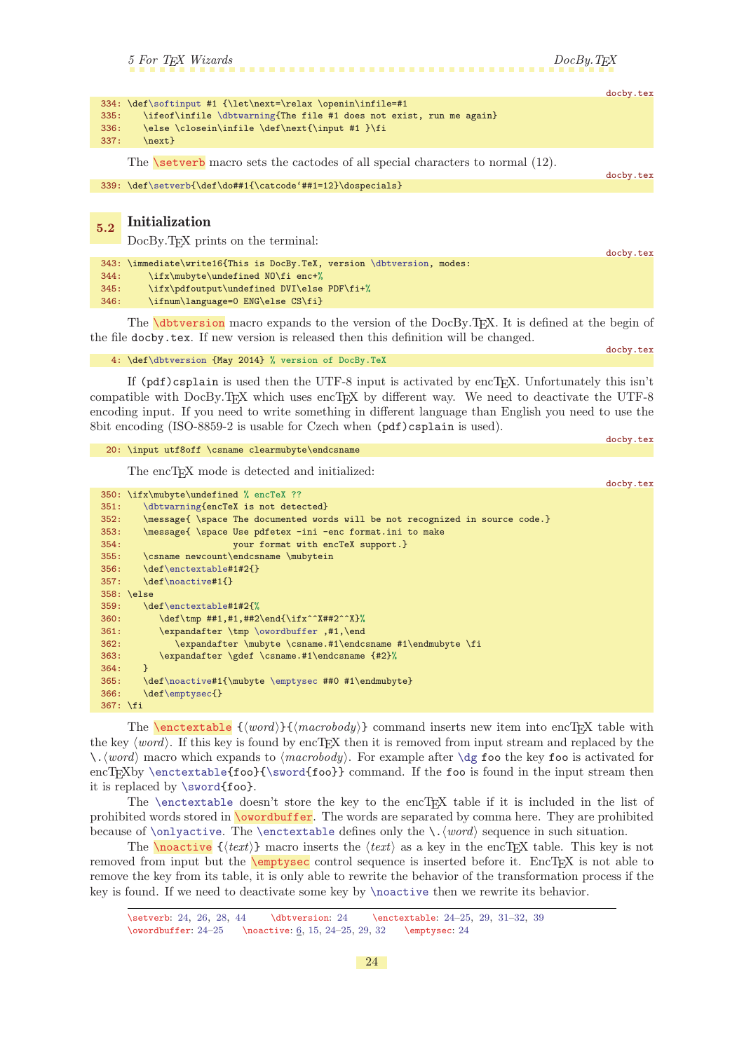docby.tex

docby.tex

<span id="page-23-1"></span>

|      |                                                                          | docby.tex |
|------|--------------------------------------------------------------------------|-----------|
|      | $334: \def\softinput #1 {\let\nextverb{relax\openin\infl=+1}$            |           |
|      | 335: \ifeof\infile \dbtwarning{The file #1 does not exist, run me again} |           |
| 336: | \else \closein\infile \def\next{\input #1 }\fi                           |           |
| 337: | $\text{next}$                                                            |           |
|      |                                                                          |           |

<span id="page-23-0"></span>The  $\setminus$  setverb macro sets the cactodes of all special characters to normal (12).

339: \def[\setverb{](#page-23-0)\def\do##1{\catcode'##1=12}\dospecials}

### <span id="page-23-2"></span>5.2 Initialization

DocBy.TEX prints on the terminal:

|      |                                                                        | docby.tex |
|------|------------------------------------------------------------------------|-----------|
|      | 343: \immediate\write16{This is DocBy.TeX, version \dbtversion, modes: |           |
| 344: | \ifx\mubyte\undefined NO\fi enc+%                                      |           |
| 345: | \ifx\pdfoutput\undefined DVI\else PDF\fi+%                             |           |
| 346: | \ifnum\language=0 ENG\else CS\fi}                                      |           |
|      |                                                                        |           |

The **\dbtversion** macro expands to the version of the DocBy.T<sub>E</sub>X. It is defined at the begin of the file docby.tex. If new version is released then this definition will be changed. docby.tex

<span id="page-23-3"></span>4: \def[\dbtversion](#page-23-3) {May 2014} % version of DocBy.TeX

If  $(pdf)$ csplain is used then the UTF-8 input is activated by encT<sub>E</sub>X. Unfortunately this isn't compatible with DocBy.TEX which uses encTEX by different way. We need to deactivate the UTF-8 encoding input. If you need to write something in different language than English you need to use the 8bit encoding (ISO-8859-2 is usable for Czech when (pdf)csplain is used).

```
20: \input utf8off \csname clearmubyte\endcsname
```
The encTEX mode is detected and initialized:

```
docby.tex
350: \ifx\mubyte\undefined % encTeX ??
351: \dbtwarning{encTeX is not detected}
352: \message{ \space The documented words will be not recognized in source code.}
353: \message{ \space Use pdfetex -ini -enc format.ini to make
354: your format with encTeX support.}
355: \csname newcount\endcsname \mubytein
356: \def\enctextable#1#2{}
357: \def\noactive#1{}
358: \else
359: \def\enctextable#1#2{%
360: \def\uparrow\#1, #1, ##2\end{\i{x^*#2^*}\361: \expandafter \tmp \owordbuffer ,#1,\end
362: \expandafter \mubyte \csname.#1\endcsname #1\endmubyte \fi
363: \expandafter \gdef \csname.#1\endcsname {#2}%
364: }
365: \def\noactive#1{\mubyte \emptysec ##0 #1\endmubyte}
366: \def\emptysec{}
367: \fi
```
<span id="page-23-4"></span>The **\enctextable**  $\{\langle word \rangle\}\{\langle macrobody\rangle\}$  command inserts new item into encTEX table with the key  $\langle word \rangle$ . If this key is found by encTFX then it is removed from input stream and replaced by the  $\setminus \mathcal{A}(\text{word})$  macro which expands to  $\langle \text{macrobody} \rangle$ . For example after  $\setminus$  dg foo the key foo is activated for encT<sub>EXby</sub> [\enctextable{](#page-23-4)foo}[{\sword{](#page-24-0)foo}} command. If the foo is found in the input stream then it is replaced by [\sword{](#page-24-0)foo}.

<span id="page-23-5"></span>The  $\centerdot$  stable doesn't store the key to the encT<sub>E</sub>X table if it is included in the list of prohibited words stored in \owordbuffer. The words are separated by comma here. They are prohibited because of [\onlyactive](#page-24-2). The [\enctextable](#page-23-4) defines only the \.  $\langle word \rangle$  sequence in such situation.

<span id="page-23-6"></span>The **holomology**  $\{\langle text \rangle\}$  macro inserts the  $\langle text \rangle$  as a key in the encTEX table. This key is not removed from input but the **\emptysec** control sequence is inserted before it. EncT<sub>E</sub>X is not able to remove the key from its table, it is only able to rewrite the behavior of the transformation process if the key is found. If we need to deactivate some key by [\noactive](#page-23-6) then we rewrite its behavior.

<span id="page-23-7"></span><sup>\</sup>setverb: 24, [26](#page-25-1), [28,](#page-27-1) [44](#page-43-1) \dbtversion: 24 \enctextable: 24[–25,](#page-24-1) [29](#page-28-1), [31](#page-30-1)–[32](#page-31-1), [39](#page-38-1)  $\over{\text{buffer: } 24-25}$  $\over{\text{buffer: } 24-25}$  $\over{\text{buffer: } 24-25}$  \noactive: [6,](#page-5-1) [15](#page-14-1), 24-25, [29](#page-28-1), [32](#page-31-1) \emptysec: 24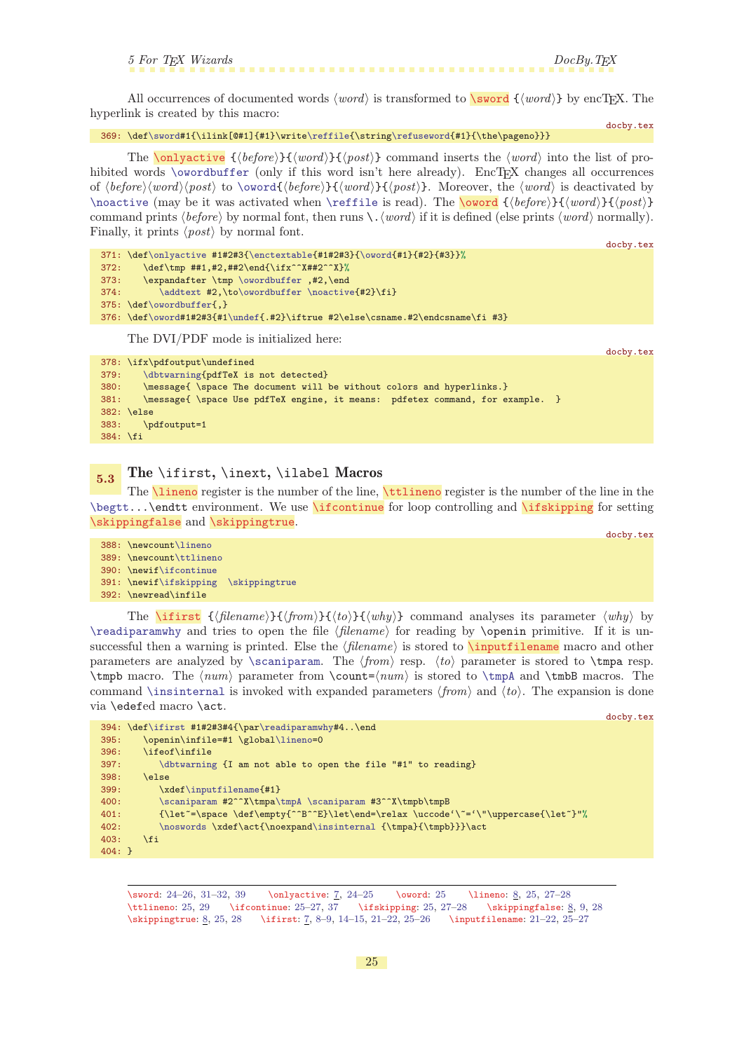<span id="page-24-1"></span>All occurrences of documented words  $\langle word \rangle$  is transformed to  $\sqrt{sword} \{ \langle word \rangle \}$  by encTEX. The hyperlink is created by this macro:

docby.tex 369: \def[\sword](#page-24-0)#1{\ilink[@#1]{#1}\write[\reffile{](#page-37-4)\string[\refuseword](#page-41-5){#1}{\the\pageno}}}

<span id="page-24-2"></span>The **[\onlyactive](#page-6-0)**  $\{ \langle \text{before} \rangle \} \{ \langle \text{word} \rangle \} \}$  command inserts the  $\langle \text{word} \rangle$  into the list of pro-hibited words [\owordbuffer](#page-23-5) (only if this word isn't here already). EncTEX changes all occurrences of  $\langle \text{before}\rangle$  (word) to [\oword](#page-24-3){ $\langle \text{before}\rangle$ }{\\end{\left{\before}}\$\left{\before}\$\left{\before}\$\left{\before}\$\left{\before}\$\left{\before}\$\left{\before}\$\left{\before}\$\left{\before}\$\left{\before}\$\left{\before}\$\left{ [\noactive](#page-23-6) (may be it was activated when [\reffile](#page-37-4) is read). The \oword { $\{before\}$ }{\word\}{\post\} command prints  $\langle \text{before} \rangle$  by normal font, then runs  $\langle \text{word} \rangle$  if it is defined (else prints  $\langle \text{word} \rangle$  normally). Finally, it prints  $\langle post \rangle$  by normal font.

```
docby.tex
\onlyactive{\enctextable{\oword{#1}{#2}{#3}}%
372: \det\tmp \#1, #2, ##2\end{\iifx^*X#42^*X}373: \expandafter \tmp \owordbuffer ,#2,\end
374: \addtext\owordbuffer \noactive#2}\fi375: \def\owordbuffer{,}
376: \def\oword#1#2#3{#1\undef{.#2}\iftrue #2\else\csname.#2\endcsname\fi #3}
    The DVI/PDF mode is initialized here:
```
<span id="page-24-12"></span><span id="page-24-8"></span><span id="page-24-7"></span><span id="page-24-6"></span><span id="page-24-3"></span><span id="page-24-0"></span>docby.tex

```
378: \ifx\pdfoutput\undefined
379: \dbtwarning{pdfTeX is not detected}
380: \message{ \space The document will be without colors and hyperlinks.}
381: \message{ \space Use pdfTeX engine, it means: pdfetex command, for example. }
382: \else
383: \pdfoutput=1
384: \fi
```
# <span id="page-24-5"></span><span id="page-24-4"></span> $\frac{5.3}{5.3}$  The \ifirst, \inext, \ilabel Macros

The  $\text{lineo}$  register is the number of the line,  $\text{tilinearo}$  register is the number of the line in the  $\begin{bmatrix} \begin{array}{c} \begin{array}{c} \end{array} \end{bmatrix}$  and  $\begin{array}{c} \end{array}$  for estting and  $\begin{array}{c} \end{array}$  for setting  $\end{array}$ [\skippingfalse](#page-7-9) and [\skippingtrue](#page-7-10).

```
docby.tex
388: \newcount\lineno
389: \newcount\ttlineno
390: \newif\ifcontinue
391: \newif\ifskipping \skippingtrue
392: \newread\infile
```
<span id="page-24-11"></span>The **[\ifirst](#page-6-8)**  ${\hat{h}}({\hat{h}})$  { ${\hat{h}}({\hat{h}})$ } ( ${\hat{h}}({\hat{h}})$ } command analyses its parameter  ${\langle \hat{h}} \rangle$  by  $\text{T}$  and tries to open the file  $\theta$  for reading by  $\operatorname{opemin}$  primitive. If it is unsuccessful then a warning is printed. Else the  $\langle$  filename<sub>i</sub> is stored to **\inputfilename** macro and other parameters are analyzed by [\scaniparam](#page-25-6). The  $\langle from \rangle$  resp.  $\langle to \rangle$  parameter is stored to \tmpa resp.  $\t{tmpb macro. The *num* parameter from  $\count={num}$  is stored to  $\t{tmpA and \t{tmbB macros. The$$ command [\insinternal](#page-25-10) is invoked with expanded parameters  $\langle from \rangle$  and  $\langle to \rangle$ . The expansion is done via \edefed macro \act. docby.tex

```
394: \def\ifirst #1#2#3#4{\par\readiparamwhy#4..\end
395: \openin\infile=#1 \global\lineno=0
396: \ifeof\infile
397: \dbtwarning {I am not able to open the file "#1" to reading}
398: \else
399: \xdef\inputfilename{#1}
\scaniparama\tmpA \scaniparam #3^^X\tmpb\tmpB
401: \{\let^*=\space \def\emptyset\} \let^*B^*E\leq\rel{relax} \ucceq\space'=\'\text{uppercase}\let^*} \\noswordsd\insinternal {\tmpa}{\tmpb}}}\act
403: \fi
404: }
```
\sword: [24–](#page-23-1)[26,](#page-25-1) [31](#page-30-1)[–32,](#page-31-1) [39](#page-38-1) \onlyactive: [7,](#page-6-1) [24](#page-23-1)–25 \oword: 25 \lineno: [8,](#page-7-1) 25, [27](#page-26-1)[–28](#page-27-1) \ttlineno: 25, [29](#page-28-1) \ifcontinue: 25[–27,](#page-26-1) [37](#page-36-1) \ifskipping: 25, [27](#page-26-1)[–28](#page-27-1) \skippingfalse: [8,](#page-7-1) [9](#page-8-1), [28](#page-27-1) \skippingtrue: [8](#page-7-1), 25, [28](#page-27-1) \ifirst: [7,](#page-6-1) [8](#page-7-1)[–9](#page-8-1), [14](#page-13-1)[–15,](#page-14-1) [21](#page-20-1)–[22](#page-21-1), 25[–26](#page-25-1) \inputfilename: [21](#page-20-1)–[22](#page-21-1), 25–[27](#page-26-1)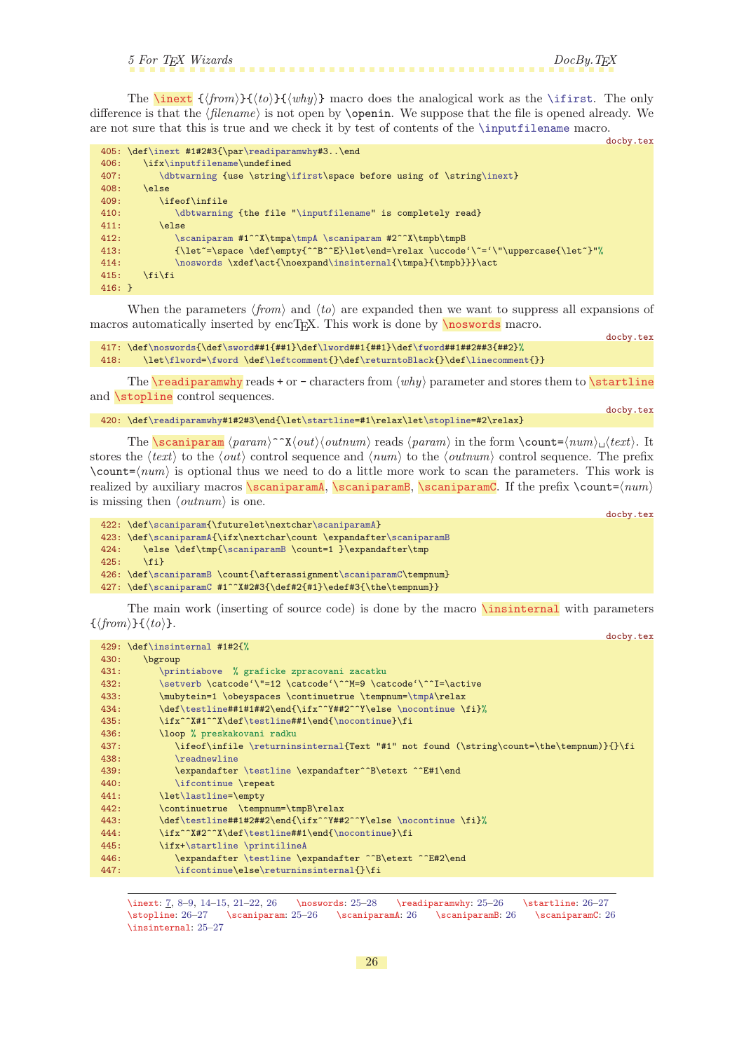```
5 For TEX Wizards DocBy.TEX
```
<span id="page-25-1"></span>The **[\inext](#page-6-9)**  $\{\langle from \rangle\}\{\langle why \rangle\}$  macro does the analogical work as the [\ifirst](#page-24-11). The only difference is that the  $\langle filename\rangle$  is not open by **\openin**. We suppose that the file is opened already. We are not sure that this is true and we check it by test of contents of the [\inputfilename](#page-24-12) macro.

```
docby.tex
405: \def\inext #1#2#3{\par\readiparamwhy#3..\end
406: \ifx\inputfilename\undefined
       \dbtwarning\ifirst\\inext}
408: \else
409: \ifeof\infile
\dbtwarning"\inputfilename" is completely read}
411: \else
\scaniparama\tmpA \scaniparam #2^^X\tmpb\tmpB
413: {\let^=}\space \def\empty^*{\let^*}\leq\check{\end{split}}\noswords\insinternal{\tmpa}{\tmpb}}}\act
415: \tilde{1}416: }
```
When the parameters  $\langle from \rangle$  and  $\langle to \rangle$  are expanded then we want to suppress all expansions of macros automatically inserted by encT<sub>EX</sub>. This work is done by  $\n\frac{\n\cos\varphi}{\n\cos\varphi}$  macro.

```
docby.tex
 417: \def\noswords{\def\sword##1{##1}\def\lword##1{##1}\def\fword##1##2##3{##2}%
418: \let\flword=\fword \def\leftcomment{}\def\returntoBlack{}\def\linecomment{}}
```
<span id="page-25-5"></span><span id="page-25-3"></span>The  $\text{readiparamwhy reads + or - characters from } \langle why \rangle$  parameter and stores them to  $\text{startline}$ and *stopline* control sequences.

```
\readiparamwhy\startline=\stopline=#2\relax}
```
<span id="page-25-6"></span>The **\scaniparam**  $\langle param \rangle^*X\langle out \rangle$  (*outnum*) reads  $\langle param \rangle$  in the form  $\{\text{count}=(num)_{\sqcup} \text{text}}\$ . It stores the  $\langle text \rangle$  to the  $\langle out \rangle$  control sequence and  $\langle num \rangle$  to the  $\langle outnum \rangle$  control sequence. The prefix  $\count = \langle num \rangle$  is optional thus we need to do a little more work to scan the parameters. This work is realized by auxiliary macros \scaniparamA, \scaniparamB, \scaniparamC. If the prefix \count= $\langle num \rangle$ is missing then  $\langle outnum \rangle$  is one.

<span id="page-25-10"></span><span id="page-25-9"></span>docby.tex

<span id="page-25-4"></span><span id="page-25-2"></span>docby.tex

```
422: \def\scaniparam{\futurelet\nextchar\scaniparamA}
\scaniparamA{r\scaniparamB
{\scaniparamB \count=1 }\expandafter\tmp
425: \fi}
\scaniparamBt\scaniparamC\tempnum}
\scaniparamC #1^^X#2#3{\def#2{#1}\edef#3{\the\tempnum}}
```
The main work (inserting of source code) is done by the macro \insinternal with parameters  $\{\langle from \rangle\}\{\langle to \rangle\}.$ 

<span id="page-25-11"></span>

|      | docby.tex                                                                               |
|------|-----------------------------------------------------------------------------------------|
|      | 429: \def\insinternal #1#2{%                                                            |
| 430: | bgroup                                                                                  |
| 431: | \printiabove % graficke zpracovani zacatku                                              |
| 432: | \setverb \catcode'\"=12 \catcode'\^^M=9 \catcode'\^^I=\active                           |
| 433: | \mubytein=1 \obeyspaces \continuetrue \tempnum=\tmpA\relax                              |
| 434: | \def\testline##1#1##2\end{\ifx^^Y##2^^Y\else \nocontinue \fi}%                          |
| 435: | \ifx^^X#1^^X\def\testline##1\end{\nocontinue}\fi                                        |
| 436: | \loop % preskakovani radku                                                              |
| 437: | \ifeof\infile \returninsinternal{Text "#1" not found (\string\count=\the\tempnum)}{}\fi |
| 438: | \readnewline                                                                            |
| 439: | \expandafter \testline \expandafter^^B\etext ^^E#1\end                                  |
| 440: | \ifcontinue \repeat                                                                     |
| 441: | \let\lastline=\empty                                                                    |
| 442: | \continuetrue \tempnum=\tmpB\relax                                                      |
| 443: | \def\testline##1#2##2\end{\ifx^^Y##2^^Y\else \nocontinue \fi}%                          |
| 444: | \ifx^^X#2^^X\def\testline##1\end{\nocontinue}\fi                                        |
| 445: | \ifx+\startline \printilineA                                                            |
| 446: | \expandafter \testline \expandafter ^^B\etext ^^E#2\end                                 |
| 447: | \ifcontinue\else\returninsinternal{}\fi                                                 |

<span id="page-25-12"></span>\inext: [7,](#page-6-1) [8](#page-7-1)-[9,](#page-8-1) 14-[15](#page-14-1), [21](#page-20-1)-22, 26 \noswords: [25](#page-24-1)-28 \readiparamwhy: 25-26 \startline: 26-[27](#page-26-1) \stopline: 26–[27](#page-26-1) \scaniparam: [25–](#page-24-1)26 \scaniparamA: 26 \scaniparamB: 26 \scaniparamC: 26 \insinternal: [25](#page-24-1)–[27](#page-26-1)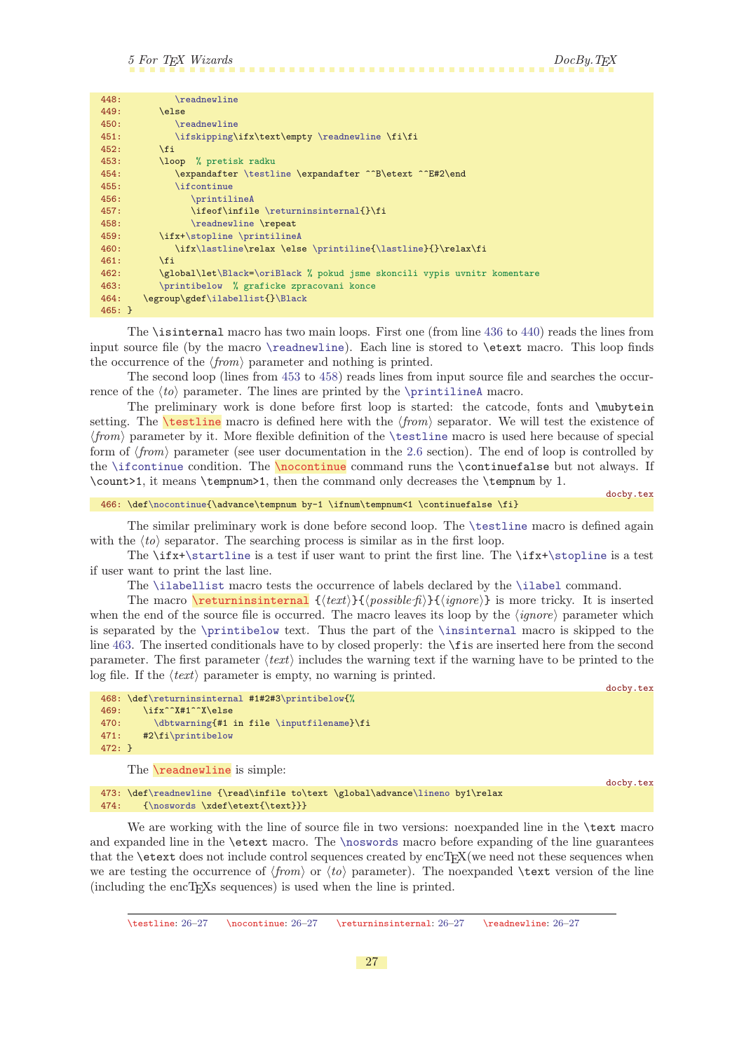<span id="page-26-5"></span><span id="page-26-1"></span>

| 448:         | \readnewline                                                             |
|--------------|--------------------------------------------------------------------------|
| 449:         | \else                                                                    |
| 450:         | \readnewline                                                             |
| 451:         | \ifskipping\ifx\text\empty \readnewline \fi\fi                           |
| 452:         | $\overline{\text{f}i}$                                                   |
| 453:         | \loop % pretisk radku                                                    |
| 454:         | \expandafter \testline \expandafter ^^B\etext ^^E#2\end                  |
| 455:         | <i>lifcontinue</i>                                                       |
| 456:         | \printilineA                                                             |
| 457:         | \ifeof\infile \returninsinternal{}\fi                                    |
| 458:         | \readnewline \repeat                                                     |
| 459:         | \ifx+\stopline \printilineA                                              |
| 460:         | \ifx\lastline\relax \else \printiline{\lastline}{}\relax\fi              |
| 461:         | $\overline{ifi}$                                                         |
| 462:         | \global\let\Black=\oriBlack % pokud jsme skoncili vypis uvnitr komentare |
| 463:         | \printibelow % graficke zpracovani konce                                 |
| 464:         | \egroup\gdef\ilabellist{}\Black                                          |
| $465: \; \}$ |                                                                          |

<span id="page-26-7"></span><span id="page-26-6"></span>The \isinternal macro has two main loops. First one (from line [436](#page-25-11) to [440\)](#page-25-12) reads the lines from input source file (by the macro [\readnewline](#page-26-4)). Each line is stored to \etext macro. This loop finds the occurrence of the  $\langle from \rangle$  parameter and nothing is printed.

The second loop (lines from [453](#page-26-5) to [458\)](#page-26-6) reads lines from input source file and searches the occurrence of the  $\langle \text{to} \rangle$  parameter. The lines are printed by the [\printilineA](#page-27-0) macro.

<span id="page-26-0"></span>The preliminary work is done before first loop is started: the catcode, fonts and \mubytein setting. The **\testline** macro is defined here with the  $\langle from \rangle$  separator. We will test the existence of  $\langle from \rangle$  parameter by it. More flexible definition of the [\testline](#page-26-0) macro is used here because of special form of  $\langle from \rangle$  parameter (see user documentation in the [2.6](#page-6-7) section). The end of loop is controlled by the [\ifcontinue](#page-24-7) condition. The \nocontinue command runs the \continuefalse but not always. If \count>1, it means \tempnum>1, then the command only decreases the \tempnum by 1.

<span id="page-26-2"></span>466: \def[\nocontinue](#page-26-2){\advance\tempnum by-1 \ifnum\tempnum<1 \continuefalse \fi}

docby.tex

The similar preliminary work is done before second loop. The [\testline](#page-26-0) macro is defined again with the  $\langle t_o \rangle$  separator. The searching process is similar as in the first loop.

The \ifx[+\startline](#page-25-4) is a test if user want to print the first line. The \ifx+[\stopline](#page-25-5) is a test if user want to print the last line.

<span id="page-26-3"></span>The [\ilabellist](#page-27-3) macro tests the occurrence of labels declared by the [\ilabel](#page-27-4) command.

The macro **\returninsinternal**  $\{\langle text \rangle\}\{\langle gmore \rangle\}$  is more tricky. It is inserted when the end of the source file is occurred. The macro leaves its loop by the  $\langle{}ignore\rangle{}$  parameter which is separated by the [\printibelow](#page-20-9) text. Thus the part of the [\insinternal](#page-25-10) macro is skipped to the line [463](#page-26-7). The inserted conditionals have to by closed properly: the \fis are inserted here from the second parameter. The first parameter  $\langle text \rangle$  includes the warning text if the warning have to be printed to the log file. If the  $\langle text \rangle$  parameter is empty, no warning is printed.

docby.tex

```
468: \def\returninsinternal #1#2#3\printibelow{%
469: \ifx^^X#1^^X\else
470: \dbtwarning{#1 in file \inputfilename}\fi
471: #2\fi\printibelow
472: }
```
<span id="page-26-4"></span>The **\readnewline** is simple:

docby.tex

473: \def[\readnewline](#page-26-4) {\read\infile to\text \global\advance[\lineno](#page-24-5) by1\relax 474: {[\noswords](#page-25-2) \xdef\etext{\text}}}

We are working with the line of source file in two versions: noexpanded line in the **\text** macro and expanded line in the **\etext** macro. The **[\noswords](#page-25-2)** macro before expanding of the line guarantees that the  $\text{test does not include control sequences created by encTEX}(we need not these sequences when$ we are testing the occurrence of  $\langle from \rangle$  or  $\langle to \rangle$  parameter). The noexpanded **\text** version of the line (including the encT<sub>E</sub>X<sub>s</sub> sequences) is used when the line is printed.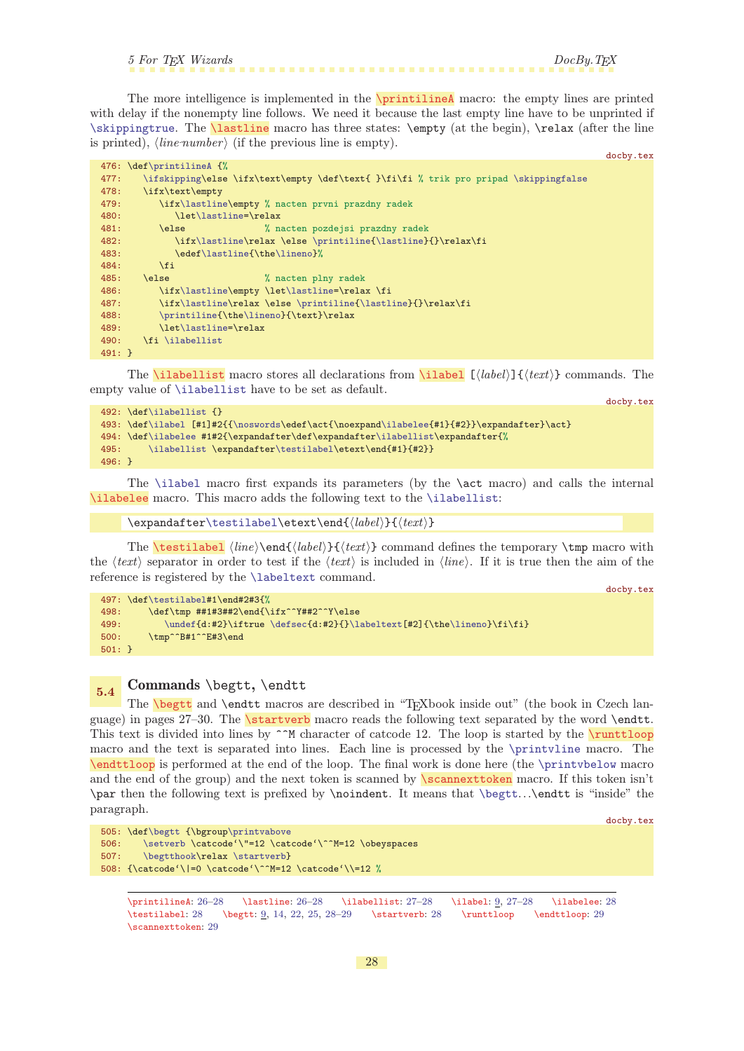<span id="page-27-0"></span>

<span id="page-27-1"></span>The more intelligence is implemented in the **\printilineA** macro: the empty lines are printed with delay if the nonempty line follows. We need it because the last empty line have to be unprinted if [\skippingtrue](#page-24-10). The **\lastline** macro has three states: **\empty** (at the begin), **\relax** (after the line is printed),  $\langle line\text{-}number \rangle$  (if the previous line is empty).

```
476: \def\printilineA {%
\ifskipping\skippingfalse
478: \ifx\text\empty
479: \ifx\lastline\empty % nacten prvni prazdny radek
\lastline=\relax
481: \else % nacten pozdejsi prazdny radek
482: \left\{ \lambda \left( \theta \right) \right\}483: \text{label}\time{\the}\limeno\}<br>484: \fi
484:485: \else % nacten plny radek
x\lastline\lastline=\relax \fi
x\lastline\printiline{\lastline}{}\relax\fi
\printiline{e\lineno}{\text}\relax
t\lastline=\relax
490: \fi \ilabellist
491: }
```
<span id="page-27-3"></span>The **[\ilabel](#page-8-2)list** macro stores all declarations from **\ilabel**  $[\langle label \rangle] {\langle text \rangle}$  commands. The empty value of [\ilabellist](#page-27-3) have to be set as default.

<span id="page-27-4"></span>docby.tex

<span id="page-27-12"></span><span id="page-27-10"></span>docby.tex

docby.tex

```
492: \def\ilabellist {}
493: \def\ilabel [#1]#2{{\noswords\edef\act{\noexpand\ilabelee{#1}{#2}}\expandafter}\act}
494: \def\ilabelee #1#2{\expandafter\def\expandafter\ilabellist\expandafter{%
495: \ilabellist \expandafter\testilabel\etext\end{#1}{#2}}
496: }
```
<span id="page-27-5"></span>The [\ilabel](#page-27-4) macro first expands its parameters (by the \act macro) and calls the internal \ilabelee macro. This macro adds the following text to the [\ilabellist](#page-27-3):

```
\testilabel\etext\end{\langlelabel}}{\langletext}}
```
The **\testilabel**  $\{line{\label{label}text}}$  (*line*)**\end**{ $\{label\}$  (*text*} command defines the temporary **\tmp** macro with the  $\langle text \rangle$  separator in order to test if the  $\langle text \rangle$  is included in  $\langle line \rangle$ . If it is true then the aim of the reference is registered by the [\labeltext](#page-35-7) command.

```
docby.tex
497: \def\testilabel#1\end#2#3{%
498: \det\tmp \#1\#3\#42\end{\if{x^*Y\#2^*Y\else{499: \qquad \quad \texttt{d:#2}\iff \label{d:#2} $$500: \tmp^^B#1^^E#3\end
501: }
```
# <span id="page-27-9"></span><span id="page-27-8"></span><span id="page-27-7"></span> $5.4$  Commands \begtt, \endtt

<span id="page-27-11"></span>The [\begtt](#page-8-4) and \endtt macros are described in "TEXbook inside out" (the book in Czech language) in pages 27–30. The \startverb macro reads the following text separated by the word \endtt. This text is divided into lines by  $\hat{}$  M character of catcode 12. The loop is started by the  $\frac{}{}$ runttloop macro and the text is separated into lines. Each line is processed by the [\printvline](#page-21-5) macro. The \endttloop is performed at the end of the loop. The final work is done here (the [\printvbelow](#page-21-6) macro and the end of the group) and the next token is scanned by  $\frac{\gamma}{\gamma}$  macro. If this token isn't \par then the following text is prefixed by \noindent. It means that [\begtt](#page-27-8)...\endtt is "inside" the paragraph.

```
505: \def\begtt {\bgroup\printvabove
506: \setverb \catcode'\"=12 \catcode'\^^M=12 \obeyspaces
507: \begtthook\relax \startverb}
508: {\catcode'\|=0 \catcode'\^^M=12 \catcode'\\=12 %
```

```
\printilineA: 26–28 \lastline: 26–28 \ilabellist: 27–28 \ilabel: 9, 27–28 \ilabelee: 28
9142225,–2929
\scannexttoken: 29
```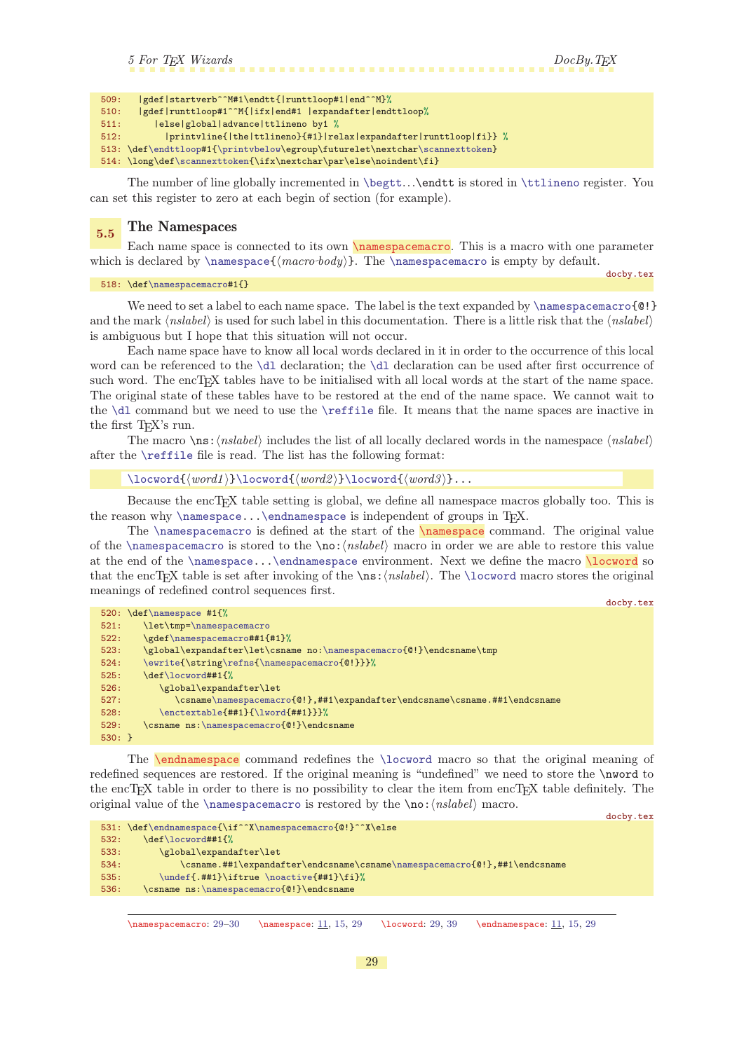<span id="page-28-1"></span>

| 509: | gdef startverb^^M#1\endtt{ runttloop#1 end^^M}%                             |
|------|-----------------------------------------------------------------------------|
| 510: | gdef runttloop#1^^M{ ifx end#1  expandafter endttloop%                      |
| 511: | else global advance ttlineno by1 %                                          |
| 512: | printvline{ the ttlineno}{#1} relax expandafter runttloop fi}} %            |
|      | 513: \def\endttloop#1{\printvbelow\egroup\futurelet\nextchar\scannexttoken} |
|      | $514: \long\def\scannext{ \if x\nextchar{ \parals} \def }$                  |

The number of line globally incremented in [\begtt](#page-27-8)...\endtt is stored in [\ttlineno](#page-24-6) register. You can set this register to zero at each begin of section (for example).

### <span id="page-28-0"></span>5.5 The Namespaces

Each name space is connected to its own **\namespacemacro**. This is a macro with one parameter which is declared by  $\name{{macro-body}}$ . The  $\name{spacemacc}$  is empty by default.

<span id="page-28-4"></span><span id="page-28-2"></span>docby.tex

518: \def[\namespacemacro](#page-28-2)#1{}

We need to set a label to each name space. The label is the text expanded by [\namespacemacro](#page-28-2){@!} and the mark  $\langle$ nslabel $\rangle$  is used for such label in this documentation. There is a little risk that the  $\langle$ nslabel $\rangle$ is ambiguous but I hope that this situation will not occur.

Each name space have to know all local words declared in it in order to the occurrence of this local word can be referenced to the [\dl](#page-29-9) declaration; the [\dl](#page-29-9) declaration can be used after first occurrence of such word. The encT<sub>E</sub>X tables have to be initialised with all local words at the start of the name space. The original state of these tables have to be restored at the end of the name space. We cannot wait to the [\dl](#page-29-9) command but we need to use the [\reffile](#page-37-4) file. It means that the name spaces are inactive in the first T<sub>EX</sub>'s run.

The macro  $\langle$ ns: $\langle$ nslabel $\rangle$  includes the list of all locally declared words in the namespace  $\langle$ nslabel $\rangle$ after the [\reffile](#page-37-4) file is read. The list has the following format:

```
\locword{\word1}\l \locword{\word2} \l \locword{\word3}...
```
Because the encT<sub>EX</sub> table setting is global, we define all namespace macros globally too. This is the reason why  $\name{space...}\end{array}$  is independent of groups in T<sub>E</sub>X.

The [\namespacemacro](#page-28-2) is defined at the start of the [\namespace](#page-10-2) command. The original value of the [\namespacemacro](#page-28-2) is stored to the \no:  $\langle nslabel \rangle$  macro in order we are able to restore this value at the end of the [\namespace.](#page-28-3).[.\endnamespace](#page-28-5) environment. Next we define the macro \locword so that the encTEX table is set after invoking of the  $\n\$ s:\nnsubel. The  $\locword$  macro stores the original meanings of redefined control sequences first.

```
docby.tex
520: \def\namespace #1{%
521: \let\tmp=\namespacemacro
522: \gdef\namespacemacro##1{#1}%
\namespacemacro{@!}\endcsname\tmp
\ewriteg\refns{\namespacemacro{@!}}}%
525: \def\locword##1{%
526: \global\expandafter\let
\namespacemacro{@!},##1\expandafter\endcsname\csname.##1\endcsname
\enctextable\lword{##1}}}%
529: \csname ns:\namespacemacro{@!}\endcsname
530: }
```
<span id="page-28-5"></span>The [\endnamespace](#page-10-3) command redefines the [\locword](#page-28-4) macro so that the original meaning of redefined sequences are restored. If the original meaning is "undefined" we need to store the \nword to the encT<sub>EX</sub> table in order to there is no possibility to clear the item from encT<sub>EX</sub> table definitely. The original value of the [\namespacemacro](#page-28-2) is restored by the  $\no: \n (nslabel) macro.$ 

```
docby.tex
531: \def\endnamespace{\if^^X\namespacemacro{@!}^^X\else
532: \def\locword##1{%
533: \global\expandafter\let
534: \csname.##1\expandafter\endcsname\csname\namespacemacro{@!},##1\endcsname
\undef{\noactive{##1}\fi}%
536: \csname ns:\namespacemacro{@!}\endcsname
```
\namespacemacro: 29[–30](#page-29-1) \namespace: [11,](#page-10-1) [15](#page-14-1), 29 \locword: 29, [39](#page-38-1) \endnamespace: [11,](#page-10-1) [15](#page-14-1), 29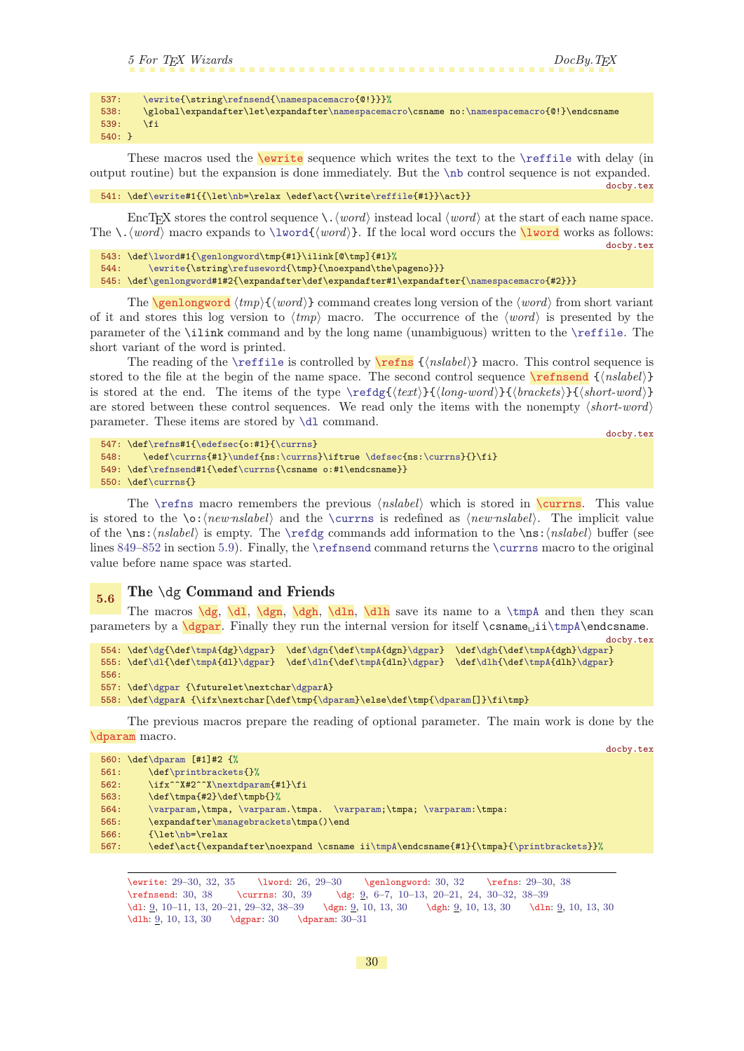```
5 For TEX Wizards DocBy.TEX
537: \ewrite{\string\refnsend{\namespacemacro{@!}}}%
538: \global\expandafter\let\expandafter\namespacemacro\csname no:\namespacemacro{@!}\endcsname
539: \fi
540: }
```
<span id="page-29-0"></span>These macros used the **\ewrite** sequence which writes the text to the **[\reffile](#page-37-4)** with delay (in output routine) but the expansion is done immediately. But the [\nb](#page-22-14) control sequence is not expanded. docby.tex

541: \def[\ewrite](#page-29-0)#1{{\le[t\nb](#page-22-14)=\relax \edef\act{\write[\reffile{](#page-37-4)#1}}\act}}

EncT<sub>E</sub>X stores the control sequence  $\setminus \langle word \rangle$  instead local  $\langle word \rangle$  at the start of each name space. The  $\ldots$  macro expands to  $\lvert \text{word}\rvert$ . If the local word occurs the  $\lvert \text{word}\rvert$  works as follows: docby.tex

```
543: \def\lword#1{\genlongword\tmp{#1}\ilink[@\tmp]{#1}%
\ewriteg\refuseword{\tmp}{\noexpand\the\pageno}}}
545: \def\genlongword#1#2{\expandafter\def\expandafter#1\expandafter{\namespacemacro{#2}}}
```
<span id="page-29-3"></span>The **\genlongword**  $\langle tmp \rangle$ { $\langle word \rangle$ } command creates long version of the  $\langle word \rangle$  from short variant of it and stores this log version to  $\langle tmp \rangle$  macro. The occurrence of the  $\langle word \rangle$  is presented by the parameter of the \ilink command and by the long name (unambiguous) written to the [\reffile](#page-37-4). The short variant of the word is printed.

The reading of the [\reffile](#page-37-4) is controlled by  $\ref{nsk} {\nsholel}$  macro. This control sequence is stored to the file at the begin of the name space. The second control sequence  $\ref{send} {\nshole}}$ is stored at the end. The items of the type  $\ref{text}{\quad\ldots}){\frac{\langle \delta_{\mathcal{S}}(\delta_{\mathcal{S}})}{\delta_{\mathcal{S}}}}$ are stored between these control sequences. We read only the items with the nonempty  $\langle short-word \rangle$ parameter. These items are stored by [\dl](#page-29-9) command.

<span id="page-29-6"></span><span id="page-29-5"></span><span id="page-29-4"></span><span id="page-29-2"></span>docby.tex

docby.tex

```
547: \def\refns#1{\edefsec{o:#1}{\currns}
\currns}\undef{\defsec\currns}{}\fi}
\refnsend#\currns{\csname o:#1\endcsname}}
550: \def\currns{}
```
The [\refns](#page-29-4) macro remembers the previous  $\langle nslabel \rangle$  which is stored in \currns. This value is stored to the  $\o:$  (new nslabel) and the  $\curlyvee$  currns is redefined as  $\langle new \text{nslabel}\rangle$ . The implicit value of the  $\ns:\nabla\$  is empty. The  $\refdeg$  commands add information to the  $\ns:\nabla\$  buffer (see lines  $849-852$  $849-852$  in section [5.9\)](#page-34-6). Finally, the [\refnsend](#page-29-5) command returns the [\currns](#page-29-6) macro to the original value before name space was started.

<span id="page-29-12"></span><span id="page-29-11"></span><span id="page-29-10"></span><span id="page-29-9"></span><span id="page-29-8"></span><span id="page-29-7"></span> $\overline{5.6}$  The \dg Command and Friends

The macros  $\dg, \ddot{g} \d{g}$  $\dg, \ddot{g} \d{g}$ ,  $\ddot{g} \d{h}$ ,  $\ddot{h}$  save its name to a  $\tmpA$  and then they scan parameters by a  $\d{qpar}$ . Finally they run the internal version for itself  $\c{smame}_\i{\tmpA\end{csname}}$ .

```
docby.tex
\dg{\tmpA{\dgpar\dgn{\tmpA}\dgpar}f\dghf\tmpA{dgh}\dgpar}
555: \def\dl{\def\tmpA{dl}\dgpar} \def\dln{\def\tmpA{dln}\dgpar} \def\dlh{\def\tmpA{dlh}\dgpar}
556:
557: \def\dgpar {\futurelet\nextchar\dgparA}
558: \def\dgparA {\ifx\nextchar[\def\tmp{\dparam}\else\def\tmp{\dparam[]}\fi\tmp}
```
<span id="page-29-15"></span>The previous macros prepare the reading of optional parameter. The main work is done by the \dparam macro.

|      | 560: $\def\ap{\alpha m [#1]#2 {\%}}$                                                   |
|------|----------------------------------------------------------------------------------------|
| 561: | \def\printbrackets{}%                                                                  |
| 562: | \ifx^^X#2^^X\nextdparam{#1}\fi                                                         |
| 563: | \def\tmpa{#2}\def\tmpb{}%                                                              |
| 564: | \varparam,\tmpa, \varparam.\tmpa. \varparam;\tmpa; \varparam:\tmpa:                    |
| 565: | \expandafter\managebrackets\tmpa()\end                                                 |
| 566: | $\{\let\nab = \relax$                                                                  |
| 567: | \edef\act{\expandafter\noexpand \csname ii\tmpA\endcsname{#1}{\tmpa}{\printbrackets}}% |
|      |                                                                                        |

<span id="page-29-16"></span>\ewrite: [29](#page-28-1)–30, [32](#page-31-1), [35](#page-34-1) \lword: [26](#page-25-1), [29–](#page-28-1)30 \genlongword: 30, [32](#page-31-1) \refns: [29–](#page-28-1)30, [38](#page-37-1) \refnsend: 30, [38](#page-37-1) \currns: 30, [39](#page-38-1) \dg: <u>[9](#page-8-1)</u>, [6](#page-5-1)-[7,](#page-6-1) [10](#page-9-1)-13, [20](#page-19-1)-21, [24](#page-23-1), 30-[32](#page-31-1), 38-39  $\label{1.1} $$ \d1: 9, 10-11, 13, 20-21, 29-32, 38-39 \dgn: 9, 10, 13, 30 \dln: 9, 10, 13, 30 \dln: 9, 10, 13, 30$  $\label{1.1} $$ \d1: 9, 10-11, 13, 20-21, 29-32, 38-39 \dgn: 9, 10, 13, 30 \dln: 9, 10, 13, 30 \dln: 9, 10, 13, 30$  $\label{1.1} $$ \d1: 9, 10-11, 13, 20-21, 29-32, 38-39 \dgn: 9, 10, 13, 30 \dln: 9, 10, 13, 30 \dln: 9, 10, 13, 30$  $\label{1.1} $$ \d1: 9, 10-11, 13, 20-21, 29-32, 38-39 \dgn: 9, 10, 13, 30 \dln: 9, 10, 13, 30 \dln: 9, 10, 13, 30$  $\label{1.1} $$ \d1: 9, 10-11, 13, 20-21, 29-32, 38-39 \dgn: 9, 10, 13, 30 \dln: 9, 10, 13, 30 \dln: 9, 10, 13, 30$  $\label{1.1} $$ \d1: 9, 10-11, 13, 20-21, 29-32, 38-39 \dgn: 9, 10, 13, 30 \dln: 9, 10, 13, 30 \dln: 9, 10, 13, 30$  $\label{1.1} $$ \d1: 9, 10-11, 13, 20-21, 29-32, 38-39 \dgn: 9, 10, 13, 30 \dln: 9, 10, 13, 30 \dln: 9, 10, 13, 30$  $\label{1.1} $$ \d1: 9, 10-11, 13, 20-21, 29-32, 38-39 \dgn: 9, 10, 13, 30 \dln: 9, 10, 13, 30 \dln: 9, 10, 13, 30$  $\label{1.1} $$ \d1: 9, 10-11, 13, 20-21, 29-32, 38-39 \dgn: 9, 10, 13, 30 \dln: 9, 10, 13, 30 \dln: 9, 10, 13, 30$  $\label{1.1} $$ \d1: 9, 10-11, 13, 20-21, 29-32, 38-39 \dgn: 9, 10, 13, 30 \dln: 9, 10, 13, 30 \dln: 9, 10, 13, 30$  $\label{1.1} $$ \d1: 9, 10-11, 13, 20-21, 29-32, 38-39 \dgn: 9, 10, 13, 30 \dln: 9, 10, 13, 30 \dln: 9, 10, 13, 30$  $\label{1.1} $$ \d1: 9, 10-11, 13, 20-21, 29-32, 38-39 \dgn: 9, 10, 13, 30 \dln: 9, 10, 13, 30 \dln: 9, 10, 13, 30$  $\label{1.1} $$ \d1: 9, 10-11, 13, 20-21, 29-32, 38-39 \dgn: 9, 10, 13, 30 \dln: 9, 10, 13, 30 \dln: 9, 10, 13, 30$  $\label{1.1} $$ \d1: 9, 10-11, 13, 20-21, 29-32, 38-39 \dgn: 9, 10, 13, 30 \dln: 9, 10, 13, 30 \dln: 9, 10, 13, 30$  $\label{1.1} $$ \d1: 9, 10-11, 13, 20-21, 29-32, 38-39 \dgn: 9, 10, 13, 30 \dln: 9, 10, 13, 30 \dln: 9, 10, 13, 30$  $\label{1.1} $$ \d1: 9, 10-11, 13, 20-21, 29-32, 38-39 \dgn: 9, 10, 13, 30 \dln: 9, 10, 13, 30 \dln: 9, 10, 13, 30$  $\label{1.1} $$ \d1: 9, 10-11, 13, 20-21, 29-32, 38-39 \dgn: 9, 10, 13, 30 \dln: 9, 10, 13, 30 \dln: 9, 10, 13, 30$  $\label{1.1} $$ \d1: 9, 10-11, 13, 20-21, 29-32, 38-39 \dgn: 9, 10, 13, 30 \dln: 9, 10, 13, 30 \dln: 9, 10, 13, 30$  $\label{1.1} $$ \d1: 9, 10-11, 13, 20-21, 29-32, 38-39 \dgn: 9, 10, 13, 30 \dln: 9, 10, 13, 30 \dln: 9, 10, 13, 30$  $\label{1.1} $$ \d1: 9, 10-11, 13, 20-21, 29-32, 38-39 \dgn: 9, 10, 13, 30 \dln: 9, 10, 13, 30 \dln: 9, 10, 13, 30$  $\label{1.1} $$ \d1: 9, 10-11, 13, 20-21, 29-32, 38-39 \dgn: 9, 10, 13, 30 \dln: 9, 10, 13, 30 \dln: 9, 10, 13, 30$  $\label{1.1} $$ \d1: 9, 10-11, 13, 20-21, 29-32, 38-39 \dgn: 9, 10, 13, 30 \dln: 9, 10, 13, 30 \dln: 9, 10, 13, 30$  $\label{1.1} $$ \d1: 9, 10-11, 13, 20-21, 29-32, 38-39 \dgn: 9, 10, 13, 30 \dln: 9, 10, 13, 30 \dln: 9, 10, 13, 30$ \dlh: <u>[9](#page-8-1),</u> [10,](#page-9-1) [13,](#page-12-1) 30 \dgpar: 30 \dparam: 30–[31](#page-30-1)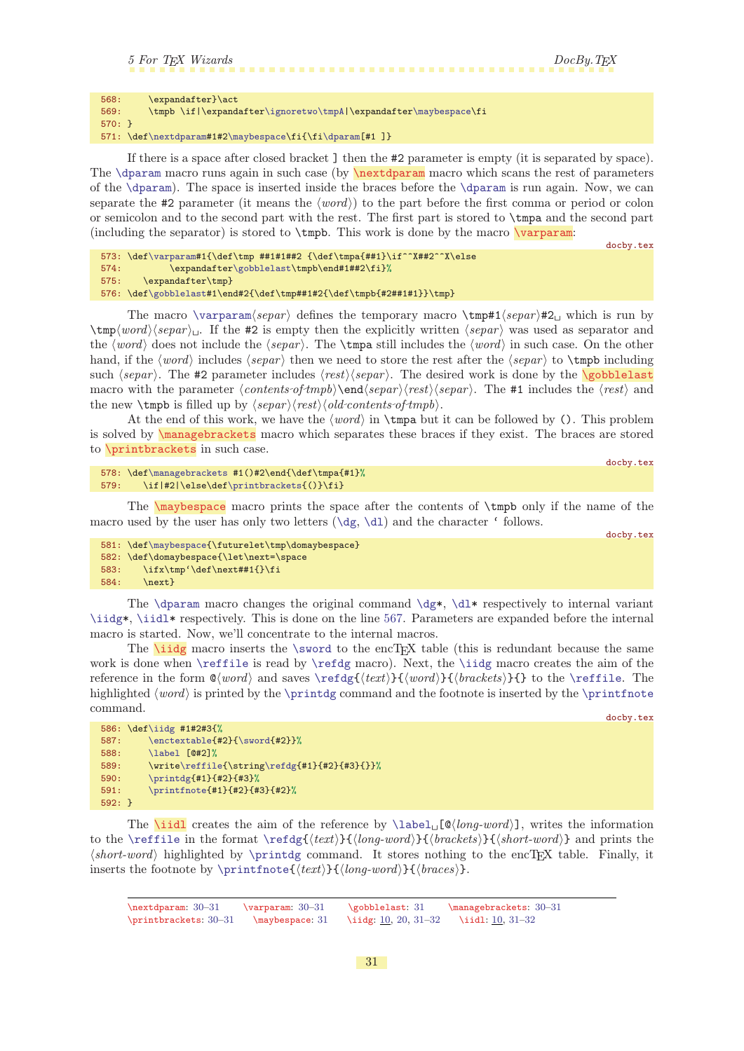```
568: \expandafter}\act
569: \tmpb \if|\expandafter\ignoretwo\tmpA|\expandafter\maybespace\fi
570 \cdot 3571: \def\nextdparam#1#2\maybespace\fi{\fi\dparam[#1 ]}
```
If there is a space after closed bracket ] then the #2 parameter is empty (it is separated by space). The  $\dagger$  rest of parameters again in such case (by  $\nabla$  nextdparam macro which scans the rest of parameters of the [\dparam](#page-29-15)). The space is inserted inside the braces before the [\dparam](#page-29-15) is run again. Now, we can separate the #2 parameter (it means the  $\langle word \rangle$ ) to the part before the first comma or period or colon or semicolon and to the second part with the rest. The first part is stored to \tmpa and the second part (including the separator) is stored to  $\t{tmpb}$ . This work is done by the macro  $\varphi$ .

```
docby.tex
\varparam#1{\def\tmp ##1#1##2 {\def\tmpa{##1}\if^^X##2^^X\else
\gobblelast\tmpb\end#1##2\fi}%
575: \expandafter\tmp}
```
576: \def[\gobblelast](#page-30-3)#1\end#2{\def\tmp##1#2{\def\tmpb{#2##1#1}}\tmp}

The macro [\varparam](#page-30-2) $\langle separ \rangle$  defines the temporary macro \tmp#1 $\langle separ \rangle$ #2<sub> $\cup$ </sub> which is run by  $\temp\word\$ separ)<sub> $\cup$ </sub>. If the #2 is empty then the explicitly written  $\$ separ is used as separator and the  $\langle word \rangle$  does not include the  $\langle separ \rangle$ . The  $\t{tmpa still}$  includes the  $\langle word \rangle$  in such case. On the other hand, if the  $\langle word \rangle$  includes  $\langle separ \rangle$  then we need to store the rest after the  $\langle separ \rangle$  to  $\langle temp \rangle$  including such  $\langle separ \rangle$ . The #2 parameter includes  $\langle rest \rangle \langle separ \rangle$ . The desired work is done by the **\gobblelast** macro with the parameter  $\langle contents oftmpb\rangle\end{angle}separ\rangle\langle separ\rangle$ . The #1 includes the  $\langle rest\rangle$  and the new  $\theta$  is filled up by  $\langle separ \rangle \langle rest \rangle \langle old-contents\text{-}oftmpb \rangle$ .

<span id="page-30-5"></span><span id="page-30-4"></span>At the end of this work, we have the  $\langle word \rangle$  in  $\times$  but it can be followed by (). This problem is solved by \managebrackets macro which separates these braces if they exist. The braces are stored to \printbrackets in such case.

```
578: \def\managebrackets #1()#2\end{\def\tmpa{#1}%
f\printbrackets{()}\fi}
```
<span id="page-30-6"></span>The  $\text{mapespace}$  macro prints the space after the contents of  $\t{tmpb}$  only if the name of the macro used by the user has only two letters  $(\dagger)$  and the character ' follows.

```
581: \def\maybespace{\futurelet\tmp\domaybespace}
582: \def\domaybespace{\let\next=\space
```

```
583: \iff\label{def:1}<br>584: \next<br>584: \next\next}
```
The [\dparam](#page-29-15) macro changes the original command  $\dagger$ ,  $\dagger$  respectively to internal variant [\iidg](#page-30-7)\*, [\iidl\\*](#page-30-8) respectively. This is done on the line [567](#page-29-16). Parameters are expanded before the internal macro is started. Now, we'll concentrate to the internal macros.

<span id="page-30-7"></span>The  $\iota$  macro inserts the [\sword](#page-24-0) to the encT<sub>EX</sub> table (this is redundant because the same work is done when [\reffile](#page-37-4) is read by [\refdg](#page-37-9) macro). Next, the [\iidg](#page-30-7) macro creates the aim of the reference in the form  $\mathbb{Q}(word)$  and saves  $\ref{text}{{word}}({word}){\forackets}}{}$  to the [\reffile](#page-37-4). The highlighted  $\word$  is printed by the [\printdg](#page-19-2) command and the footnote is inserted by the [\printfnote](#page-19-4) command.

docby.tex

<span id="page-30-3"></span><span id="page-30-2"></span>docby.tex

docby.tex

```
586: \def\iidg #1#2#3{%
\enctextable{\sword{#2}}%
588: \label [@#2]%
e\reffile\refdg{#1}{#2}{#3}{}}%
590: \printdg{#1}{#2}{#3}%
591: \printfnote{#1}{#2}{#3}{#2}%
592: }
```
<span id="page-30-8"></span>The **[\iidl](#page-9-4)** creates the aim of the reference by  $\label{col}$  $\label{col}$  \label  $\llbracket \mathcal{Q}(\text{long-word}) \rrbracket$ , writes the information to the [\reffile](#page-37-4) in the format [\refdg](#page-37-9){ $\text{text}}{\{long-word}\}\{\{bracket\} {\{short-word}\}\}$  and prints the  $\langle short-word \rangle$  highlighted by [\printdg](#page-19-2) command. It stores nothing to the encTEX table. Finally, it inserts the footnote by  $\print{text}{\{long-word\}}{\{braces\}}$ .

\nextdparam: [30](#page-29-1)–31 \varparam: [30](#page-29-1)–31 \gobblelast: 31 \managebrackets: [30–](#page-29-1)31 \printbrackets: 30-31 \maybespace: 31 \iidg: [10](#page-9-1), [20](#page-19-1), 31-[32](#page-31-1) \iidl: 10, 31-32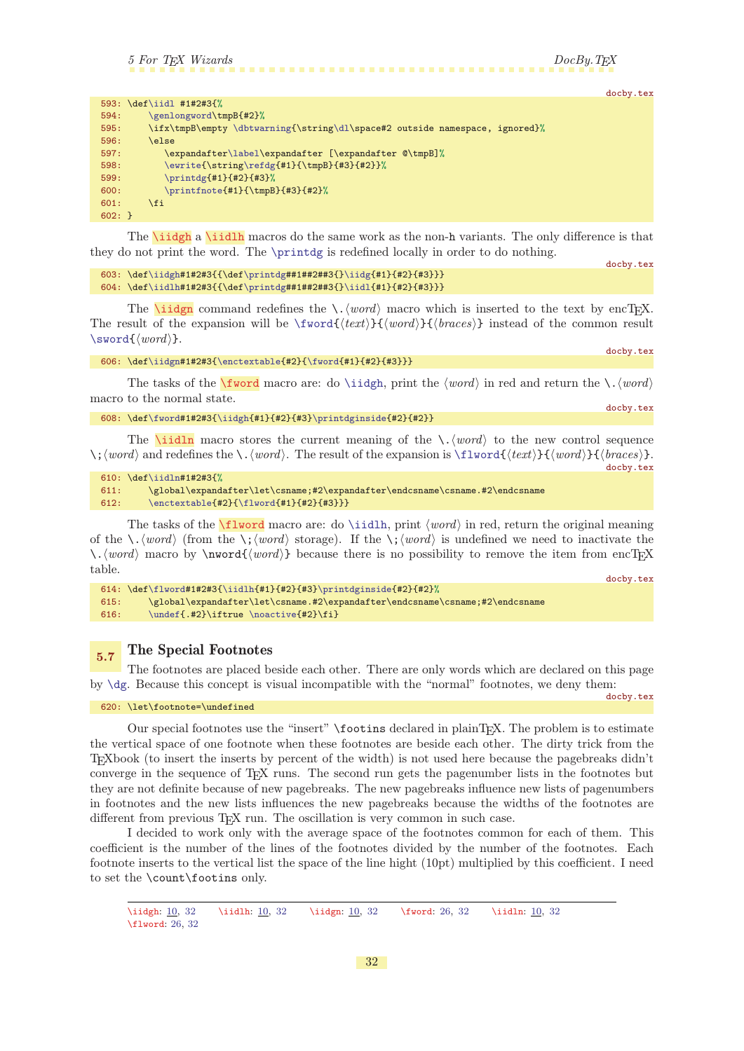docby.tex

docby.tex

docby.tex

<span id="page-31-1"></span>

|              | 593: \def\iidl #1#2#3{%                                                     |
|--------------|-----------------------------------------------------------------------------|
| 594:         | \genlongword <b>\tmpB{#2}%</b>                                              |
| 595:         | \ifx\tmpB\empty \dbtwarning{\string\dl\space#2 outside namespace, ignored}% |
| 596:         | <b>\else</b>                                                                |
| 597:         | \expandafter\label\expandafter [\expandafter @\tmpB]%                       |
| 598:         | \ewrite{\string\refdg{#1}{\tmpB}{#3}{#2}}%                                  |
| 599:         | \printdg{#1}{#2}{#3}%                                                       |
| 600:         | \printfnote{#1}{\tmpB}{#3}{#2}%                                             |
| 601:         | <b>\fi</b>                                                                  |
| $602: \; \}$ |                                                                             |

<span id="page-31-0"></span>The **\iiddle** a **[\iidlh](#page-9-5)** macros do the same work as the non-h variants. The only difference is that they do not print the word. The [\printdg](#page-19-2) is redefined locally in order to do nothing.

```
docby.tex
603: \def\iidgh#1#2#3{{\def\printdg##1##2##3{}\iidg{#1}{#2}{#3}}}
604: \def\iidlh#1#2#3{{\def\printdg##1##2##3{}\iidl{#1}{#2}{#3}}}
```
<span id="page-31-3"></span>The **[\iidgn](#page-9-3)** command redefines the  $\langle \cdot \rangle$  macro which is inserted to the text by encTEX. The result of the expansion will be  $\text{{text}}{\text{word}}{\text{word}}$  (braces) instead of the common result  $\sqrt{\text{word}(\text{word})}.$ 

```
606: \def\iidgn#1#2#3{\enctextable{#2}{\fword{#1}{#2}{#3}}}
```
The tasks of the  $\frac{word}{mean}$ : do [\iidgh](#page-31-0), print the  $\langle word \rangle$  in red and return the  $\langle word \rangle$ macro to the normal state. docby.tex

```
608: \def\fword#1#2#3{\iidgh{#1}{#2}{#3}\printdginside{#2}{#2}}
```
The **[\iidln](#page-9-6)** macro stores the current meaning of the  $\cdot$ . (word) to the new control sequence  $\setminus$ ; (word) and redefines the  $\setminus$ . (word). The result of the expansion is  $\setminus$ flword $\setminus$ {(word)}{(hraces)}.

```
610: \def\iidln#1#2#3{%
611: \global\expandafter\let\csname;#2\expandafter\endcsname\csname.#2\endcsname
\enctextable{\flword{#1}{#2}{#3}}}
```
The tasks of the  $\frac{\text{succ}}{\text{lword}}$  macro are: do  $\tilde{\text{luch}}$ , print  $\{word\}$  in red, return the original meaning of the  $\ldots$  (*word*) (from the  $\ldots$  *koord*) storage). If the  $\ldots$  (*word*) is undefined we need to inactivate the \.hwordi macro by \nword{hwordi} because there is no possibility to remove the item from encTEX table. docby.tex

```
614: \def\flword#1#2#3{\iidlh{#1}{#2}{#3}\printdginside{#2}{#2}%
615: \global\expandafter\let\csname.#2\expandafter\endcsname\csname;#2\endcsname
616: \undef\noactive{#2}{fi}
```
### <span id="page-31-7"></span>5.7 The Special Footnotes

The footnotes are placed beside each other. There are only words which are declared on this page by [\dg](#page-29-8). Because this concept is visual incompatible with the "normal" footnotes, we deny them:

620: \let\footnote=\undefined

docby.tex

Our special footnotes use the "insert" \footins declared in plainTEX. The problem is to estimate the vertical space of one footnote when these footnotes are beside each other. The dirty trick from the TEXbook (to insert the inserts by percent of the width) is not used here because the pagebreaks didn't converge in the sequence of TEX runs. The second run gets the pagenumber lists in the footnotes but they are not definite because of new pagebreaks. The new pagebreaks influence new lists of pagenumbers in footnotes and the new lists influences the new pagebreaks because the widths of the footnotes are different from previous T<sub>EX</sub> run. The oscillation is very common in such case.

I decided to work only with the average space of the footnotes common for each of them. This coefficient is the number of the lines of the footnotes divided by the number of the footnotes. Each footnote inserts to the vertical list the space of the line hight (10pt) multiplied by this coefficient. I need to set the \count\footins only.

<sup>\</sup>iidgh: [10,](#page-9-1) 32 \iidlh: 10, 32 \iidgn: 10, 32 \fword: [26,](#page-25-1) 32 \iidln: [10](#page-9-1), 32 \flword: [26](#page-25-1), 32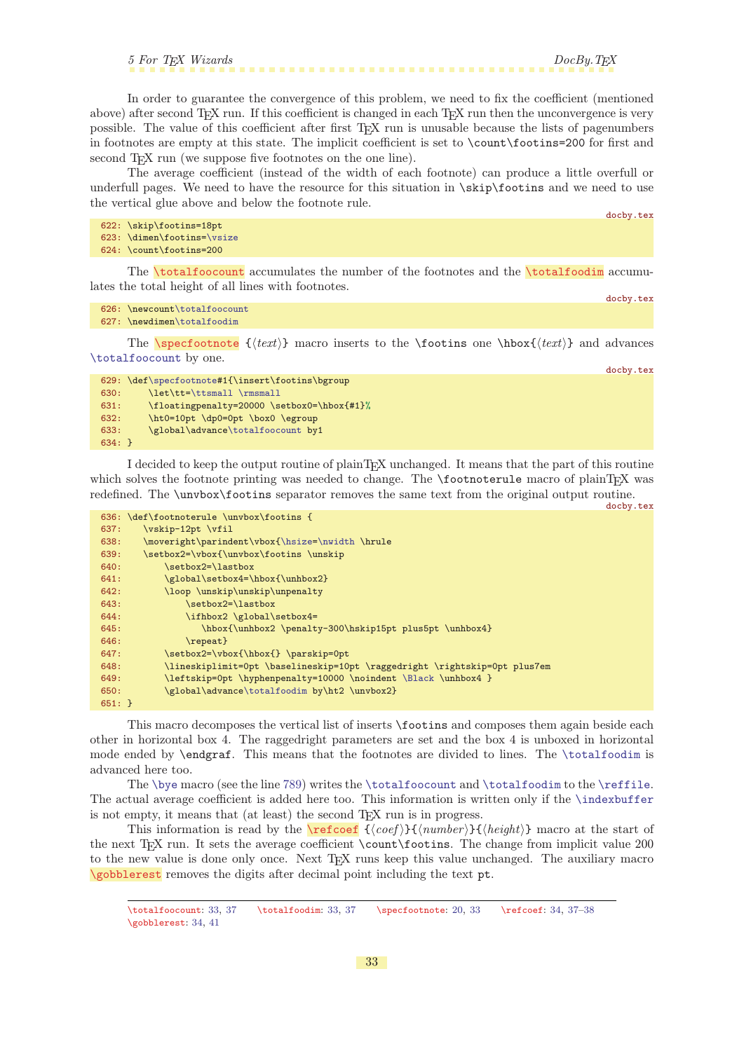<span id="page-32-1"></span>In order to guarantee the convergence of this problem, we need to fix the coefficient (mentioned above) after second TEX run. If this coefficient is changed in each TEX run then the unconvergence is very possible. The value of this coefficient after first TEX run is unusable because the lists of pagenumbers in footnotes are empty at this state. The implicit coefficient is set to \count\footins=200 for first and second T<sub>E</sub>X run (we suppose five footnotes on the one line).

The average coefficient (instead of the width of each footnote) can produce a little overfull or underfull pages. We need to have the resource for this situation in \skip\footins and we need to use the vertical glue above and below the footnote rule.

```
622: \skip\footins=18pt
623: \dimen\footins=\vsize
624: \count\footins=200
```
<span id="page-32-0"></span>The **\totalfoocount** accumulates the number of the footnotes and the **\totalfoodim** accumulates the total height of all lines with footnotes.

```
626: \newcount\totalfoocount
627: \newdimen\totalfoodim
```
The **\specfootnote**  $\{\text{text}\}$  macro inserts to the **\footins** one **\hbox**{\text} and advances [\totalfoocount](#page-32-0) by one.

|          | 629: \def\specfootnote#1{\insert\footins\bgroup |
|----------|-------------------------------------------------|
| 630:     | \let\tt=\ttsmall \rmsmall                       |
| 631:     | \floatingpenalty=20000 \setbox0=\hbox{#1}%      |
| 632:     | \ht0=10pt \dp0=0pt \box0 \egroup                |
| 633:     | \global\advance\totalfoocount by1               |
| $634:$ } |                                                 |

I decided to keep the output routine of plainTEX unchanged. It means that the part of this routine which solves the footnote printing was needed to change. The **\footnoterule** macro of plainT<sub>E</sub>X was redefined. The \unvbox\footins separator removes the same text from the original output routine.

docby.tex

docby.tex

<span id="page-32-2"></span>docby.tex

docby.tex

|          | 636: \def\footnoterule \unvbox\footins {                                  |
|----------|---------------------------------------------------------------------------|
| 637:     | \vskip-12pt \vfil                                                         |
| 638:     | \moveright\parindent\vbox{\hsize=\nwidth \hrule                           |
| 639:     | \setbox2=\vbox{\unvbox\footins \unskip                                    |
| 640:     | \setbox2=\lastbox                                                         |
| 641:     | \global\setbox4=\hbox{\unhbox2}                                           |
| 642:     | \loop \unskip\unskip\unpenalty                                            |
| 643:     | \setbox2=\lastbox                                                         |
| 644:     | \ifhbox2 \global\setbox4=                                                 |
| 645:     | \hbox{\unhbox2 \penalty-300\hskip15pt plus5pt \unhbox4}                   |
| 646:     | $\text{repeat}$                                                           |
| 647:     | \setbox2=\vbox{\hbox{} \parskip=0pt                                       |
| 648:     | \lineskiplimit=Opt \baselineskip=10pt \raggedright \rightskip=Opt plus7em |
| 649:     | \leftskip=0pt \hyphenpenalty=10000 \noindent \Black \unhbox4 }            |
| 650:     | \global\advance\totalfoodim by\ht2 \unvbox2}                              |
| $651:$ } |                                                                           |

This macro decomposes the vertical list of inserts \footins and composes them again beside each other in horizontal box 4. The raggedright parameters are set and the box 4 is unboxed in horizontal mode ended by \endgraf. This means that the footnotes are divided to lines. The [\totalfoodim](#page-32-2) is advanced here too.

The [\bye](#page-36-3) macro (see the line [789](#page-36-5)) writes the [\totalfoocount](#page-32-0) and [\totalfoodim](#page-32-2) to the [\reffile](#page-37-4). The actual average coefficient is added here too. This information is written only if the [\indexbuffer](#page-38-2) is not empty, it means that (at least) the second  $T_FX$  run is in progress.

<span id="page-32-5"></span>This information is read by the  $\ref{conf}({\mathit{coeff}}){\f{number}}{\g{height}}$  macro at the start of the next TEX run. It sets the average coefficient \count\footins. The change from implicit value 200 to the new value is done only once. Next TEX runs keep this value unchanged. The auxiliary macro \gobblerest removes the digits after decimal point including the text pt.

<span id="page-32-4"></span>\totalfoocount: 33, [37](#page-36-1) \totalfoodim: 33, [37](#page-36-1) \specfootnote: [20](#page-19-1), 33 \refcoef: [34,](#page-33-1) [37](#page-36-1)[–38](#page-37-1) \gobblerest: [34](#page-33-1), [41](#page-40-1)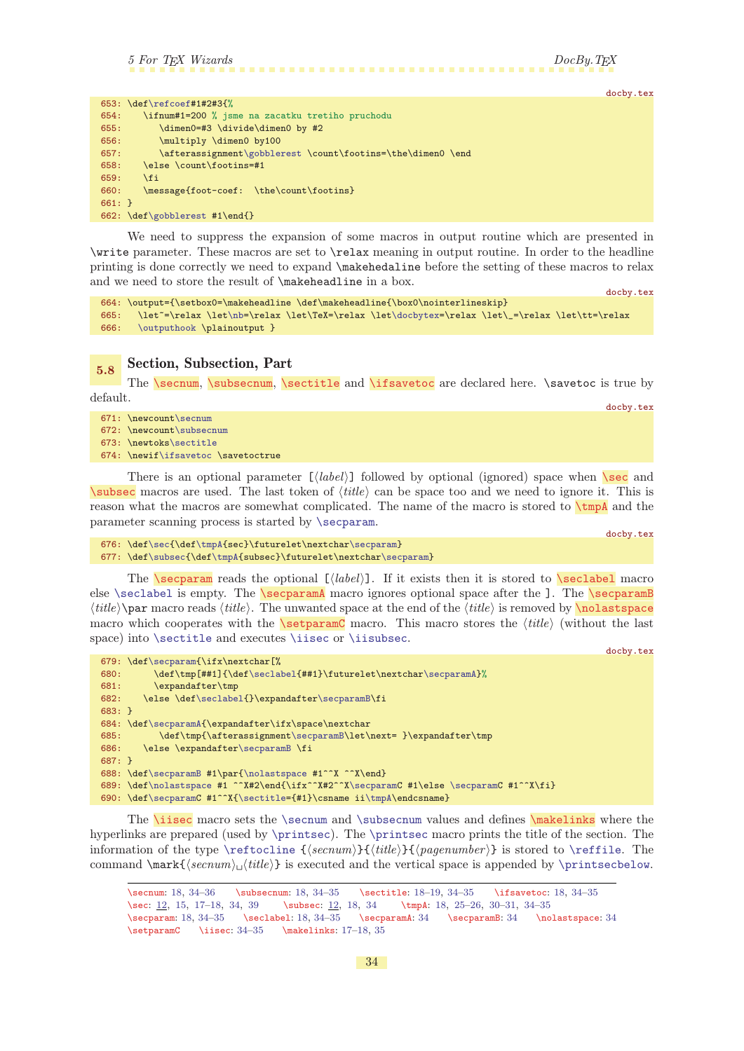docby.tex

<span id="page-33-6"></span><span id="page-33-5"></span>docby.tex

<span id="page-33-16"></span><span id="page-33-13"></span><span id="page-33-12"></span><span id="page-33-10"></span><span id="page-33-8"></span>docby.tex

<span id="page-33-1"></span>

|          | 653: $\def\ref{#1#2#3{'}}$                                 |
|----------|------------------------------------------------------------|
| 654:     | \ifnum#1=200 % isme na zacatku tretiho pruchodu            |
| 655:     | \dimen0=#3 \divide\dimen0 by #2                            |
| 656:     | \multiply \dimen0 by100                                    |
| 657:     | \afterassignment\gobblerest\count\footins=\the\dimen0 \end |
| 658:     | \else \count\footins=#1                                    |
| 659:     | \fi                                                        |
| 660:     | \message{foot-coef: \the\count\footins}                    |
| $661:$ } |                                                            |
|          | 662: \def\gobblerest #1\end{}                              |

We need to suppress the expansion of some macros in output routine which are presented in \write parameter. These macros are set to \relax meaning in output routine. In order to the headline printing is done correctly we need to expand \makehedaline before the setting of these macros to relax and we need to store the result of \makeheadline in a box.

```
docby.tex
664: \output={\setbox0=\makeheadline \def\makeheadline{\box0\nointerlineskip}
t\nb\docbytex=\relax \let\_=\relax \let\tt=\relax
666: \outputhook \plainoutput }
```
# <span id="page-33-4"></span><span id="page-33-3"></span><span id="page-33-2"></span><span id="page-33-0"></span>5.8 Section, Subsection, Part

The **\secnum, \subsecnum, \sectitle** and **\ifsavetoc** are declared here. \savetoc is true by default.

671: \newcount[\secnum](#page-33-2)

- 672: \newcount[\subsecnum](#page-33-3)
- 673: \newtoks[\sectitle](#page-33-4)
- 674: \newi[f\ifsavetoc](#page-33-5) \savetoctrue

<span id="page-33-7"></span>There is an optional parameter  $[\langle label \rangle]$  followed by optional (ignored) space when  $\setminus$ sec and [\subsec](#page-11-3) macros are used. The last token of  $\langle title \rangle$  can be space too and we need to ignore it. This is reason what the macros are somewhat complicated. The name of the macro is stored to  $\tump{A}$  and the parameter scanning process is started by [\secparam](#page-33-9).

```
\sec{\tmpA\secparam}
\subsec\tmpA{r\secparam}
```
<span id="page-33-9"></span>The **\secparam** reads the optional  $\left[\langle \text{label} \rangle\right]$ . If it exists then it is stored to **\seclabel** macro else [\seclabel](#page-33-10) is empty. The \secparamA macro ignores optional space after the ]. The \secparamB  $\langle title \rangle$ \par macro reads  $\langle title \rangle$ . The unwanted space at the end of the  $\langle title \rangle$  is removed by \nolastspace macro which cooperates with the **\setparamC** macro. This macro stores the  $\langle \text{title} \rangle$  (without the last space) into [\sectitle](#page-33-4) and executes [\iisec](#page-33-15) or [\iisubsec](#page-34-0).

```
docby.tex
679: \def\secparam{\ifx\nextchar[%
f\seclabel\secparamA}%
681: \expandafter\tmp
682: \else \def\seclabel{}\expandafter\secparamB\fi
683: }
684: \def\secparamA{\expandafter\ifx\space\nextchar
685: \def\tmp{\afterassignment\secparamB\let\next= }\expandafter\tmp
686: \else \expandafter\secparamB \fi
687: }
688: \def\secparamB #1\par{\nolastspace #1^^X ^^X\end}
689: \def\nolastspace #1 ^^X#2\end{\ifx^^X#2^^X\secparamC #1\else \secparamC #1^^X\fi}
690: \def\secparamC #1^^X{\sectitle={#1}\csname ii\tmpA\endcsname}
```
<span id="page-33-15"></span>The **\iisec** macro sets the **[\secnum](#page-33-2)** and **[\subsecnum](#page-33-3)** values and defines **\makelinks** where the hyperlinks are prepared (used by [\printsec](#page-16-12)). The [\printsec](#page-16-12) macro prints the title of the section. The information of the type  $\reftoch{seenum}{title}{}_{informber}$  is stored to  $\reffile$ . The command  $\max_{\{secnum\} \it{title}\}$  is executed and the vertical space is appended by [\printsecbelow](#page-16-13).

```
18,361835 \sectitle: 18-19, 34-35 \ifsavetoc: 18, 34-35
12,15,173912182530-31, 34-35
18,–3518, 34–35 \secparamA: 34 \secparamB: 34 \nolastspace: 34
–3517–18,35
```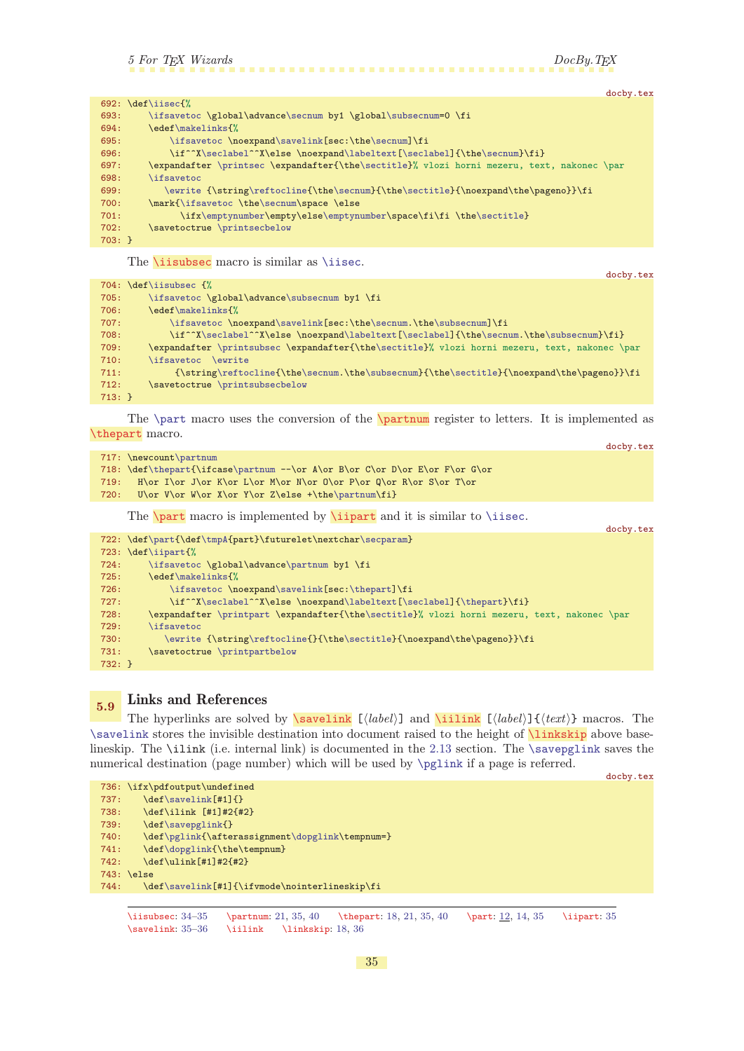<span id="page-34-1"></span>

|      |          |                                                                                            | docby.tex |
|------|----------|--------------------------------------------------------------------------------------------|-----------|
|      |          | 692: $\def\i>isec{\%}$                                                                     |           |
| 693: |          | \ifsavetoc \global\advance\secnum by1 \global\subsecnum=0 \fi                              |           |
| 694: |          | \edef\makelinks{%                                                                          |           |
| 695: |          | \ifsavetoc \noexpand\savelink[sec:\the\secnum]\fi                                          |           |
| 696: |          | \if^^X\seclabel^^X\else \noexpand\labeltext[\seclabel]{\the\secnum}\fi}                    |           |
| 697: |          | \expandafter \printsec \expandafter{\the\sectitle}% vlozi horni mezeru, text, nakonec \par |           |
| 698: |          | <i>lifsavetoc</i>                                                                          |           |
| 699: |          | \ewrite {\string\reftocline{\the\secnum}{\the\sectitle}{\noexpand\the\pageno}}\fi          |           |
| 700: |          | \mark{\ifsavetoc \the\secnum\space \else                                                   |           |
| 701: |          | \ifx\emptynumber\empty\else\emptynumber\space\fi\fi \the\sectitle}                         |           |
| 702: |          | \savetoctrue \printsecbelow                                                                |           |
|      | $703: }$ |                                                                                            |           |
|      |          |                                                                                            |           |

<span id="page-34-0"></span>The *\iisubsec* macro is similar as *[\iisec](#page-33-15)*.

docby.tex

<span id="page-34-9"></span><span id="page-34-8"></span><span id="page-34-2"></span>docby.tex

|          | 704: \def\iisubsec {%                                                                                  |
|----------|--------------------------------------------------------------------------------------------------------|
| 705:     | \ifsavetoc \global\advance\subsecnum by1 \fi                                                           |
| 706:     | \edef\makelinks{%                                                                                      |
| 707:     | \ifsavetoc \noexpand\savelink[sec:\the\secnum.\the\subsecnum]\fi                                       |
| 708:     | \if^^X\seclabel^^X\else \noexpand\labeltext[\seclabel]{\the\secnum.\the\subsecnum}\fi}                 |
| 709:     | \expandafter \printsubsec \expandafter{\the\sectitle}% vlozi horni mezeru, text, nakonec \par          |
| 710:     | \ifsavetoc<br><b>Newrite</b>                                                                           |
| 711:     | $\scriptstyle\verb String\reftocline\\the\secum.\the\subsecnum\\the\sectitle\\noexpand\the\ageno}\tif$ |
| 712:     | \savetoctrue \printsubsecbelow                                                                         |
| $713:$ } |                                                                                                        |

<span id="page-34-3"></span>The [\part](#page-34-4) macro uses the conversion of the  $\partial$  register to letters. It is implemented as \thepart macro.

|       | 717: \newcount\partnum                                                     |
|-------|----------------------------------------------------------------------------|
|       | 718: \def\thepart{\ifcase\partnum --\or A\or B\or C\or D\or E\or G\or G\or |
| 719:  | H\or I\or J\or K\or L\or M\or N\or O\or P\or Q\or R\or S\or T\or           |
| 720 : | U\or V\or W\or X\or Y\or Z\else +\the\partnum\fi}                          |

<span id="page-34-5"></span><span id="page-34-4"></span>The  $\part$  macro is implemented by  $\nightarrow$  ipart and it is similar to  $\linespace{1em}$  isec.

|          |                                                                                             | docby.tex |
|----------|---------------------------------------------------------------------------------------------|-----------|
|          | 722: \def\part{\def\tmpA{part}\futurelet\nextchar\secparam}                                 |           |
|          | 723: $\def\ij{\text{%}}$                                                                    |           |
| 724:     | \ifsavetoc \global\advance\partnum by1 \fi                                                  |           |
| 725:     | \edef\makelinks{%                                                                           |           |
| 726:     | \ifsavetoc \noexpand\savelink[sec:\thepart]\fi                                              |           |
| 727:     | \if^^X\seclabel^^X\else \noexpand\labeltext[\seclabel]{\thepart}\fi}                        |           |
| 728:     | \expandafter \printpart \expandafter{\the\sectitle}% vlozi horni mezeru, text, nakonec \par |           |
| 729:     | \ifsavetoc                                                                                  |           |
| 730:     | \ewrite {\string\reftocline{}{\the\sectitle}{\noexpand\the\pageno}}\fi                      |           |
| 731:     | \savetoctrue \printpartbelow                                                                |           |
| $732: }$ |                                                                                             |           |

# <span id="page-34-7"></span><span id="page-34-6"></span>5.9 Links and References

The hyperlinks are solved by  $\simeq$  [ $\langle label \rangle$ ] and  $\iint_k$  [ $\langle label \rangle$ ]  $\{\langle text \rangle\}$  macros. The [\savelink](#page-34-7) stores the invisible destination into document raised to the height of **\linkskip** above base-lineskip. The \ilink (i.e. internal link) is documented in the [2.13](#page-11-11) section. The [\savepglink](#page-35-0) saves the numerical destination (page number) which will be used by [\pglink](#page-35-2) if a page is referred.

```
docby.tex
736: \ifx\pdfoutput\undefined
737: \det\savelink[ #1]{}
738: \def\ilink [#1]#2{#2}
\savepglink{}
\pglinkt\dopglink\tempnum=}
\dopglink{\the\tempnum}
742: \def\ulink[#1]#2{#2}
743: \else
\savelink[#1]{\ifvmode\nointerlineskip\fi
```
\iisubsec: [34–](#page-33-1)35 \partnum: [21,](#page-20-1) 35, [40](#page-39-1) \thepart: [18,](#page-17-1) [21](#page-20-1), 35, [40](#page-39-1) \part: [12](#page-11-1), [14,](#page-13-1) 35 \iipart: 35 \savelink: 35–[36](#page-35-1) \iilink \linkskip: [18,](#page-17-1) [36](#page-35-1)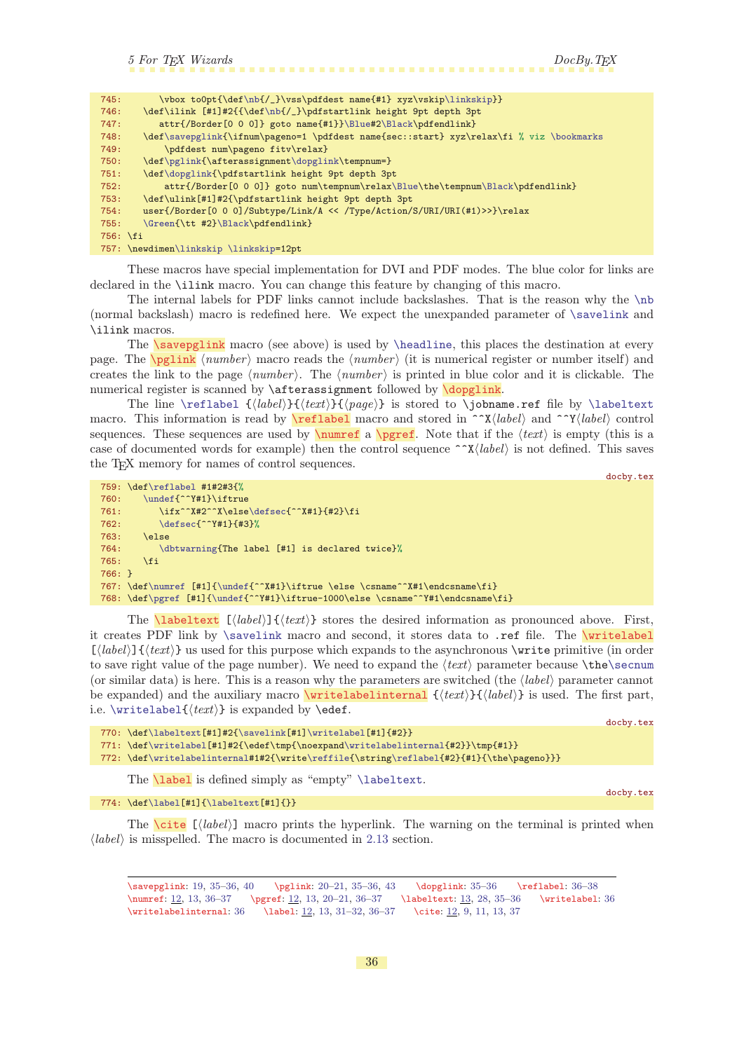<span id="page-35-1"></span>

| 745:     | \vbox to0pt{\def\nb{/_}\vss\pdfdest name{#1} xyz\vskip\linkskip}}                       |
|----------|-----------------------------------------------------------------------------------------|
|          |                                                                                         |
| 746:     | \def\ilink [#1]#2{{\def\nb{/_}\pdfstartlink height 9pt depth 3pt                        |
| 747:     | attr{/Border[0 0 0]} goto name{#1}}\Blue#2\Black\pdfendlink}                            |
| 748:     | \def\savepglink{\ifnum\pageno=1 \pdfdest name{sec::start} xyz\relax\fi % viz \bookmarks |
| 749:     | \pdfdest num\pageno fitv\relax}                                                         |
| 750:     | \def\pglink{\afterassignment\dopglink\tempnum=}                                         |
| 751:     | \def\dopglink{\pdfstartlink height 9pt depth 3pt                                        |
| 752:     | attr{/Border[0 0 0]} goto num\tempnum\relax\Blue\the\tempnum\Black\pdfendlink}          |
| 753:     | \def\ulink[#1]#2{\pdfstartlink height 9pt depth 3pt                                     |
| 754:     | user{/Border[0 0 0]/Subtype/Link/A << /Type/Action/S/URI/URI(#1)>>}\relax               |
| 755:     | \Green{\tt #2}\Black\pdfendlink}                                                        |
| 756: \fi |                                                                                         |
|          | 757: \newdimen\linkskip \linkskip=12pt                                                  |

These macros have special implementation for DVI and PDF modes. The blue color for links are declared in the \ilink macro. You can change this feature by changing of this macro.

The internal labels for PDF links cannot include backslashes. That is the reason why the [\nb](#page-22-14) (normal backslash) macro is redefined here. We expect the unexpanded parameter of [\savelink](#page-34-7) and \ilink macros.

<span id="page-35-2"></span><span id="page-35-0"></span>The **\savepglink** macro (see above) is used by **[\headline](#page-18-5)**, this places the destination at every page. The  $\epsilon$  in  $\epsilon$  hnumber is macro reads the  $\langle number \rangle$  (it is numerical register or number itself) and creates the link to the page  $\langle number \rangle$ . The  $\langle number \rangle$  is printed in blue color and it is clickable. The numerical register is scanned by **\afterassignment** followed by **\dopglink**.

<span id="page-35-4"></span><span id="page-35-3"></span>The line [\reflabel](#page-35-4)  $\{\langle \text{block} \rangle\}$  is stored to \jobname.ref file by [\labeltext](#page-35-7) macro. This information is read by **\reflabel** macro and stored in  $\Upsilon(\text{label})$  and  $\Upsilon(\text{label})$  control sequences. These sequences are used by  $\text{number}$  a  $\text{perf}$ . Note that if the  $\text{text}}$  is empty (this is a case of documented words for example) then the control sequence  $\gamma \chi \langle \text{label} \rangle$  is not defined. This saves the T<sub>EX</sub> memory for names of control sequences.

```
docby.tex
759: \def\reflabel #1#2#3{%
\undef{^^Y#1}\iftrue
761: \ifx^^X#2^^X\else\defsec{^^X#1}{#2}\fi
762: \defsec{^^Y#1}{#3}%
763: \else
764: \dbtwarning{The label [#1] is declared twice}%
765: \fi
766: }
\numref\undef{^^X#1}\iftrue \else \csname^^X#1\endcsname\fi}
768: \def\pgref [#1]{\undef{^^Y#1}\iftrue-1000\else \csname^^Y#1\endcsname\fi}
```
<span id="page-35-7"></span>The **labeltext**  $[\langle label \rangle]\{\langle text \rangle\}$  stores the desired information as pronounced above. First, it creates PDF link by  $\simeq$  and second, it stores data to .ref file. The  $\wedge$ writelabel  $[\langle label\rangle]\{\langle text\rangle\}$  us used for this purpose which expands to the asynchronous \write primitive (in order to save right value of the page number). We need to expand the  $\text{text}$  parameter because  $\theta$ (or similar data) is here. This is a reason why the parameters are switched (the  $\langle label \rangle$  parameter cannot be expanded) and the auxiliary macro  $\text{writelabelinternal } \{\text{text}\} \{ \text{label}\} \}$  is used. The first part, i.e.  $\text{level} (\text{text})$  is expanded by  $\text{def}.$ 

<span id="page-35-8"></span>docby.tex

- 770: \def[\labeltext](#page-35-7)[#1]#2{[\savelink\[](#page-34-7)#1][\writelabel](#page-35-8)[#1]{#2}} 771: \def[\writelabel](#page-35-8)[#1]#2{\edef\tmp{\noexpan[d\writelabelinternal{](#page-35-9)#2}}\tmp{#1}}
- 772: \def[\writelabelinternal](#page-35-9)#1#2{\write[\reffile{](#page-37-4)\string[\reflabel{](#page-35-4)#2}{#1}{\the\pageno}}}

<span id="page-35-11"></span><span id="page-35-10"></span><span id="page-35-9"></span>The **[\label](#page-11-12)** is defined simply as "empty" **[\labeltext](#page-35-7)**.

### 774:  $\def\label{1}$  $\def\label{1}$  $\def\label{1}$   $774: \def\label{1}$

The  $\setminus$ cite  $[\langle label \rangle]$  macro prints the hyperlink. The warning on the terminal is printed when  $\langle label \rangle$  is misspelled. The macro is documented in [2.13](#page-11-11) section.

\savepglink: [19](#page-18-1), [35–](#page-34-1)36, [40](#page-39-1) \pglink: [20](#page-19-1)[–21,](#page-20-1) [35–](#page-34-1)36, [43](#page-42-1) \dopglink: [35–](#page-34-1)36 \reflabel: 36[–38](#page-37-1) \numref: [12](#page-11-1), [13,](#page-12-1) 36-[37](#page-36-1) \pgref: 12, [13](#page-12-1), 20-[21](#page-20-1), 36-37 \labeltext: 13, [28,](#page-27-1) [35](#page-34-1)-36 \writelabel: 36 \writelabelinternal: 36 \label: [12,](#page-11-1) [13,](#page-12-1) [31](#page-30-1)[–32,](#page-31-1) 36–[37](#page-36-1) \cite: [12](#page-11-1), [9](#page-8-1), [11](#page-10-1), [13,](#page-12-1) [37](#page-36-1)

docby.tex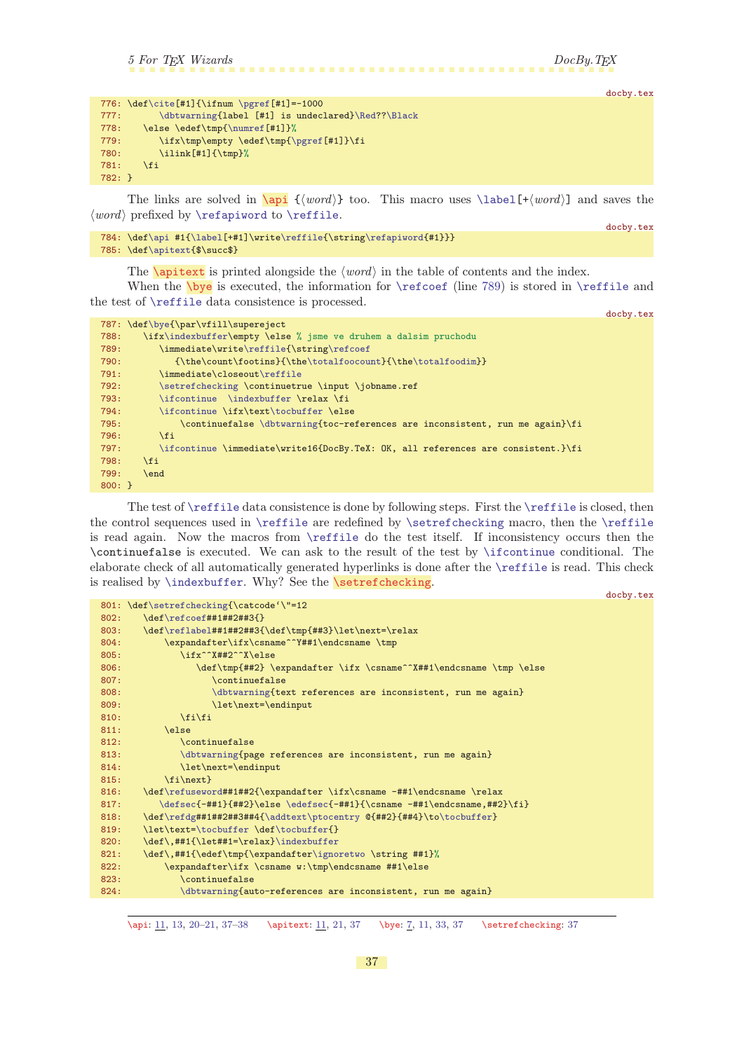```
5 For TEX Wizards DocBy.TEX
```
docby.tex

docby.tex

|          |                                                   | _______ |
|----------|---------------------------------------------------|---------|
|          |                                                   |         |
| 777 :    | \dbtwarning{label [#1] is undeclared}\Red??\Black |         |
| 778:     | \else \edef\tmp{\numref[#1]}%                     |         |
| 779:     | \ifx\tmp\empty \edef\tmp{\pgref[#1]}\fi           |         |
| 780:     | $\iint [#1] {\thm}$                               |         |
| 781:     | \fi                                               |         |
| $782:$ } |                                                   |         |
|          |                                                   |         |

The links are solved in  $\{word\}$  too. This macro uses  $\label{tword}$  $\label{tword}$  and saves the  $\langle word \rangle$  prefixed by [\refapiword](#page-37-10) to [\reffile](#page-37-4).

```
784: \def\api #1{\label[+#1]\write\reffile{\string\refapiword{#1}}}
785: \def\apitext{$\succ$}
```
<span id="page-36-3"></span><span id="page-36-2"></span><span id="page-36-0"></span>The **[\apitext](#page-10-6)** is printed alongside the  $\langle word \rangle$  in the table of contents and the index.

When the  $\b{bye}$  is executed, the information for  $\ref{line 789}$  is stored in  $\ref{ile}$  and the test of [\reffile](#page-37-4) data consistence is processed.

```
docby.tex
\bye{\par\vfill\supereject
788: \ifx\indexbuffer\empty \else % jsme ve druhem a dalsim pruchodu
\reffile{\refcoef
790:\t\t{k\theta\{\tanh\footnotesize{\theta\totalfootin}\tth\footnotesize{the\totalfootim}\t}\reffile
\setrefchecking \continuetrue \input \jobname.ref
\ifcontinue\indexbuffer \relax \fi
\ifcontinuet\tocbuffer \else
\dbtwarning{toc-references are inconsistent, run me again}\fi<br>796. \fi
796.797: \ifcontinue \immediate\write16{DocBy.TeX: OK, all references are consistent.}\fi
798: \fi
799: \end
800: }
```
The test of [\reffile](#page-37-4) data consistence is done by following steps. First the [\reffile](#page-37-4) is closed, then the control sequences used in [\reffile](#page-37-4) are redefined by [\setrefchecking](#page-36-4) macro, then the [\reffile](#page-37-4) is read again. Now the macros from [\reffile](#page-37-4) do the test itself. If inconsistency occurs then the \continuefalse is executed. We can ask to the result of the test by [\ifcontinue](#page-24-7) conditional. The elaborate check of all automatically generated hyperlinks is done after the [\reffile](#page-37-4) is read. This check is realised by [\indexbuffer](#page-38-2). Why? See the \setrefchecking.

```
docby.tex
\setrefchecking{\catcode'\"=12
802: \def\refcoef##1##2##3{}
803: \ \ \det\reflabel{#1#1#1#2#1} \def\mathcal{h} = \ref\ref\end{#3}\let\nextblock\ref{#2}804: \expandafter\ifx\csname^^Y##1\endcsname \tmp
805: \ifx^^X##2^^X\else
806: \def\tmp{##2} \expandafter \ifx \csname^^X##1\endcsname \tmp \else
807: \continuefalse
\dbtwarning{text references are inconsistent, run me again}
809: \let\next=\endinput
810: \fi\fi
811: \qquad \text{leles}812: \continuefalse
\dbtwarning{page references are inconsistent, run me again}
814: \let\next=\endinput
815: \{f_i\}_{n \in \mathbb{Z}}\refuseword##1##2{\expandafter \ifx\csname -##1\endcsname \relax
817: \defsec{-##1}{##2}\else \edefsec{-##1}{\csname -##1\endcsname,##2}\fi}
\refdg#\addtext\ptocentry \mathcal{H}_{\#2}\tocbuffer}
\tocbufferf\tocbuffer{}
}\indexbuffer
r\ignoretwo \string ##1}%
822: \expandafter\ifx \csname w:\tmp\endcsname ##1\else
823: \continuefalse
\dbtwarning{auto-references are inconsistent, run me again}
```
\api: [11](#page-10-1), [13](#page-12-1), 20-[21](#page-20-1), 37-38 \apitext: 11, [21,](#page-20-1) 37 \bye: [7,](#page-6-1) 11, [33](#page-32-1), 37 \setrefchecking: 37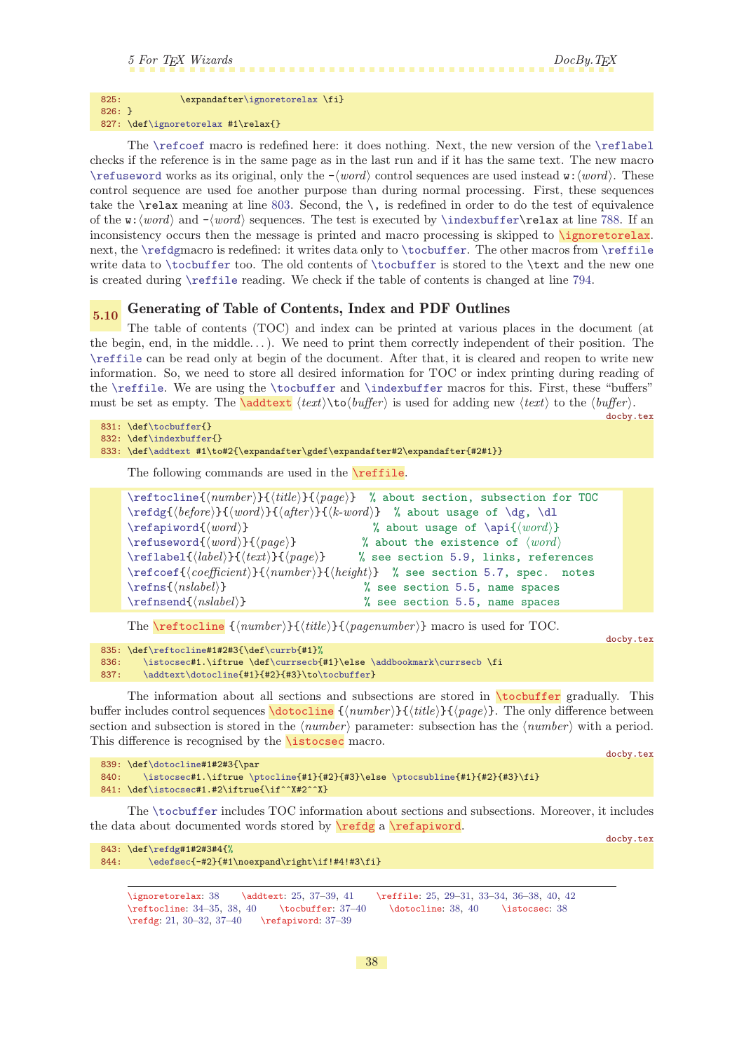# 5 For T<sub>E</sub>X Wizards DocBy.T<sub>E</sub>X

### <span id="page-37-1"></span>825: \expandafte[r\ignoretorelax](#page-37-0) \fi} 826: }

827: \def[\ignoretorelax](#page-37-0) #1\relax{}

The [\refcoef](#page-32-4) macro is redefined here: it does nothing. Next, the new version of the [\reflabel](#page-35-4) checks if the reference is in the same page as in the last run and if it has the same text. The new macro [\refuseword](#page-41-5) works as its original, only the  $-\langle word \rangle$  control sequences are used instead w: $\langle word \rangle$ . These control sequence are used foe another purpose than during normal processing. First, these sequences take the  $\relax{\text{rel}}$  meaning at line [803](#page-36-6). Second, the  $\setminus$ , is redefined in order to do the test of equivalence of the w:  $\langle word \rangle$  and  $-\langle word \rangle$  sequences. The test is executed by [\indexbuffer\](#page-38-2)relax at line [788.](#page-36-7) If an inconsistency occurs then the message is printed and macro processing is skipped to **\ignoretorelax**. next, the [\refdg](#page-37-9)macro is redefined: it writes data only to [\tocbuffer](#page-37-6). The other macros from [\reffile](#page-37-4) write data to [\tocbuffer](#page-37-6) too. The old contents of [\tocbuffer](#page-37-6) is stored to the \text and the new one is created during [\reffile](#page-37-4) reading. We check if the table of contents is changed at line [794](#page-36-8).

# <span id="page-37-2"></span>5.10 Generating of Table of Contents, Index and PDF Outlines

The table of contents (TOC) and index can be printed at various places in the document (at the begin, end, in the middle. . .). We need to print them correctly independent of their position. The [\reffile](#page-37-4) can be read only at begin of the document. After that, it is cleared and reopen to write new information. So, we need to store all desired information for TOC or index printing during reading of the [\reffile](#page-37-4). We are using the [\tocbuffer](#page-37-6) and [\indexbuffer](#page-38-2) macros for this. First, these "buffers" must be set as empty. The **\addtext**  $\text{text}\$  **is used for adding new**  $\text{text}$  to the  $\text{buffer}$ .

```
docby.tex
831: \def\tocbuffer{}
\indexbuffer{}
833: \def\addtext #1\to#2{\expandafter\gdef\expandafter#2\expandafter{#2#1}}
```
<span id="page-37-4"></span><span id="page-37-3"></span>The following commands are used in the **\reffile**.

```
\ref{number}_{\{title\}}{\{page\} % about section, subsection for TOC
\ref{before}{\text{word}}{\text{after}}{\text{www}} % about usage of \dg, \ddot\ddot\phi\ref{word}{word} % about usage of \{word\}\ref{word}{word} % about the existence of \{word\}\reflabel{\langle label{\lbrace\mathcal{H}(text)\rbrace}{\langle page\rangle5.9, links, references
\ref{coefficient}{\number}{\height5.7, spec. notes
\ref{nslabel}5.5, name spaces
\ref{(\n  nslabel)}5.5, name spaces
```
<span id="page-37-8"></span><span id="page-37-7"></span><span id="page-37-5"></span>The  $\ref{number}{\langle \mathit{title} \rangle}{\langle \mathit{title} \rangle}$  macro is used for TOC.

<span id="page-37-6"></span><span id="page-37-0"></span>docby.tex

```
835: \def\reftocline#1#2#3{\def\currb{#1}%
\istocsec#f\currsecb\addbookmark\currsecb \fi
\addtext\dotocline{o\tocbuffer}
```
The information about all sections and subsections are stored in **\tocbuffer** gradually. This buffer includes control sequences  $\dot{\text{dotocline}}$  { $\langle \text{number} \rangle$ }{ $\langle \text{right}}$ }}. The only difference between section and subsection is stored in the  $\langle number \rangle$  parameter: subsection has the  $\langle number \rangle$  with a period. This difference is recognised by the **\istocsec** macro.

<span id="page-37-10"></span>docby.tex

```
\dotocline#1#2#3{\par
840: \istocsec#1.\iftrue \ptocline{#1}{#2}{#3}\else \ptocsubline{#1}{#2}{#3}\fi}
\istocsec#1.#2\iftrue{\if^^X#2^^X}
```
<span id="page-37-9"></span>\refdg: [21,](#page-20-1) [30–](#page-29-1)[32](#page-31-1), [37](#page-36-1)[–40](#page-39-1) \refapiword: [37–](#page-36-1)[39](#page-38-1)

The [\tocbuffer](#page-37-6) includes TOC information about sections and subsections. Moreover, it includes the data about documented words stored by  $\ref{q}$  a  $\ref{apiword}$ .

```
docby.tex
843: \def\refdg#1#2#3#4{%
\edefsec{-#2}{#1\noexpand\right\if!#4!#3\fi}
     \ignoretorelax: 38 \addtext: 25, 37–39, 41 \reffile: 25, 29–31, 33–34, 36–38, 40, 42
    \reftocline: 34–35, 38, 40 \tocbuffer: 37–40 \dotocline: 38, 40 \istocsec: 38
```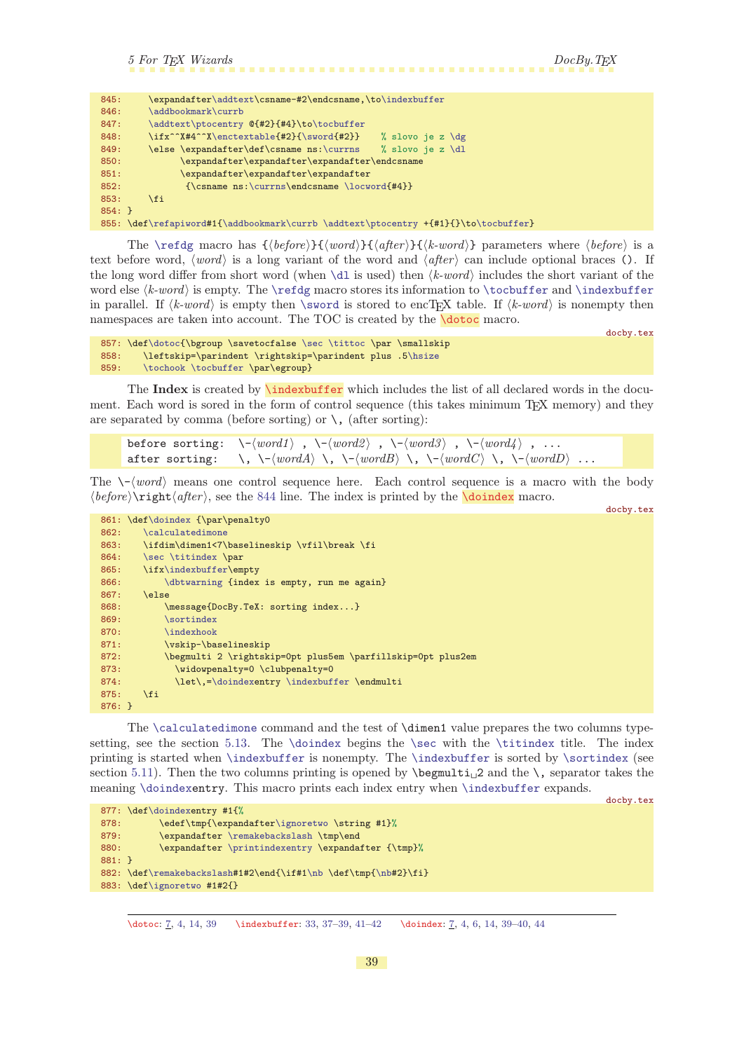```
5 For TEX Wizards DocBy.TEX
```
<span id="page-38-0"></span>

<span id="page-38-4"></span><span id="page-38-1"></span>

| 845:     | \expandafter\addtext\csname-#2\endcsname,\to\indexbuffer                           |
|----------|------------------------------------------------------------------------------------|
| 846:     | \addbookmark\currb                                                                 |
| 847:     | \addtext\ptocentry $Q{#2}{#4}\to\to\to\text{fer}$                                  |
| 848:     | \ifx^^X#4^^X\enctextable{#2}{\sword{#2}}<br>% slovo je z $\deg$                    |
| 849:     | \else \expandafter\def\csname ns:\currns<br>% slovo je z $\dagger$ dl              |
| 850:     | \expandafter\expandafter\expandafter\endcsname                                     |
| 851:     | \expandafter\expandafter\expandafter                                               |
| 852:     | $\{\cos n\$ : \currns\endcsname \locword{#4}}                                      |
| 853:     | <b>\fi</b>                                                                         |
| $854:$ } |                                                                                    |
|          | 855: \def\refapiword#1{\addbookmark\currb \addtext\ptocentry +{#1}{}\to\tocbuffer} |

<span id="page-38-5"></span>The [\refdg](#page-37-9) macro has  ${\begin{subarray}{c}{} \{word\} {\begin{subarray}{c}{} \{sk-word\} \} \}$  parameters where  ${\begin{subarray}{c}{} \{before\} \} \end{subarray}}$ text before word,  $\langle word \rangle$  is a long variant of the word and  $\langle after \rangle$  can include optional braces (). If the long word differ from short word (when  $\dagger$  is used) then  $\langle k-word \rangle$  includes the short variant of the word else  $\langle k\text{-}word\rangle$  is empty. The [\refdg](#page-37-9) macro stores its information to [\tocbuffer](#page-37-6) and [\indexbuffer](#page-38-2) in parallel. If  $\langle k$ -word) is empty then [\sword](#page-24-0) is stored to encTEX table. If  $\langle k$ -word) is nonempty then namespaces are taken into account. The TOC is created by the **[\dotoc](#page-6-4)** macro.

```
docby.tex
\dotoc\sec\tittoc \par \smallskip
5\hsize
\tochook\tocbuffer \par\egroup}
```
The Index is created by  $\langle \text{indexbuffer} \rangle$  which includes the list of all declared words in the document. Each word is sored in the form of control sequence (this takes minimum T<sub>EX</sub> memory) and they are separated by comma (before sorting) or  $\setminus$ , (after sorting):

```
before sorting: \setminus \{-\langle word1 \rangle, \setminus \{-\langle word2 \rangle, \setminus \{-\langle word3 \rangle, \setminus \{-\langle word4 \rangle, \ldots\} \rangle\}after sorting: \langle \cdot, \cdot \rangle = \langle word \rangle \, \langle \cdot, \cdot \rangle = \langle word \rangle \, \langle \cdot, \cdot \rangle = \langle word \rangle \, \langle \cdot, \cdot \rangle = \langle word \rangle \, \langle \cdot, \cdot \rangle = \langle word \rangle...
```
The  $\setminus \{word\}$  means one control sequence here. Each control sequence is a macro with the body  $\langle \text{before} \rangle$  ight $\langle \text{after} \rangle$ , see the [844](#page-37-11) line. The index is printed by the **[\doindex](#page-6-3)** macro. docby.tex

<span id="page-38-6"></span>

|          | 861: \def\doindex {\par\penalty0                            |  |
|----------|-------------------------------------------------------------|--|
| 862:     | \calculatedimone                                            |  |
| 863:     | \ifdim\dimen1<7\baselineskip \vfil\break \fi                |  |
| 864:     | \sec \titindex \par                                         |  |
| 865:     | \ifx\indexbuffer\empty                                      |  |
| 866:     | \dbtwarning {index is empty, run me again}                  |  |
| 867:     | \else                                                       |  |
| 868:     | \message{DocBy.TeX: sorting index}                          |  |
| 869:     | \sortindex                                                  |  |
| 870:     | \indexhook                                                  |  |
| 871:     | \vskip-\baselineskip                                        |  |
| 872:     | \begmulti 2 \rightskip=0pt plus5em \parfillskip=0pt plus2em |  |
| 873:     | \widowpenalty=0 \clubpenalty=0                              |  |
| 874:     | \let\, =\doindexentry \indexbuffer \endmulti                |  |
| 875:     | <b>\fi</b>                                                  |  |
| $876: }$ |                                                             |  |

The [\calculatedimone](#page-43-0) command and the test of \dimen1 value prepares the two columns type-setting, see the section [5.13.](#page-42-3) The [\doindex](#page-38-3) begins the [\sec](#page-33-6) with the [\titindex](#page-13-2) title. The index printing is started when [\indexbuffer](#page-38-2) is nonempty. The [\indexbuffer](#page-38-2) is sorted by [\sortindex](#page-40-5) (see section [5.11\)](#page-39-11). Then the two columns printing is opened by  $\begin{array}{c} \begin{array}{c} 2 \end{array}$  and the  $\, \end{array}$ , separator takes the meaning [\doindexe](#page-38-3)ntry. This macro prints each index entry when [\indexbuffer](#page-38-2) expands.

docby.tex

```
877: \def\doindexentry #1{%
r\ignoretwo \string #1}%
\remakebackslash \tmp\end
\printindexentry \expandafter {\tmp}%
881: }
\remakebackslash#\nb\nb#2}\fi}
883: \def\ignoretwo #1#2{}
```
\dotoc: [7,](#page-6-1) [4](#page-3-1), [14,](#page-13-1) 39 \indexbuffer: [33,](#page-32-1) [37](#page-36-1)-39, 41-[42](#page-41-1) \doindex: 7, 4, [6,](#page-5-1) [14](#page-13-1), 39-40, [44](#page-43-1)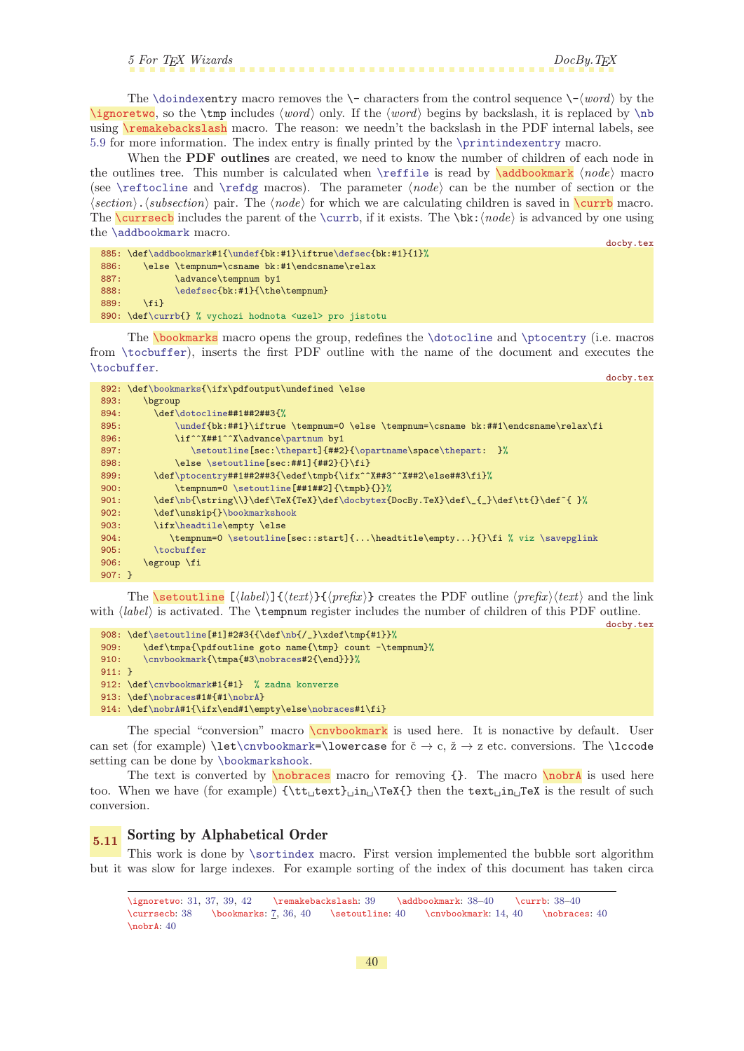<span id="page-39-4"></span><span id="page-39-3"></span>5 For T<sub>E</sub>X Wizards DocBy.T<sub>E</sub>X

<span id="page-39-2"></span><span id="page-39-1"></span><span id="page-39-0"></span>The [\doindexe](#page-38-3)ntry macro removes the \- characters from the control sequence  $\langle \text{--}\langle word \rangle$  by the \ignoretwo, so the \tmp includes  $\langle word \rangle$  only. If the  $\langle word \rangle$  begins by backslash, it is replaced by [\nb](#page-22-14) using **\remakebackslash** macro. The reason: we needn't the backslash in the PDF internal labels, see [5.9](#page-34-6) for more information. The index entry is finally printed by the [\printindexentry](#page-20-4) macro.

When the **PDF** outlines are created, we need to know the number of children of each node in the outlines tree. This number is calculated when  $\ref{ile}$  is read by  $\addbookmark \n| node \n|$  macro (see [\reftocline](#page-37-5) and [\refdg](#page-37-9) macros). The parameter  $\langle node \rangle$  can be the number of section or the  $\langle section \rangle$ .  $\langle subsection \rangle$  pair. The  $\langle node \rangle$  for which we are calculating children is saved in  $\text{current}$  macro. The **\currsecb** includes the parent of the **[\currb](#page-39-4)**, if it exists. The **\bk**:  $\langle node \rangle$  is advanced by one using the [\addbookmark](#page-39-3) macro. docby.tex

```
885: \def\addbookmark#1{\undef{bk:#1}\iftrue\defsec{bk:#1}{1}%
886: \else \tempnum=\csname bk:#1\endcsname\relax
887: \advance\tempnum by1
\edefsec{bk:#1}{\the\tempnum}
889: \fi}
890: \def\currb{} % vychozi hodnota <uzel> pro jistotu
```
<span id="page-39-6"></span>The [\bookmarks](#page-6-6) macro opens the group, redefines the [\dotocline](#page-37-7) and [\ptocentry](#page-20-2) (i.e. macros from [\tocbuffer](#page-37-6)), inserts the first PDF outline with the name of the document and executes the [\tocbuffer](#page-37-6). docby.tex

|          | 892: \def\bookmarks{\ifx\pdfoutput\undefined \else                                 |
|----------|------------------------------------------------------------------------------------|
| 893:     | bgroup                                                                             |
| 894:     | \def\dotocline##1##2##3{%                                                          |
| 895:     | \undef{bk:##1}\iftrue \tempnum=0 \else \tempnum=\csname bk:##1\endcsname\relax\fi  |
| 896:     | \if^^X##1^^X\advance\partnum by1                                                   |
| 897:     | \setoutline[sec:\thepart]{##2}{\opartname\space\thepart: }%                        |
| 898:     | \else \setoutline[sec:##1]{##2}{}\fi}                                              |
| 899:     | \def\ptocentry##1##2##3{\edef\tmpb{\ifx^^X##3^^X##2\else##3\fi}%                   |
| 900:     | \tempnum=0 \setoutline[##1##2]{\tmpb}{}}%                                          |
| 901:     | \def\nb{\string\\}\def\TeX{TeX}\def\docbytex{DocBy.TeX}\def\_{_}\def\tt{}\def~{ }% |
| 902:     | \def\unskip{}\bookmarkshook                                                        |
| 903:     | \ifx\headtile\empty \else                                                          |
| 904:     | \tempnum=0 \setoutline[sec::start]{\headtitle\empty}{}\fi % viz \savepglink        |
| 905:     | \tocbuffer                                                                         |
| 906:     | \egroup \fi                                                                        |
| $907: }$ |                                                                                    |

<span id="page-39-7"></span>The **\setoutline**  $[\langle label \rangle]\{\langle text \rangle\}\{\langle prefix \rangle\}$  creates the PDF outline  $\langle prefix \rangle \langle text \rangle$  and the link with  $\langle label \rangle$  is activated. The  $\tempnum$  register includes the number of children of this PDF outline. docby.tex

```
\setoutline\nb{/_}\xdef\tmp{#1}}%
909: \def\tmpa{\pdfoutline goto name{\tmp} count -\tempnum}%
\cnvbookmark\nobraces#2{\end}}}%
911: }
\cnvbookmark#1{#1} % zadna konverze
\nobraces#1\nobrA}
\nobrA\nobraces#1\fi}
```
<span id="page-39-8"></span>The special "conversion" macro **\cnvbookmark** is used here. It is nonactive by default. User can set (for example)  $\text{cv} \to \text{cv} \to \text{cv} \to \text{cv} \to \text{cv} \to \text{cv} \to \text{cv} \to \text{cv} \to \text{cv} \to \text{cv} \to \text{cv} \to \text{cv} \to \text{cv} \to \text{cv} \to \text{cv} \to \text{cv} \to \text{cv} \to \text{cv} \to \text{cv} \to \text{cv} \to \text{cv} \to \text{cv} \to \text{cv} \to \text{cv} \to \text{cv} \to \text{cv} \to \text{cv} \to \text{cv} \to \text$ setting can be done by [\bookmarkshook](#page-13-12).

<span id="page-39-9"></span>The text is converted by  $\nhobraces macro for removing  $\{\}$ . The macro **hook** is used here$ too. When we have (for example)  $\{\text{tut}_\text{t} \in \text{H} \text{ in } \text{et} \text{ in } \text{et} \text{ in } \text{et} \text{ in } \text{et} \text{ in } \text{et} \text{ in } \text{et} \text{ in } \text{et} \text{ in } \text{et} \text{ in } \text{et} \text{ in } \text{et} \text{ in } \text{et} \text{ in } \text{et} \text{ in } \text{et} \text{ in } \text{et} \text{ in } \text{et} \text{ in } \text{et} \text{ in } \text{et$ conversion.

# <span id="page-39-11"></span>5.11 Sorting by Alphabetical Order

This work is done by [\sortindex](#page-40-5) macro. First version implemented the bubble sort algorithm but it was slow for large indexes. For example sorting of the index of this document has taken circa

<span id="page-39-10"></span>\ignoretwo: [31](#page-30-1), [37,](#page-36-1) [39](#page-38-1), [42](#page-41-1) \remakebackslash: [39](#page-38-1) \addbookmark: [38–](#page-37-1)40 \currb: [38–](#page-37-1)40  $\current{2} (currsech: 38 \bockmarks: 7, 36, 40 \setminus 40 \convobokmark: 14, 40 \nobraces: 40$  $\current{2} (currsech: 38 \bockmarks: 7, 36, 40 \setminus 40 \convobokmark: 14, 40 \nobraces: 40$  $\current{2} (currsech: 38 \bockmarks: 7, 36, 40 \setminus 40 \convobokmark: 14, 40 \nobraces: 40$  $\current{2} (currsech: 38 \bockmarks: 7, 36, 40 \setminus 40 \convobokmark: 14, 40 \nobraces: 40$  $\current{2} (currsech: 38 \bockmarks: 7, 36, 40 \setminus 40 \convobokmark: 14, 40 \nobraces: 40$  $\current{2} (currsech: 38 \bockmarks: 7, 36, 40 \setminus 40 \convobokmark: 14, 40 \nobraces: 40$  $\current{2} (currsech: 38 \bockmarks: 7, 36, 40 \setminus 40 \convobokmark: 14, 40 \nobraces: 40$  $\current{2} (currsech: 38 \bockmarks: 7, 36, 40 \setminus 40 \convobokmark: 14, 40 \nobraces: 40$  $\current{2} (currsech: 38 \bockmarks: 7, 36, 40 \setminus 40 \convobokmark: 14, 40 \nobraces: 40$  $\n\frac{\text{hph}}{4}$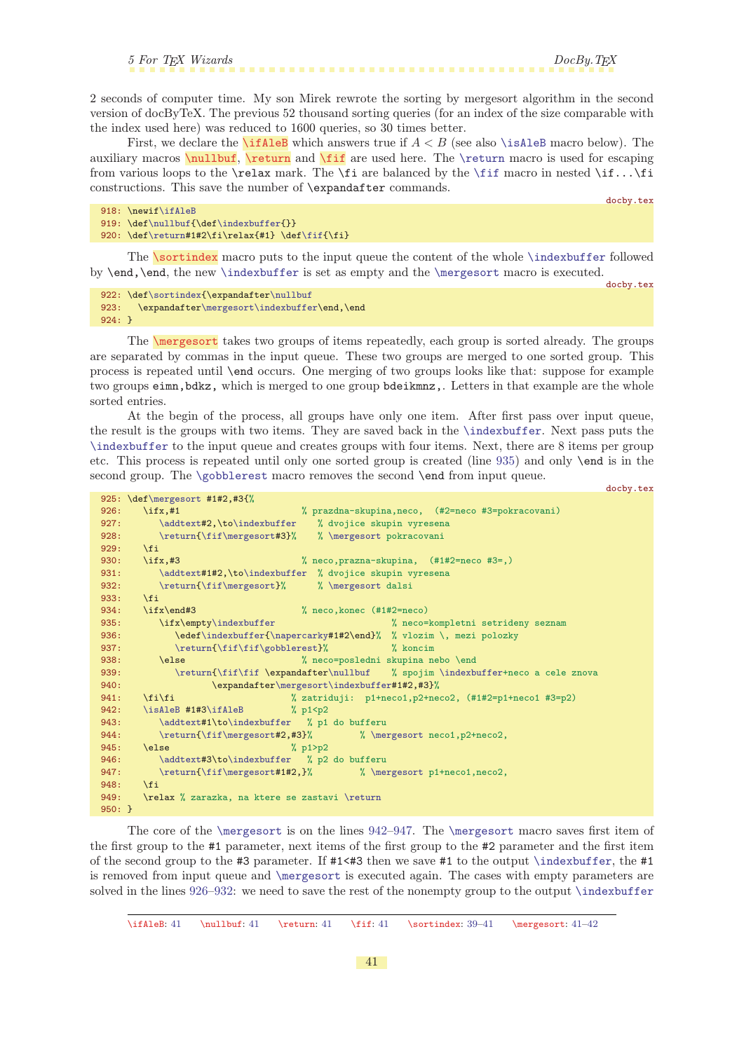<span id="page-40-1"></span>2 seconds of computer time. My son Mirek rewrote the sorting by mergesort algorithm in the second version of docByTeX. The previous 52 thousand sorting queries (for an index of the size comparable with the index used here) was reduced to 1600 queries, so 30 times better.

<span id="page-40-3"></span><span id="page-40-2"></span><span id="page-40-0"></span>First, we declare the **\ifAleB** which answers true if  $A < B$  (see also **[\isAleB](#page-41-0)** macro below). The auxiliary macros  $\n$ ullbuf,  $\return$  and  $\if$  are used here. The  $\return$  macro is used for escaping from various loops to the  $\tau$  mark. The  $\fi$  are balanced by the  $\fi$  fif macro in nested  $\fi$ ... $\fi$ constructions. This save the number of \expandafter commands.

docby.tex

```
f\ifAleB
\nullbuf{\indexbuffer{}}
\return\fif{\fi}
```
<span id="page-40-5"></span>The **\sortindex** macro puts to the input queue the content of the whole **[\indexbuffer](#page-38-2)** followed by \end,\end, the new [\indexbuffer](#page-38-2) is set as empty and the [\mergesort](#page-40-6) macro is executed.

docby.tex

```
\sortindexr\nullbuf
r\mergesort\indexbuffer\end,\end
924: }
```
<span id="page-40-6"></span>The \mergesort takes two groups of items repeatedly, each group is sorted already. The groups are separated by commas in the input queue. These two groups are merged to one sorted group. This process is repeated until \end occurs. One merging of two groups looks like that: suppose for example two groups eimn,bdkz, which is merged to one group bdeikmnz,. Letters in that example are the whole sorted entries.

At the begin of the process, all groups have only one item. After first pass over input queue, the result is the groups with two items. They are saved back in the [\indexbuffer](#page-38-2). Next pass puts the [\indexbuffer](#page-38-2) to the input queue and creates groups with four items. Next, there are 8 items per group etc. This process is repeated until only one sorted group is created (line [935](#page-40-7)) and only \end is in the second group. The [\gobblerest](#page-32-5) macro removes the second **\end** from input queue. docby.tex

```
\mergesort #1#2,#3{%<br>926: \ifx,#1
                           % prazdna-skupina,neco, (#2=neco #3=pokracovani)
\addtext\indexbuffer % dvojice skupin vyresena
\return{\fif\mergesort#3}% % \mergesort pokracovani
929 \cdot \sqrt{f}930: \ifx,#3 % neco,prazna-skupina, (#1#2=neco #3=,)
\addtexto\indexbuffer % dvojice skupin vyresena
\return{\fif\mergesort}% % \mergesort dalsi
933 \cdot 161934: \ifx\end#3 % neco,konec (#1#2=neco)
\indexbuffer % neco=kompletni setrideny seznam
f\indexbuffer{\napercarky#1#2\end}% % vlozim \, mezi polozky
\return{\fif\fif\gobblerest}% % koncim
938: \else \else % neco=posledni skupina nebo \end
\return{\fif\fif\nullbuf\indexbuffer+neco a cele znova
r\mergesort\indexbuffer#1#2,#3}%
941: \fi\fi % zatriduji: p1+neco1,p2+neco2, (#1#2=p1+neco1 #3=p2)
\isAleB3\ifAleB % p1<p2
\addtexto\indexbuffer % p1 do bufferu
\return{\fif\mergesort#2,#3}% % \mergesort neco1, p2+neco2,
945: \else % p1>p2
\addtexto\indexbuffer % p2 do bufferu<br>947: \return{\fif\mergesort#1#2,}% % \me
\return{\fif\mergesort#1#2,}% % \mergesort p1+neco1,neco2,
948: \fi
\return
950: }
```
<span id="page-40-9"></span><span id="page-40-8"></span>The core of the [\mergesort](#page-40-6) is on the lines [942–](#page-40-8)[947.](#page-40-9) The [\mergesort](#page-40-6) macro saves first item of the first group to the #1 parameter, next items of the first group to the #2 parameter and the first item of the second group to the #3 parameter. If #1<#3 then we save #1 to the output [\indexbuffer](#page-38-2), the #1 is removed from input queue and [\mergesort](#page-40-6) is executed again. The cases with empty parameters are solved in the lines [926](#page-40-10)[–932](#page-40-11): we need to save the rest of the nonempty group to the output [\indexbuffer](#page-38-2)

 $\if AleB: 41 \nnull but f: 41 \retturn: 41 \if f: 41 \sortindex: 39-41 \mereesort: 41-42$  $\if AleB: 41 \nnull but f: 41 \retturn: 41 \if f: 41 \sortindex: 39-41 \mereesort: 41-42$  $\if AleB: 41 \nnull but f: 41 \retturn: 41 \if f: 41 \sortindex: 39-41 \mereesort: 41-42$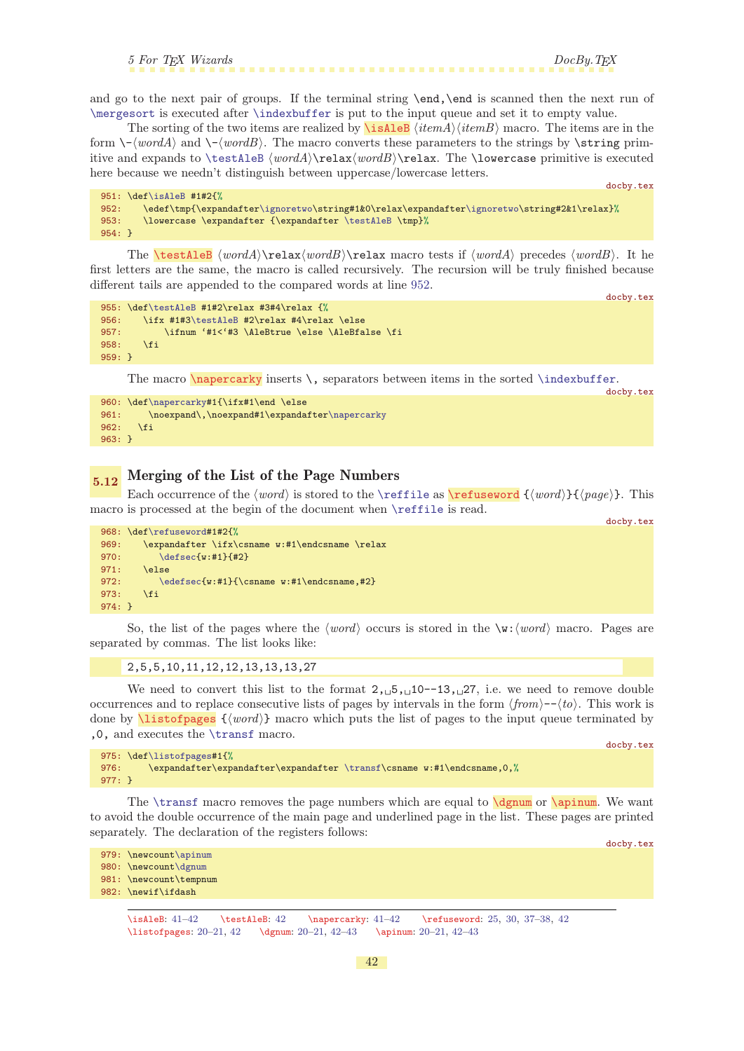<span id="page-41-1"></span>and go to the next pair of groups. If the terminal string **\end,\end** is scanned then the next run of [\mergesort](#page-40-6) is executed after [\indexbuffer](#page-38-2) is put to the input queue and set it to empty value.

The sorting of the two items are realized by  $\iota \in \mathbb{R}$  hields  $\langle itemA \rangle \langle itemB \rangle$  macro. The items are in the form  $\-\langle wordA \rangle$  and  $\-\langle wordB \rangle$ . The macro converts these parameters to the strings by  $\scriptstyle\setminus$ string primitive and expands to  $\text{Re}(wordA)\relax(wordB)\relax$ . The \lowercase primitive is executed here because we needn't distinguish between uppercase/lowercase letters.

<span id="page-41-0"></span>docby.tex

```
951: \def\isAleB #1#2{%
952: \edef\tmp{\expandafter\ignoretwo\string#1&0\relax\expandafter\ignoretwo\string#2&1\relax}%
953: \lowercase \expandafter {\expandafter \testAleB \tmp}%
954: }
```
<span id="page-41-2"></span>The **\testAleB**  $\wordA\text{Per}$ *lax* $\wordB\text{Per}$  macro tests if  $\wordA$  precedes  $\wordB$ . It he first letters are the same, the macro is called recursively. The recursion will be truly finished because different tails are appended to the compared words at line [952.](#page-41-9)

docby.tex

docby.tex

```
\testAleB #1#2\relax #3#4\relax {%
956: \ifx #1#3\testAleB #2\relax #4\relax \else
957: \ifnum '#1<'#3 \AleBtrue \else \AleBfalse \fi
958: \fi
959: }
```
<span id="page-41-3"></span>The macro  $\nabla \cdot \mathbf{x}$  inserts  $\nabla \cdot \mathbf{x}$  separators between items in the sorted  $\mathbf{x}$  index buffer.

```
\napercarky#1{\ifx#1\end \else
\napercarky
962: \fi
963: }
```
# <span id="page-41-4"></span>5.12 Merging of the List of the Page Numbers

Each occurrence of the  $\word$  is stored to the [\reffile](#page-37-4) as \refuseword  $\{word\}{f(page)\}$ . This macro is processed at the begin of the document when [\reffile](#page-37-4) is read.

<span id="page-41-5"></span>docby.tex

```
968: \def\refuseword#1#2{%
969: \expandafter \ifx\csname w:#1\endcsname \relax
\defsec{w:#1}{#2}
971: \else
972: \edefsec{w:#1}{\csname w:#1}{endcsname, #2}973: \fi
974: }
```
So, the list of the pages where the  $\langle word \rangle$  occurs is stored in the  $\forall w:\langle word \rangle$  macro. Pages are separated by commas. The list looks like:

### <span id="page-41-6"></span>2,5,5,10,11,12,12,13,13,13,27

We need to convert this list to the format  $2, 5, 10^{-13}$ , 27, i.e. we need to remove double occurrences and to replace consecutive lists of pages by intervals in the form  $\langle from \rangle - \langle to \rangle$ . This work is done by  $\text{listofpages } {\text{word}}$  macro which puts the list of pages to the input queue terminated by ,0, and executes the [\transf](#page-42-0) macro.

```
975: \def\listofpages#1{%
\transf\csname w:#1\endcsname,0,%
977: }
```
The  $\text{transf macro removes the page numbers which are equal to } \text{derum or } \text{arum}.$  We want to avoid the double occurrence of the main page and underlined page in the list. These pages are printed separately. The declaration of the registers follows:

<span id="page-41-8"></span><span id="page-41-7"></span>docby.tex

docby.tex

```
979: \newcount\apinum
980: \newcount\dgnum
981: \newcount\tempnum
```

```
982: \newif\ifdash
```
 $\isAleB: 41-42 \text{testAleB: 42 \napercarky: 41-42 \refuseword: 25, 30, 37-38, 42$  $\isAleB: 41-42 \text{testAleB: 42 \napercarky: 41-42 \refuseword: 25, 30, 37-38, 42$  $\isAleB: 41-42 \text{testAleB: 42 \napercarky: 41-42 \refuseword: 25, 30, 37-38, 42$  $\isAleB: 41-42 \text{testAleB: 42 \napercarky: 41-42 \refuseword: 25, 30, 37-38, 42$  $\isAleB: 41-42 \text{testAleB: 42 \napercarky: 41-42 \refuseword: 25, 30, 37-38, 42$  $\isAleB: 41-42 \text{testAleB: 42 \napercarky: 41-42 \refuseword: 25, 30, 37-38, 42$  $\isAleB: 41-42 \text{testAleB: 42 \napercarky: 41-42 \refuseword: 25, 30, 37-38, 42$  $\isAleB: 41-42 \text{testAleB: 42 \napercarky: 41-42 \refuseword: 25, 30, 37-38, 42$  $\isAleB: 41-42 \text{testAleB: 42 \napercarky: 41-42 \refuseword: 25, 30, 37-38, 42$ \listofpages: [20](#page-19-1)-[21](#page-20-1), 42 \dgnum: 20-21, 42-[43](#page-42-1) \apinum: 20-21, 42-43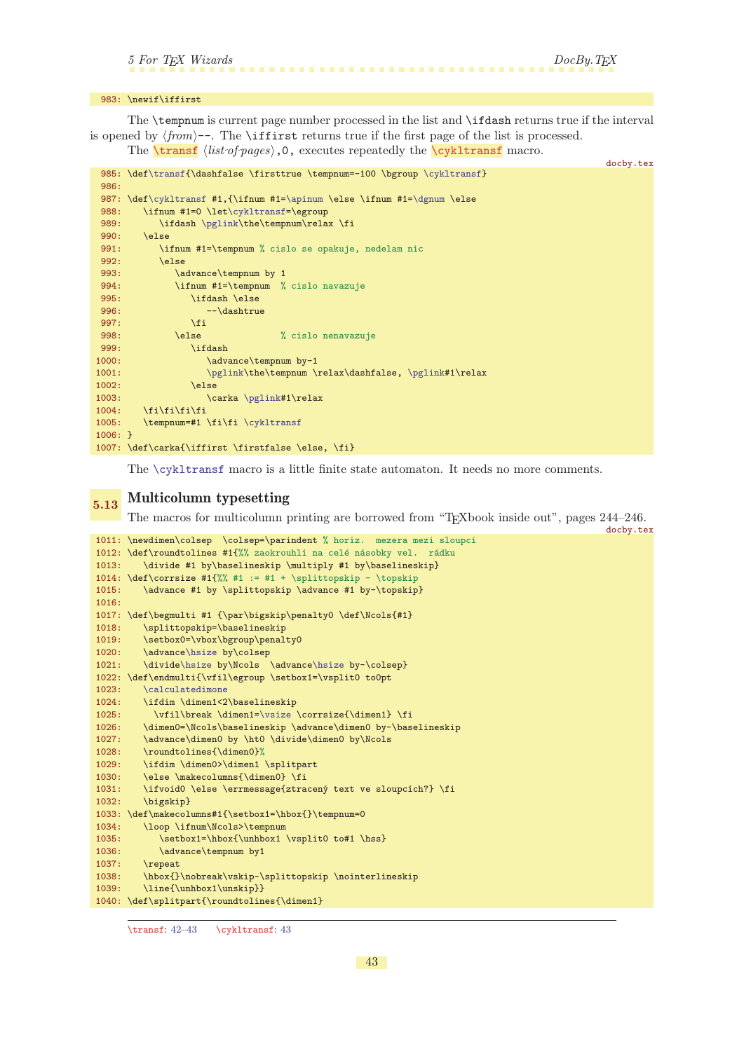<span id="page-42-2"></span>docby.tex

### <span id="page-42-1"></span>983: \newif\iffirst

The \tempnum is current page number processed in the list and \ifdash returns true if the interval is opened by  $\langle from \rangle$ --. The \iffirst returns true if the first page of the list is processed.

<span id="page-42-0"></span>The  $\tau \$ ist of pages),0, executes repeatedly the  $\gamma$  kiltransf macro.

```
\transf\cykltransf}
986:
\cykltransf\apinum\dgnum \else
t\cykltransf=\egroup<br>989: \ifdash \nglink\the\tempnum\rala
        \pglink\the\tempnum\relax \fi
990: \else
991: \ifnum #1=\tempnum % cislo se opakuje, nedelam nic
992: \else
993: \advance\tempnum by 1
994: \ifnum #1=\tempnum % cislo navazuje
995: \ifdash \else
996: --\dash-->dashtrue<br>
997: \qquad \qquad \text{if i}997: \fi
998: \else % cislo nenavazuje<br>999: \ifdash
             \ifdash
1000: \advance\tempnum by-1
\pglink\pglink#1\relax
1002: \else
\pglink#1\relax
1004: \qquad \text{ififififif}\cykltransf
1006: }
1007: \def\carka{\iffirst \firstfalse \else, \fi}
```
The [\cykltransf](#page-42-2) macro is a little finite state automaton. It needs no more comments.

# <span id="page-42-3"></span>5.13 Multicolumn typesetting

The macros for multicolumn printing are borrowed from "TEXbook inside out", pages 244–246.

```
docby.tex
1011: \newdimen\colsep \colsep=\parindent % horiz. mezera mezi sloupci
1012: \def\roundtolines #1{%% zaokrouhlí na celé násobky vel. rádku<br>1013: \divide #1 by\baselineskip \multiply #1 by\baselineskip}
       \divide #1 by\baselineskip \multiply #1 by\baselineskip}
1014: \def\corrsize #1{%% #1 := #1 + \splittopskip - \topskip
1015: \advance #1 by \splittopskip \advance #1 by-\topskip}
1016:
1017: \def\begmulti #1 {\par\bigskip\penalty0 \def\Ncols{#1}
1018: \splittopskip=\baselineskip
1019: \setbox0=\vbox\bgroup\penalty0
e\hsize by\colsep
1021: \divide\hsize by\Ncols \advance\hsize by-\colsep}
1022: \def\endmulti{\vfil\egroup \setbox1=\vsplit0 to0pt
1023: \calculatedimone
1024: \ifdim \dimen1<2\baselineskip
\vsize \corrsize{\dimen1} \fi
1026: \dimen0=\Ncols\baselineskip \advance\dimen0 by-\baselineskip
1027: \advance\dimen0 by \ht0 \divide\dimen0 by\Ncols
1028: \roundtolines{\dimen0}%
1029: \ifdim \dimen0>\dimen1 \splitpart
1030: \else \makecolumns{\dimen0} \fi
1031: \ifvoid0 \else \errmessage{ztracený text ve sloupcích?} \fi
1032: \bigskip}
1033: \def\makecolumns#1{\setbox1=\hbox{}\tempnum=0
1034: \loop \ifnum\Ncols>\tempnum
1035: \setbox1=\hbox{\unhbox1 \vsplit0 to#1 \hss}
1036: \advance\tempnum by1
1037: \repeat
1038: \hbox{}\nobreak\vskip-\splittopskip \nointerlineskip
1039: \line{\unhbox1\unskip}}
1040: \def\splitpart{\roundtolines{\dimen1}
```

```
\transf: 42–43 \cykltransf: 43
```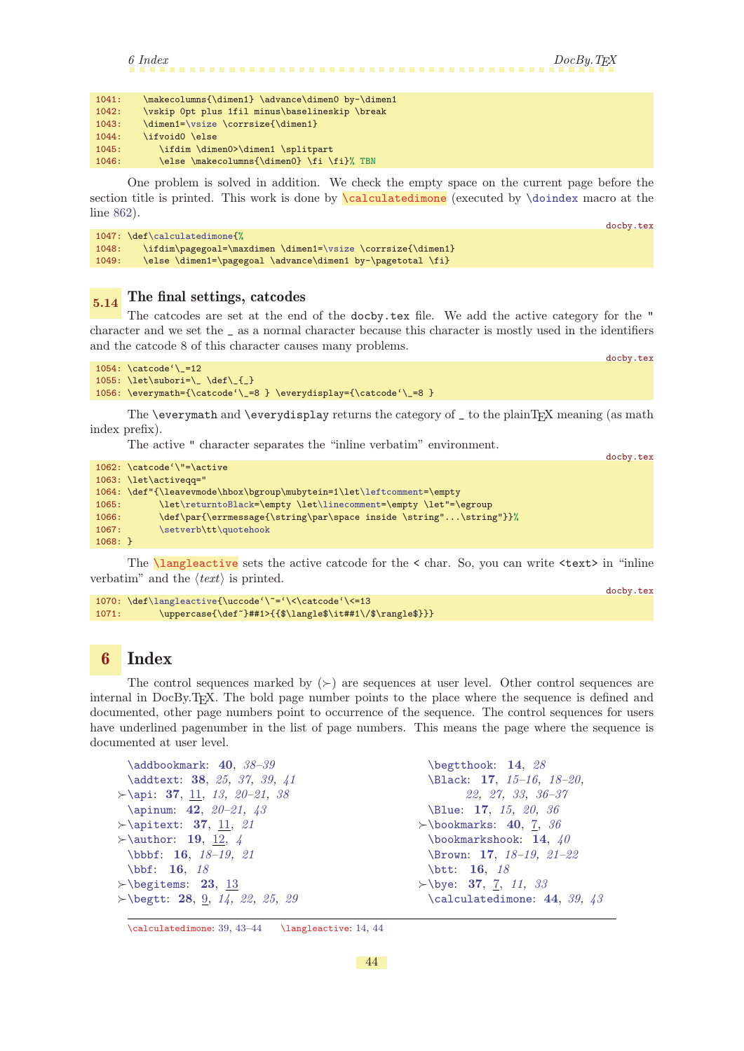```
6 Index DocBy. TEX1041: \makecolumns{\dimen1} \advance\dimen0 by-\dimen1
1042: \vskip 0pt plus 1fil minus\baselineskip \break
```

| 1043: | \dimen1=\vsize \corrsize{\dimen1}         |
|-------|-------------------------------------------|
| 1044: | \ifvoid0 \else                            |
| 1045: | \ifdim \dimen0>\dimen1 \splitpart         |
| 1046: | \else \makecolumns{\dimen0} \fi \fi}% TBN |

<span id="page-43-0"></span>One problem is solved in addition. We check the empty space on the current page before the section title is printed. This work is done by **\calculatedimone** (executed by **[\doindex](#page-38-3)** macro at the line [862\)](#page-38-6). docby.tex

|       | $1047: \def\cal@$                                          |
|-------|------------------------------------------------------------|
| 1048: | \ifdim\pagegoal=\maxdimen\dimen1=\vsize \corrsize{\dimen1} |
| 1049: | \else \dimen1=\pagegoal \advance\dimen1 by-\pagetotal \fi} |

# <span id="page-43-2"></span> $_{5.14}$  The final settings, catcodes

The catcodes are set at the end of the docby.tex file. We add the active category for the " character and we set the \_ as a normal character because this character is mostly used in the identifiers and the catcode 8 of this character causes many problems.

docby.tex

doctor and the

```
1054: \catcode'\_=12
1055: \let\sub{=}\_\def\_{=}\1056: \everymath={\catcode'\_=8 } \everydisplay={\catcode'\_=8 }
```
The  $\overset{\text{def}}{=}$  The  $\overset{\text{def}}{=}$  and  $\overset{\text{def}}{=}$  and  $\overset{\text{def}}{=}$ index prefix).

The active " character separates the "inline verbatim" environment.

|           |                                                                       | <b>QUUDY.LEX</b> |
|-----------|-----------------------------------------------------------------------|------------------|
|           | $1062: \ \text{catcode'} \ = \ \text{active}$                         |                  |
|           | 1063: \let\activegg="                                                 |                  |
|           | 1064: \def"{\leavevmode\hbox\bgroup\mubytein=1\let\leftcomment=\empty |                  |
| 1065:     | \let\returntoBlack=\empty \let\linecomment=\empty \let"=\egroup       |                  |
| 1066:     | \def\par{\errmessage{\string\par\space inside \string"\string"}}%     |                  |
| 1067:     | \setverb\tt\quotehook                                                 |                  |
| $1068:$ } |                                                                       |                  |
|           |                                                                       |                  |

<span id="page-43-3"></span>The  $\langle \text{languageactive} \rangle$  sets the active catcode for the  $\langle \text{char. So}, \text{you can write } \langle \text{text} \rangle$  in "inline" verbatim" and the  $\langle text \rangle$  is printed.

```
docby.tex
\langleactive{\uccode'\~='\<\catcode'\<=13
1071: \uppercase{\def~}##1>{{$\langle$\it##1\/$\rangle$}}}
```
### <span id="page-43-4"></span>6 Index

The control sequences marked by  $(\succ)$  are sequences at user level. Other control sequences are internal in DocBy.TEX. The bold page number points to the place where the sequence is defined and documented, other page numbers point to occurrence of the sequence. The control sequences for users have underlined pagenumber in the list of page numbers. This means the page where the sequence is documented at user level.

| $\ad$ bookmark: 40, $38-39$               | \begtthook: $14, 28$                  |
|-------------------------------------------|---------------------------------------|
| \addtext: 38, 25, 37, 39, 41              | \Black: 17, 15-16, 18-20,             |
| $\rightarrow$ \api: 37, 11, 13, 20-21, 38 | $22, 27, 33, 36-37$                   |
| \apinum: 42, $20-21$ , $43$               | \Blue: 17, 15, 20, 36                 |
| $\rightarrow$ \apitext: 37, 11, 21        | $\rightarrow$ \bookmarks: 40, 7, 36   |
| $\rightarrow$ \author: 19, 12, 4          | \bookmarkshook: 14, $40$              |
| $\bb{b}$ bbbf: 16, 18-19, 21              | \Brown: 17, $18-19$ , $21-22$         |
| $\bb{b}$ if: 16, 18                       | $\text{btt: } 16, 18$                 |
| $\rightarrow$ \begitems: 23, 13           | $\succ$ \bye: 37, 7, 11, 33           |
| $\succ$ begtt: 28, 9, 14, 22, 25, 29      | $\lambda$ calculatedimone: 44, 39, 43 |

\calculatedimone: [39](#page-38-1), [43–](#page-42-1)44 \langleactive: [14](#page-13-1), 44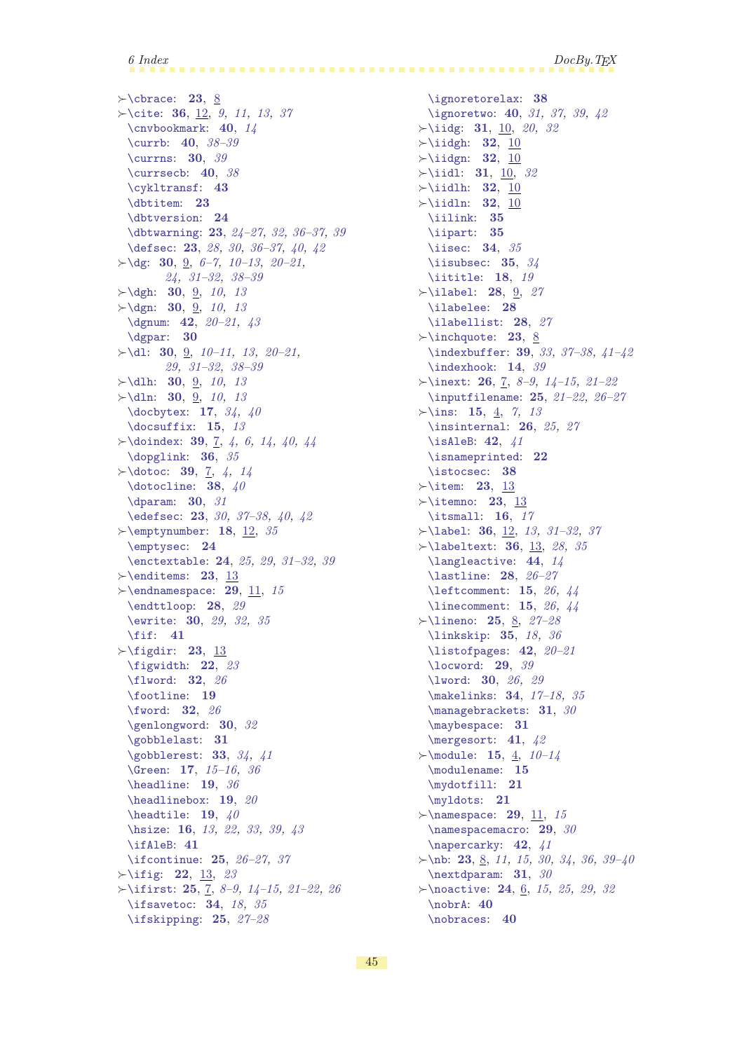$\rightarrow$  [\cbrace](#page-22-16): [23](#page-22-1), [8](#page-7-1)  $\rightarrow$  cite: [36](#page-35-1), [12,](#page-11-1) [9](#page-8-1), [11](#page-10-1), [13](#page-12-1), [37](#page-36-1) [\cnvbookmark](#page-39-8): [40](#page-39-1), [14](#page-13-1) [\currb](#page-39-4): [40](#page-39-1), [38](#page-37-1)[–39](#page-38-1) [\currns](#page-29-6): [30](#page-29-1), [39](#page-38-1)  $\text{currsech: } 40, 38$  $\text{currsech: } 40, 38$  $\text{currsech: } 40, 38$  $\text{currsech: } 40, 38$ [\cykltransf](#page-42-2): [43](#page-42-1) [\dbtitem](#page-22-6): [23](#page-22-1) [\dbtversion](#page-23-3): [24](#page-23-1) [\dbtwarning](#page-22-10): [23](#page-22-1), 24-[27](#page-26-1), [32](#page-31-1), [36](#page-35-1)-37, [39](#page-38-1) [\defsec](#page-22-11): [23](#page-22-1), [28](#page-27-1), [30,](#page-29-1) [36](#page-35-1)[–37](#page-36-1), [40,](#page-39-1) [42](#page-41-1)  $\rightarrow$  [\dg](#page-29-8): [30](#page-29-1), [9](#page-8-1), [6](#page-5-1)[–7](#page-6-1), [10–](#page-9-1)[13,](#page-12-1) [20](#page-19-1)[–21](#page-20-1), [24,](#page-23-1) [31–](#page-30-1)[32](#page-31-1), [38–](#page-37-1)[39](#page-38-1)  $\rightarrow$  [\dgh](#page-29-11): [30](#page-29-1), [9](#page-8-1), [10,](#page-9-1) [13](#page-12-1)  $\rightarrow$  [\dgn](#page-29-10): [30](#page-29-1), [9](#page-8-1), [10,](#page-9-1) [13](#page-12-1) [\dgnum](#page-41-7): [42](#page-41-1), [20](#page-19-1)[–21](#page-20-1), [43](#page-42-1) [\dgpar](#page-29-14): [30](#page-29-1)  $\rightarrow$  [\dl](#page-29-9): [30](#page-29-1), [9,](#page-8-1) [10–](#page-9-1)[11](#page-10-1), [13,](#page-12-1) [20](#page-19-1)[–21](#page-20-1), [29,](#page-28-1) [31–](#page-30-1)[32](#page-31-1), [38–](#page-37-1)[39](#page-38-1)  $\rightarrow$ [\dlh](#page-29-13): [30](#page-29-1), [9](#page-8-1), [10,](#page-9-1) [13](#page-12-1)  $\rightarrow$ [\dln](#page-29-12): [30](#page-29-1), <u>[9](#page-8-1)</u>, [10,](#page-9-1) [13](#page-12-1) [\docbytex](#page-16-10): [17](#page-16-1), [34,](#page-33-1) [40](#page-39-1) [\docsuffix](#page-14-3): [15](#page-14-1), [13](#page-12-1)  $\rightarrow$  [\doindex](#page-38-3): [39](#page-38-1), [7,](#page-6-1) [4,](#page-3-1) [6](#page-5-1), [14,](#page-13-1) [40,](#page-39-1) [44](#page-43-1) [\dopglink](#page-35-3): [36](#page-35-1), [35](#page-34-1)  $\rightarrow$  dotoc: [39](#page-38-1), [7](#page-6-1), [4,](#page-3-1) [14](#page-13-1) [\dotocline](#page-37-7): [38](#page-37-1),  $40$ [\dparam](#page-29-15): [30](#page-29-1), [31](#page-30-1) [\edefsec](#page-22-12): [23](#page-22-1), [30](#page-29-1), 37-[38](#page-37-1), [40,](#page-39-1) [42](#page-41-1)  $\rightarrow$ [\emptynumber](#page-17-5): [18](#page-17-1), [12](#page-11-1), [35](#page-34-1) [\emptysec](#page-23-7): [24](#page-23-1) [\enctextable](#page-23-4): [24](#page-23-1), [25,](#page-24-1) [29,](#page-28-1) [31](#page-30-1)[–32](#page-31-1), [39](#page-38-1)  $\rightarrow$  [\enditems](#page-22-4): [23](#page-22-1), [13](#page-12-1)  $\rightarrow$  [\endnamespace](#page-28-5): [29](#page-28-1), [11,](#page-10-1) [15](#page-14-1) [\endttloop](#page-27-11): [28](#page-27-1), [29](#page-28-1) [\ewrite](#page-29-0): [30](#page-29-1), [29,](#page-28-1) [32](#page-31-1), [35](#page-34-1) [\fif](#page-40-4): [41](#page-40-1)  $\rightarrow$  [\figdir](#page-22-0): [23](#page-22-1), [13](#page-12-1) [\figwidth](#page-21-8): [22](#page-21-1), [23](#page-22-1) [\flword](#page-31-6): [32](#page-31-1), [26](#page-25-1) [\footline](#page-18-4): [19](#page-18-1) [\fword](#page-31-4): [32](#page-31-1), [26](#page-25-1) [\genlongword](#page-29-3): [30](#page-29-1), [32](#page-31-1) [\gobblelast](#page-30-3): [31](#page-30-1) [\gobblerest](#page-32-5): [33](#page-32-1), [34](#page-33-1), [41](#page-40-1) [\Green](#page-16-4): [17](#page-16-1), [15](#page-14-1)[–16](#page-15-1), [36](#page-35-1) [\headline](#page-18-5): [19](#page-18-1), [36](#page-35-1) [\headlinebox](#page-18-9): [19](#page-18-1), [20](#page-19-1) [\headtile](#page-18-8):  $19, 40$  $19, 40$  $19, 40$ [\hsize](#page-15-3): [16](#page-15-1), [13](#page-12-1), [22](#page-21-1), [33](#page-32-1), [39,](#page-38-1) [43](#page-42-1) [\ifAleB](#page-40-0): [41](#page-40-1) [\ifcontinue](#page-24-7): [25](#page-24-1), [26](#page-25-1)[–27,](#page-26-1) [37](#page-36-1)  $\rightarrow$  [\ifig](#page-21-9): [22](#page-21-1), [13,](#page-12-1) [23](#page-22-1)  $\rightarrow$ [\ifirst](#page-24-11): [25](#page-24-1), [7](#page-6-1), [8](#page-7-1)-[9,](#page-8-1) 14-[15](#page-14-1), [21](#page-20-1)-22, [26](#page-25-1) [\ifsavetoc](#page-33-5): **[34](#page-33-1)**, [18](#page-17-1), [35](#page-34-1) [\ifskipping](#page-24-8): [25](#page-24-1), [27–](#page-26-1)[28](#page-27-1)

[\ignoretorelax](#page-37-0): [38](#page-37-1) [\ignoretwo](#page-39-0): [40](#page-39-1), [31,](#page-30-1) [37](#page-36-1), [39](#page-38-1), [42](#page-41-1)  $\rightarrow$ [\iidg](#page-30-7): [31](#page-30-1), [10](#page-9-1), [20,](#page-19-1) [32](#page-31-1)  $\rightarrow$ [\iidgh](#page-31-0): [32](#page-31-1), [10](#page-9-1)  $\rightarrow$ [\iidgn](#page-31-3): [32](#page-31-1), [10](#page-9-1)  $\rightarrow$ [\iidl](#page-30-8): [31](#page-30-1), [10,](#page-9-1) [32](#page-31-1)  $\rightarrow$ [\iidlh](#page-31-2): [32](#page-31-1), [10](#page-9-1)  $\rightarrow$ [\iidln](#page-31-5): [32](#page-31-1), [10](#page-9-1) [\iilink](#page-34-8): [35](#page-34-1) [\iipart](#page-34-5): [35](#page-34-1) [\iisec](#page-33-15): **[34](#page-33-1)**, [35](#page-34-1) [\iisubsec](#page-34-0):  $35, 34$  $35, 34$  $35, 34$ [\iititle](#page-17-8): [18](#page-17-1), [19](#page-18-1)  $\rightarrow$ [\ilabel](#page-27-4): [28](#page-27-1), [9,](#page-8-1) [27](#page-26-1) [\ilabelee](#page-27-5): [28](#page-27-1) [\ilabellist](#page-27-3): [28](#page-27-1), [27](#page-26-1)  $\rightarrow$ [\inchquote](#page-22-18): [23](#page-22-1), [8](#page-7-1) [\indexbuffer](#page-38-2): [39](#page-38-1), [33](#page-32-1), 37-[38,](#page-37-1) [41](#page-40-1)-42 [\indexhook](#page-13-10): [14](#page-13-1), [39](#page-38-1)  $\rightarrow$  inext: [26](#page-25-1), [7,](#page-6-1) 8-[9](#page-8-1), 14-[15,](#page-14-1) 21-[22](#page-21-1) [\inputfilename](#page-24-12): [25](#page-24-1), [21](#page-20-1)[–22,](#page-21-1) [26](#page-25-1)[–27](#page-26-1)  $\succ$ [\ins](#page-14-5): [15](#page-14-1), [4](#page-3-1), [7,](#page-6-1) [13](#page-12-1) [\insinternal](#page-25-10): [26](#page-25-1), [25,](#page-24-1) [27](#page-26-1) [\isAleB](#page-41-0): [42](#page-41-1), [41](#page-40-1) [\isnameprinted](#page-21-2): [22](#page-21-1) [\istocsec](#page-37-8): [38](#page-37-1)  $\rightarrow$ [\item](#page-22-7): [23](#page-22-1), [13](#page-12-1)  $\rightarrow$ [\itemno](#page-22-5): [23](#page-22-1), [13](#page-12-1) [\itsmall](#page-15-11): [16](#page-15-1), [17](#page-16-1)  $\rightarrow$ [\label](#page-35-10): [36](#page-35-1), [12,](#page-11-1) [13](#page-12-1), [31](#page-30-1)-32, [37](#page-36-1)  $\rightarrow$  [\labeltext](#page-35-7): [36](#page-35-1), [13,](#page-12-1) [28](#page-27-1), [35](#page-34-1) [\langleactive](#page-43-3): [44](#page-43-1), [14](#page-13-1) [\lastline](#page-27-2): [28](#page-27-1), [26](#page-25-1)-[27](#page-26-1) [\leftcomment](#page-14-10): [15](#page-14-1), [26,](#page-25-1) [44](#page-43-1) [\linecomment](#page-14-9): [15](#page-14-1), [26,](#page-25-1) [44](#page-43-1)  $\rightarrow$  lineno: [25](#page-24-1), [8,](#page-7-1) [27](#page-26-1)-28 [\linkskip](#page-34-9): [35](#page-34-1), [18](#page-17-1), [36](#page-35-1) [\listofpages](#page-41-6): [42](#page-41-1), [20](#page-19-1)[–21](#page-20-1) [\locword](#page-28-4): [29](#page-28-1), [39](#page-38-1) [\lword](#page-29-2): [30](#page-29-1), [26,](#page-25-1) [29](#page-28-1) [\makelinks](#page-33-16): [34](#page-33-1), [17](#page-16-1)-18, [35](#page-34-1) [\managebrackets](#page-30-4): [31](#page-30-1), [30](#page-29-1) [\maybespace](#page-30-6): [31](#page-30-1) [\mergesort](#page-40-6): [41](#page-40-1), [42](#page-41-1)  $\rightarrow$ [\module](#page-14-2): [15](#page-14-1), [4,](#page-3-1) [10](#page-9-1)-14 [\modulename](#page-14-4): [15](#page-14-1) [\mydotfill](#page-20-0): [21](#page-20-1) [\myldots](#page-20-3): [21](#page-20-1)  $\rightarrow$  [\namespace](#page-28-3): [29](#page-28-1), [11,](#page-10-1) [15](#page-14-1) [\namespacemacro](#page-28-2): [29](#page-28-1), [30](#page-29-1) [\napercarky](#page-41-3): [42](#page-41-1), [41](#page-40-1)  $\times$ [\nb](#page-22-14): [23](#page-22-1), [8](#page-7-1), [11,](#page-10-1) [15](#page-14-1), [30](#page-29-1), [34,](#page-33-1) [36,](#page-35-1) [39](#page-38-1)-40 [\nextdparam](#page-30-0): [31](#page-30-1), [30](#page-29-1)  $\rightarrow$  [\noactive](#page-23-6): [24](#page-23-1), <u>6</u>, [15,](#page-14-1) [25,](#page-24-1) [29](#page-28-1), [32](#page-31-1) [\nobrA](#page-39-10): [40](#page-39-1) [\nobraces](#page-39-9): [40](#page-39-1)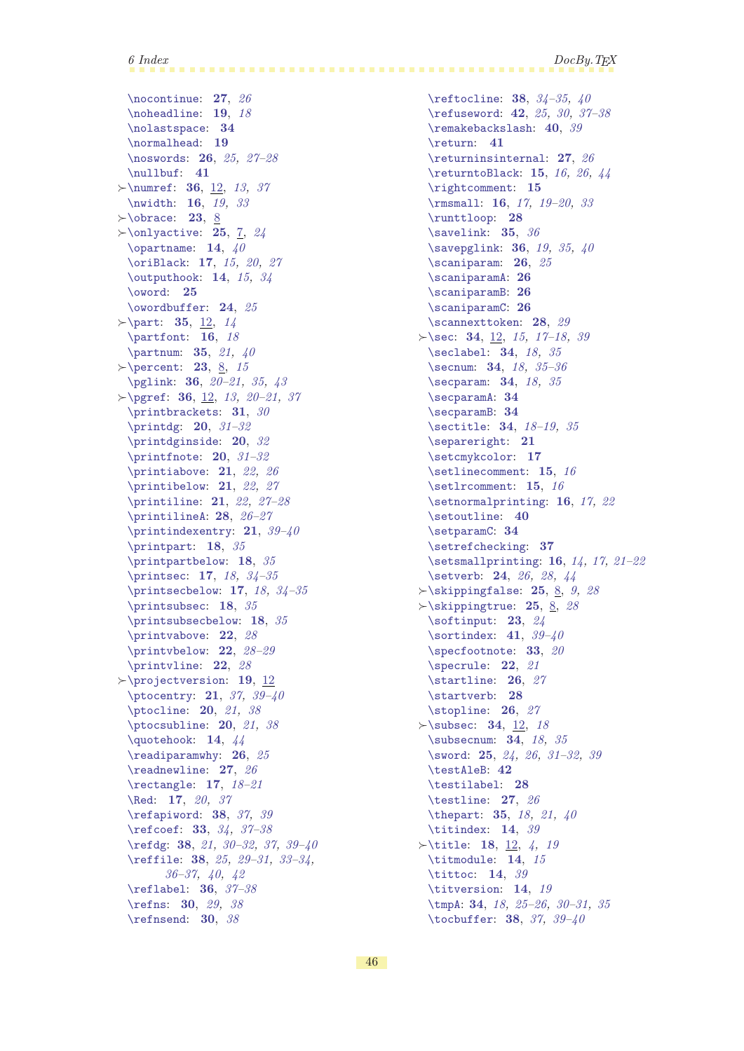$6$  Index  $DocBy. TEX$ 

[\nocontinue](#page-26-2): [27](#page-26-1), [26](#page-25-1) [\noheadline](#page-18-7): [19](#page-18-1), [18](#page-17-1) [\nolastspace](#page-33-13): [34](#page-33-1) [\normalhead](#page-18-6): [19](#page-18-1) [\noswords](#page-25-2): [26](#page-25-1), [25,](#page-24-1) [27](#page-26-1)[–28](#page-27-1) [\nullbuf](#page-40-2): [41](#page-40-1)  $\rightarrow$  [\numref](#page-35-5): [36](#page-35-1), [12](#page-11-1), [13,](#page-12-1) [37](#page-36-1) [\nwidth](#page-15-5): [16](#page-15-1), [19,](#page-18-1) [33](#page-32-1)  $\rightarrow$  [\obrace](#page-22-15): [23](#page-22-1), [8](#page-7-1)  $\rightarrow$  [\onlyactive](#page-24-2): [25](#page-24-1), [7,](#page-6-1) [24](#page-23-1) [\opartname](#page-13-6): [14](#page-13-1),  $40$ [\oriBlack](#page-16-8): [17](#page-16-1), [15](#page-14-1), [20,](#page-19-1) [27](#page-26-1) [\outputhook](#page-13-13): [14](#page-13-1), [15](#page-14-1), [34](#page-33-1) [\oword](#page-24-3): [25](#page-24-1) [\owordbuffer](#page-23-5): [24](#page-23-1), [25](#page-24-1)  $\rangle$ [\part](#page-34-4): [35](#page-34-1), [12,](#page-11-1) [14](#page-13-1) [\partfont](#page-15-12): [16](#page-15-1), [18](#page-17-1) [\partnum](#page-34-2): [35](#page-34-1), [21,](#page-20-1) [40](#page-39-1)  $\rightarrow$  [\percent](#page-22-17): [23](#page-22-1), [8,](#page-7-1) [15](#page-14-1) [\pglink](#page-35-2): [36](#page-35-1), [20–](#page-19-1)[21,](#page-20-1) [35](#page-34-1), [43](#page-42-1)  $\rightarrow$  [\pgref](#page-35-6): [36](#page-35-1), [12](#page-11-1), [13,](#page-12-1) 20-[21](#page-20-1), [37](#page-36-1) [\printbrackets](#page-30-5): [31](#page-30-1), [30](#page-29-1)  $\partial$ : [20](#page-19-1), [31](#page-30-1)-32 [\printdginside](#page-19-3): [20](#page-19-1), [32](#page-31-1) [\printfnote](#page-19-4): [20](#page-19-1), [31–](#page-30-1)[32](#page-31-1) [\printiabove](#page-20-7): [21](#page-20-1), [22](#page-21-1), [26](#page-25-1) [\printibelow](#page-20-9): [21](#page-20-1), [22](#page-21-1), [27](#page-26-1) [\printiline](#page-20-8): [21](#page-20-1), [22](#page-21-1), [27](#page-26-1)-[28](#page-27-1) [\printilineA](#page-27-0): [28](#page-27-1), [26](#page-25-1)[–27](#page-26-1) [\printindexentry](#page-20-4): [21](#page-20-1), [39–](#page-38-1)[40](#page-39-1) [\printpart](#page-17-3): [18](#page-17-1), [35](#page-34-1) [\printpartbelow](#page-17-4): [18](#page-17-1), [35](#page-34-1) [\printsec](#page-16-12): [17](#page-16-1), [18,](#page-17-1) [34](#page-33-1)-35  $\prime$ : [17](#page-16-1), [18,](#page-17-1) 34-[35](#page-34-1) [\printsubsec](#page-17-0): [18](#page-17-1), [35](#page-34-1) [\printsubsecbelow](#page-17-2): [18](#page-17-1), [35](#page-34-1) [\printvabove](#page-21-4): [22](#page-21-1), [28](#page-27-1) [\printvbelow](#page-21-6): [22](#page-21-1), [28](#page-27-1)–[29](#page-28-1) [\printvline](#page-21-5): [22](#page-21-1), [28](#page-27-1)  $\rangle$  projectversion: [19](#page-18-1), [12](#page-11-1) [\ptocentry](#page-20-2): [21](#page-20-1), [37](#page-36-1), 39-[40](#page-39-1) [\ptocline](#page-19-6): [20](#page-19-1), [21,](#page-20-1) [38](#page-37-1) [\ptocsubline](#page-19-7): [20](#page-19-1), [21](#page-20-1), [38](#page-37-1) [\quotehook](#page-13-9): [14](#page-13-1), [44](#page-43-1) [\readiparamwhy](#page-25-3): [26](#page-25-1), [25](#page-24-1) [\readnewline](#page-26-4): [27](#page-26-1), [26](#page-25-1) [\rectangle](#page-16-9): [17](#page-16-1), [18–](#page-17-1)[21](#page-20-1) [\Red](#page-16-2): [17](#page-16-1), [20](#page-19-1), [37](#page-36-1) [\refapiword](#page-37-10): [38](#page-37-1), [37](#page-36-1), [39](#page-38-1) [\refcoef](#page-32-4): [33](#page-32-1), [34,](#page-33-1) [37](#page-36-1)[–38](#page-37-1) [\refdg](#page-37-9): [38](#page-37-1), [21](#page-20-1), [30](#page-29-1)[–32](#page-31-1), [37,](#page-36-1) [39](#page-38-1)–[40](#page-39-1) [\reffile](#page-37-4): [38](#page-37-1), [25](#page-24-1), [29](#page-28-1)[–31](#page-30-1), [33](#page-32-1)[–34,](#page-33-1) [36](#page-35-1)[–37](#page-36-1), [40](#page-39-1), [42](#page-41-1) [\reflabel](#page-35-4): [36](#page-35-1), [37–](#page-36-1)[38](#page-37-1) [\refns](#page-29-4): [30](#page-29-1), [29](#page-28-1), [38](#page-37-1) [\refnsend](#page-29-5): [30](#page-29-1), [38](#page-37-1)

[\reftocline](#page-37-5): [38](#page-37-1), [34–](#page-33-1)[35](#page-34-1), [40](#page-39-1) [\refuseword](#page-41-5): [42](#page-41-1), [25,](#page-24-1) [30](#page-29-1), [37](#page-36-1)[–38](#page-37-1) [\remakebackslash](#page-39-2): [40](#page-39-1), [39](#page-38-1) [\return](#page-40-3): [41](#page-40-1) [\returninsinternal](#page-26-3): [27](#page-26-1), [26](#page-25-1) [\returntoBlack](#page-14-12): [15](#page-14-1), [16](#page-15-1), [26](#page-25-1), [44](#page-43-1) [\rightcomment](#page-14-11): [15](#page-14-1) [\rmsmall](#page-15-10): [16](#page-15-1), [17](#page-16-1), [19](#page-18-1)[–20](#page-19-1), [33](#page-32-1) [\runttloop](#page-27-10): [28](#page-27-1) [\savelink](#page-34-7): [35](#page-34-1), [36](#page-35-1) [\savepglink](#page-35-0): [36](#page-35-1), [19,](#page-18-1) [35,](#page-34-1) [40](#page-39-1) [\scaniparam](#page-25-6): [26](#page-25-1), [25](#page-24-1) [\scaniparamA](#page-25-7): [26](#page-25-1) [\scaniparamB](#page-25-8): [26](#page-25-1) [\scaniparamC](#page-25-9): [26](#page-25-1) [\scannexttoken](#page-27-12): [28](#page-27-1), [29](#page-28-1)  $\succ$ [\sec](#page-33-6): [34](#page-33-1), [12](#page-11-1), [15,](#page-14-1) [17](#page-16-1)-18, [39](#page-38-1) [\seclabel](#page-33-10): **[34](#page-33-1)**, [18](#page-17-1), [35](#page-34-1) [\secnum](#page-33-2): [34](#page-33-1), [18](#page-17-1), [35](#page-34-1)[–36](#page-35-1) [\secparam](#page-33-9): **[34](#page-33-1)**, [18](#page-17-1), [35](#page-34-1) [\secparamA](#page-33-11): [34](#page-33-1) [\secparamB](#page-33-12): [34](#page-33-1) [\sectitle](#page-33-4): [34](#page-33-1), [18](#page-17-1)[–19](#page-18-1), [35](#page-34-1) [\separeright](#page-20-5): [21](#page-20-1) [\setcmykcolor](#page-16-7): [17](#page-16-1) [\setlinecomment](#page-14-7): [15](#page-14-1), [16](#page-15-1) [\setlrcomment](#page-14-8): [15](#page-14-1), [16](#page-15-1) [\setnormalprinting](#page-15-15): [16](#page-15-1), [17,](#page-16-1) [22](#page-21-1) [\setoutline](#page-39-7): [40](#page-39-1) [\setparamC](#page-33-14): [34](#page-33-1) [\setrefchecking](#page-36-4): [37](#page-36-1) [\setsmallprinting](#page-15-13): [16](#page-15-1), [14,](#page-13-1) [17,](#page-16-1) [21–](#page-20-1)[22](#page-21-1) [\setverb](#page-23-0): [24](#page-23-1), [26](#page-25-1), [28,](#page-27-1) [44](#page-43-1)  $\rightarrow$  Skippingfalse: [25](#page-24-1), [8,](#page-7-1) [9](#page-8-1), [28](#page-27-1)  $\rightarrow$ [\skippingtrue](#page-24-10): [25](#page-24-1), [8,](#page-7-1) [28](#page-27-1) [\softinput](#page-22-19): [23](#page-22-1), [24](#page-23-1) [\sortindex](#page-40-5):  $41, 39-40$  $41, 39-40$  $41, 39-40$  $41, 39-40$ [\specfootnote](#page-32-3): [33](#page-32-1), [20](#page-19-1) [\specrule](#page-21-0): [22](#page-21-1), [21](#page-20-1) [\startline](#page-25-4): [26](#page-25-1), [27](#page-26-1) [\startverb](#page-27-9): [28](#page-27-1) [\stopline](#page-25-5): [26](#page-25-1), [27](#page-26-1)  $\rightarrow$ [\subsec](#page-33-7): [34](#page-33-1), [12](#page-11-1), [18](#page-17-1) [\subsecnum](#page-33-3): [34](#page-33-1), [18](#page-17-1), [35](#page-34-1) [\sword](#page-24-0): [25](#page-24-1), [24](#page-23-1), [26,](#page-25-1) 31-[32](#page-31-1), [39](#page-38-1) [\testAleB](#page-41-2): [42](#page-41-1) [\testilabel](#page-27-6): [28](#page-27-1) [\testline](#page-26-0): [27](#page-26-1), [26](#page-25-1) [\thepart](#page-34-3): [35](#page-34-1), [18](#page-17-1), [21,](#page-20-1) [40](#page-39-1) [\titindex](#page-13-2): [14](#page-13-1), [39](#page-38-1)  $\forall$ title: [18](#page-17-1), [12](#page-11-1), [4,](#page-3-1) [19](#page-18-1) [\titmodule](#page-13-4): [14](#page-13-1), [15](#page-14-1) [\tittoc](#page-13-3): [14](#page-13-1), [39](#page-38-1) [\titversion](#page-13-5): [14](#page-13-1), [19](#page-18-1) [\tmpA](#page-33-8): [34](#page-33-1), [18](#page-17-1), [25](#page-24-1)[–26](#page-25-1), [30](#page-29-1)[–31](#page-30-1), [35](#page-34-1) [\tocbuffer](#page-37-6): [38](#page-37-1), [37](#page-36-1), [39](#page-38-1)[–40](#page-39-1)